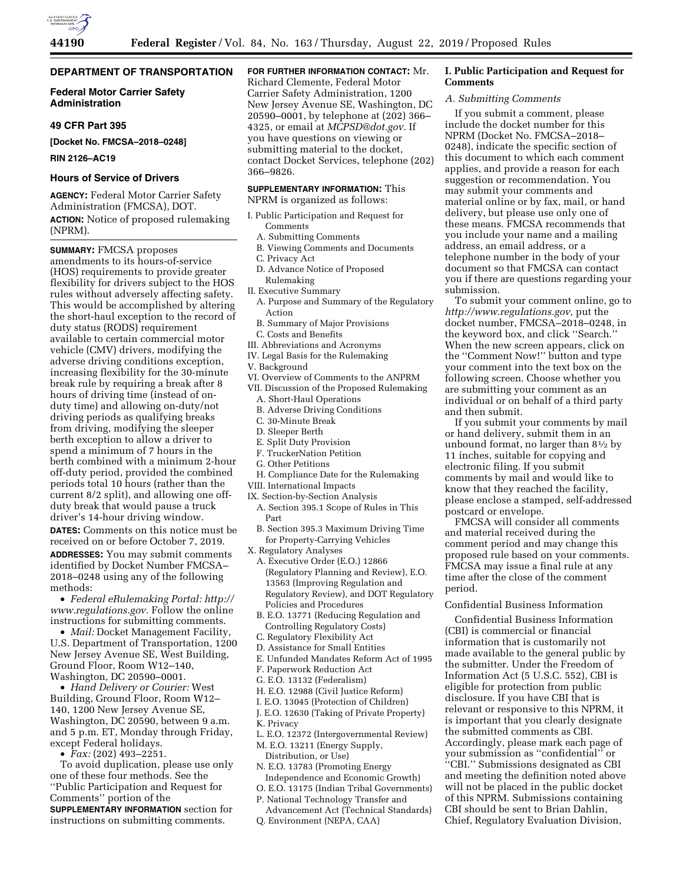

# **DEPARTMENT OF TRANSPORTATION**

# **Federal Motor Carrier Safety Administration**

# **49 CFR Part 395**

**[Docket No. FMCSA–2018–0248]** 

**RIN 2126–AC19** 

### **Hours of Service of Drivers**

**AGENCY:** Federal Motor Carrier Safety Administration (FMCSA), DOT. **ACTION:** Notice of proposed rulemaking (NPRM).

**SUMMARY:** FMCSA proposes amendments to its hours-of-service (HOS) requirements to provide greater flexibility for drivers subject to the HOS rules without adversely affecting safety. This would be accomplished by altering the short-haul exception to the record of duty status (RODS) requirement available to certain commercial motor vehicle (CMV) drivers, modifying the adverse driving conditions exception, increasing flexibility for the 30-minute break rule by requiring a break after 8 hours of driving time (instead of onduty time) and allowing on-duty/not driving periods as qualifying breaks from driving, modifying the sleeper berth exception to allow a driver to spend a minimum of 7 hours in the berth combined with a minimum 2-hour off-duty period, provided the combined periods total 10 hours (rather than the current 8/2 split), and allowing one offduty break that would pause a truck driver's 14-hour driving window. **DATES:** Comments on this notice must be received on or before October 7, 2019. **ADDRESSES:** You may submit comments identified by Docket Number FMCSA– 2018–0248 using any of the following methods:

• *Federal eRulemaking Portal: http:// www.regulations.gov.* Follow the online instructions for submitting comments.

• *Mail:* Docket Management Facility, U.S. Department of Transportation, 1200 New Jersey Avenue SE, West Building, Ground Floor, Room W12–140, Washington, DC 20590–0001.

• *Hand Delivery or Courier:* West Building, Ground Floor, Room W12– 140, 1200 New Jersey Avenue SE, Washington, DC 20590, between 9 a.m. and 5 p.m. ET, Monday through Friday, except Federal holidays.

• *Fax:* (202) 493–2251.

To avoid duplication, please use only one of these four methods. See the ''Public Participation and Request for Comments'' portion of the **SUPPLEMENTARY INFORMATION** section for instructions on submitting comments.

**FOR FURTHER INFORMATION CONTACT:** Mr. Richard Clemente, Federal Motor Carrier Safety Administration, 1200 New Jersey Avenue SE, Washington, DC 20590–0001, by telephone at (202) 366– 4325, or email at *MCPSD@dot.gov.* If you have questions on viewing or submitting material to the docket, contact Docket Services, telephone (202) 366–9826.

# **SUPPLEMENTARY INFORMATION:** This

NPRM is organized as follows:

- I. Public Participation and Request for Comments
	- A. Submitting Comments
	- B. Viewing Comments and Documents
	- C. Privacy Act
- D. Advance Notice of Proposed Rulemaking
- II. Executive Summary
- A. Purpose and Summary of the Regulatory Action
- B. Summary of Major Provisions
- C. Costs and Benefits
- III. Abbreviations and Acronyms
- IV. Legal Basis for the Rulemaking
- V. Background
- VI. Overview of Comments to the ANPRM
- VII. Discussion of the Proposed Rulemaking
- A. Short-Haul Operations
- B. Adverse Driving Conditions
- C. 30-Minute Break
- D. Sleeper Berth
- E. Split Duty Provision
- F. TruckerNation Petition
- G. Other Petitions
- H. Compliance Date for the Rulemaking
- VIII. International Impacts
- IX. Section-by-Section Analysis
- A. Section 395.1 Scope of Rules in This Part
- B. Section 395.3 Maximum Driving Time for Property-Carrying Vehicles

X. Regulatory Analyses

- A. Executive Order (E.O.) 12866 (Regulatory Planning and Review), E.O. 13563 (Improving Regulation and Regulatory Review), and DOT Regulatory Policies and Procedures
- B. E.O. 13771 (Reducing Regulation and Controlling Regulatory Costs)
- C. Regulatory Flexibility Act
- D. Assistance for Small Entities
- E. Unfunded Mandates Reform Act of 1995
- F. Paperwork Reduction Act
- G. E.O. 13132 (Federalism)
- H. E.O. 12988 (Civil Justice Reform)
- I. E.O. 13045 (Protection of Children)
- J. E.O. 12630 (Taking of Private Property)
- K. Privacy
- L. E.O. 12372 (Intergovernmental Review)
- M. E.O. 13211 (Energy Supply,
	- Distribution, or Use)
- N. E.O. 13783 (Promoting Energy Independence and Economic Growth)
- O. E.O. 13175 (Indian Tribal Governments)
- P. National Technology Transfer and
- Advancement Act (Technical Standards) Q. Environment (NEPA, CAA)

# **I. Public Participation and Request for Comments**

# *A. Submitting Comments*

If you submit a comment, please include the docket number for this NPRM (Docket No. FMCSA–2018– 0248), indicate the specific section of this document to which each comment applies, and provide a reason for each suggestion or recommendation. You may submit your comments and material online or by fax, mail, or hand delivery, but please use only one of these means. FMCSA recommends that you include your name and a mailing address, an email address, or a telephone number in the body of your document so that FMCSA can contact you if there are questions regarding your submission.

To submit your comment online, go to *http://www.regulations.gov,* put the docket number, FMCSA–2018–0248, in the keyword box, and click ''Search.'' When the new screen appears, click on the ''Comment Now!'' button and type your comment into the text box on the following screen. Choose whether you are submitting your comment as an individual or on behalf of a third party and then submit.

If you submit your comments by mail or hand delivery, submit them in an unbound format, no larger than 81⁄2 by 11 inches, suitable for copying and electronic filing. If you submit comments by mail and would like to know that they reached the facility, please enclose a stamped, self-addressed postcard or envelope.

FMCSA will consider all comments and material received during the comment period and may change this proposed rule based on your comments. FMCSA may issue a final rule at any time after the close of the comment period.

# Confidential Business Information

Confidential Business Information (CBI) is commercial or financial information that is customarily not made available to the general public by the submitter. Under the Freedom of Information Act (5 U.S.C. 552), CBI is eligible for protection from public disclosure. If you have CBI that is relevant or responsive to this NPRM, it is important that you clearly designate the submitted comments as CBI. Accordingly, please mark each page of your submission as ''confidential'' or ''CBI.'' Submissions designated as CBI and meeting the definition noted above will not be placed in the public docket of this NPRM. Submissions containing CBI should be sent to Brian Dahlin, Chief, Regulatory Evaluation Division,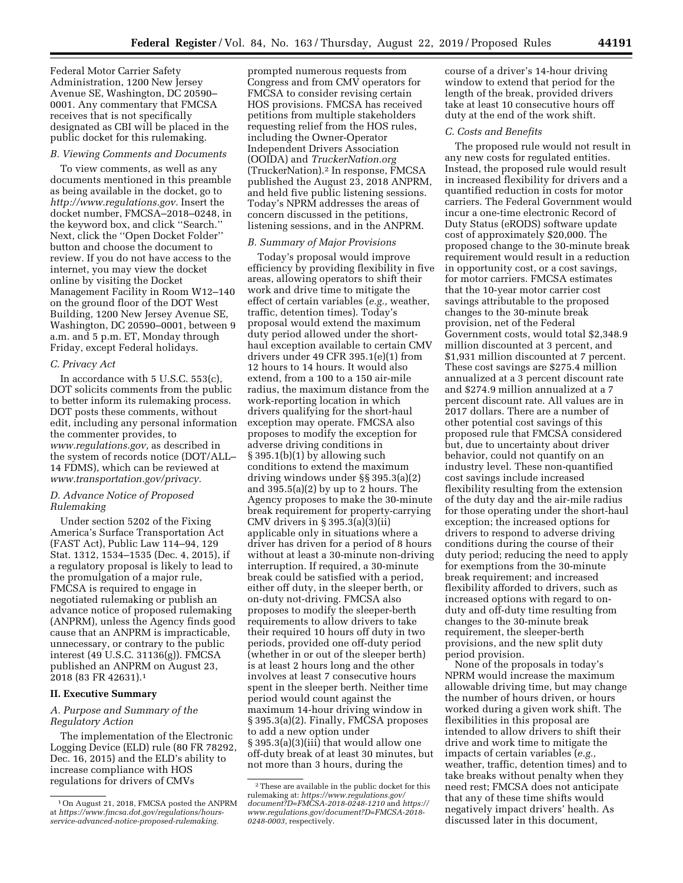Federal Motor Carrier Safety Administration, 1200 New Jersey Avenue SE, Washington, DC 20590– 0001. Any commentary that FMCSA receives that is not specifically designated as CBI will be placed in the public docket for this rulemaking.

### *B. Viewing Comments and Documents*

To view comments, as well as any documents mentioned in this preamble as being available in the docket, go to *http://www.regulations.gov.* Insert the docket number, FMCSA–2018–0248, in the keyword box, and click ''Search.'' Next, click the ''Open Docket Folder'' button and choose the document to review. If you do not have access to the internet, you may view the docket online by visiting the Docket Management Facility in Room W12–140 on the ground floor of the DOT West Building, 1200 New Jersey Avenue SE, Washington, DC 20590–0001, between 9 a.m. and 5 p.m. ET, Monday through Friday, except Federal holidays.

## *C. Privacy Act*

In accordance with 5 U.S.C. 553(c), DOT solicits comments from the public to better inform its rulemaking process. DOT posts these comments, without edit, including any personal information the commenter provides, to *www.regulations.gov,* as described in the system of records notice (DOT/ALL– 14 FDMS), which can be reviewed at *www.transportation.gov/privacy.* 

# *D. Advance Notice of Proposed Rulemaking*

Under section 5202 of the Fixing America's Surface Transportation Act (FAST Act), Public Law 114–94, 129 Stat. 1312, 1534–1535 (Dec. 4, 2015), if a regulatory proposal is likely to lead to the promulgation of a major rule, FMCSA is required to engage in negotiated rulemaking or publish an advance notice of proposed rulemaking (ANPRM), unless the Agency finds good cause that an ANPRM is impracticable, unnecessary, or contrary to the public interest (49 U.S.C. 31136(g)). FMCSA published an ANPRM on August 23, 2018 (83 FR 42631).1

# **II. Executive Summary**

# *A. Purpose and Summary of the Regulatory Action*

The implementation of the Electronic Logging Device (ELD) rule (80 FR 78292, Dec. 16, 2015) and the ELD's ability to increase compliance with HOS regulations for drivers of CMVs

prompted numerous requests from Congress and from CMV operators for FMCSA to consider revising certain HOS provisions. FMCSA has received petitions from multiple stakeholders requesting relief from the HOS rules, including the Owner-Operator Independent Drivers Association (OOIDA) and *TruckerNation.org*  (TruckerNation).2 In response, FMCSA published the August 23, 2018 ANPRM, and held five public listening sessions. Today's NPRM addresses the areas of concern discussed in the petitions, listening sessions, and in the ANPRM.

### *B. Summary of Major Provisions*

Today's proposal would improve efficiency by providing flexibility in five areas, allowing operators to shift their work and drive time to mitigate the effect of certain variables (*e.g.,* weather, traffic, detention times). Today's proposal would extend the maximum duty period allowed under the shorthaul exception available to certain CMV drivers under 49 CFR 395.1(e)(1) from 12 hours to 14 hours. It would also extend, from a 100 to a 150 air-mile radius, the maximum distance from the work-reporting location in which drivers qualifying for the short-haul exception may operate. FMCSA also proposes to modify the exception for adverse driving conditions in § 395.1(b)(1) by allowing such conditions to extend the maximum driving windows under §§ 395.3(a)(2) and 395.5(a)(2) by up to 2 hours. The Agency proposes to make the 30-minute break requirement for property-carrying CMV drivers in § 395.3(a)(3)(ii) applicable only in situations where a driver has driven for a period of 8 hours without at least a 30-minute non-driving interruption. If required, a 30-minute break could be satisfied with a period, either off duty, in the sleeper berth, or on-duty not-driving. FMCSA also proposes to modify the sleeper-berth requirements to allow drivers to take their required 10 hours off duty in two periods, provided one off-duty period (whether in or out of the sleeper berth) is at least 2 hours long and the other involves at least 7 consecutive hours spent in the sleeper berth. Neither time period would count against the maximum 14-hour driving window in § 395.3(a)(2). Finally, FMCSA proposes to add a new option under § 395.3(a)(3)(iii) that would allow one off-duty break of at least 30 minutes, but not more than 3 hours, during the

course of a driver's 14-hour driving window to extend that period for the length of the break, provided drivers take at least 10 consecutive hours off duty at the end of the work shift.

#### *C. Costs and Benefits*

The proposed rule would not result in any new costs for regulated entities. Instead, the proposed rule would result in increased flexibility for drivers and a quantified reduction in costs for motor carriers. The Federal Government would incur a one-time electronic Record of Duty Status (eRODS) software update cost of approximately \$20,000. The proposed change to the 30-minute break requirement would result in a reduction in opportunity cost, or a cost savings, for motor carriers. FMCSA estimates that the 10-year motor carrier cost savings attributable to the proposed changes to the 30-minute break provision, net of the Federal Government costs, would total \$2,348.9 million discounted at 3 percent, and \$1,931 million discounted at 7 percent. These cost savings are \$275.4 million annualized at a 3 percent discount rate and \$274.9 million annualized at a 7 percent discount rate. All values are in 2017 dollars. There are a number of other potential cost savings of this proposed rule that FMCSA considered but, due to uncertainty about driver behavior, could not quantify on an industry level. These non-quantified cost savings include increased flexibility resulting from the extension of the duty day and the air-mile radius for those operating under the short-haul exception; the increased options for drivers to respond to adverse driving conditions during the course of their duty period; reducing the need to apply for exemptions from the 30-minute break requirement; and increased flexibility afforded to drivers, such as increased options with regard to onduty and off-duty time resulting from changes to the 30-minute break requirement, the sleeper-berth provisions, and the new split duty period provision.

None of the proposals in today's NPRM would increase the maximum allowable driving time, but may change the number of hours driven, or hours worked during a given work shift. The flexibilities in this proposal are intended to allow drivers to shift their drive and work time to mitigate the impacts of certain variables (*e.g.,*  weather, traffic, detention times) and to take breaks without penalty when they need rest; FMCSA does not anticipate that any of these time shifts would negatively impact drivers' health. As discussed later in this document,

<sup>1</sup>On August 21, 2018, FMCSA posted the ANPRM at *https://www.fmcsa.dot.gov/regulations/hoursservice-advanced-notice-proposed-rulemaking.* 

 $\overline{\text{ }^2\text{These}}$  are available in the public docket for this rulemaking at: *https://www.regulations.gov/ document?D=FMCSA-2018-0248-1210* and *https:// www.regulations.gov/document?D=FMCSA-2018- 0248-0003,* respectively.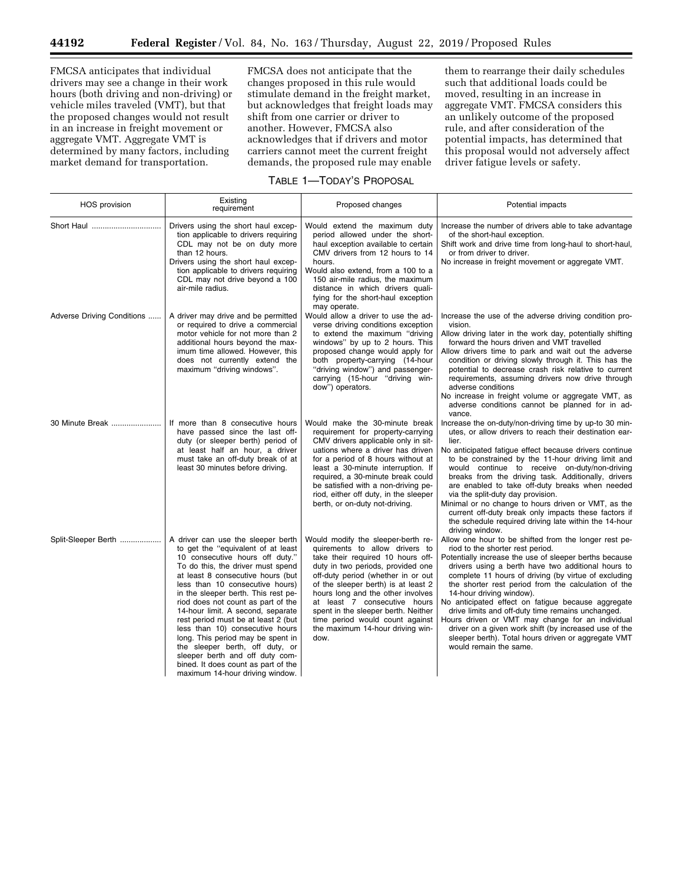FMCSA anticipates that individual drivers may see a change in their work hours (both driving and non-driving) or vehicle miles traveled (VMT), but that the proposed changes would not result in an increase in freight movement or aggregate VMT. Aggregate VMT is determined by many factors, including market demand for transportation.

FMCSA does not anticipate that the changes proposed in this rule would stimulate demand in the freight market, but acknowledges that freight loads may shift from one carrier or driver to another. However, FMCSA also acknowledges that if drivers and motor carriers cannot meet the current freight demands, the proposed rule may enable

them to rearrange their daily schedules such that additional loads could be moved, resulting in an increase in aggregate VMT. FMCSA considers this an unlikely outcome of the proposed rule, and after consideration of the potential impacts, has determined that this proposal would not adversely affect driver fatigue levels or safety.

# TABLE 1—TODAY'S PROPOSAL

| HOS provision              | Existing<br>requirement                                                                                                                                                                                                                                                                                                                                                                                                                                                                                                                                                                                   | Proposed changes                                                                                                                                                                                                                                                                                                                                                                                                       | Potential impacts                                                                                                                                                                                                                                                                                                                                                                                                                                                                                                                                                                                                                                             |
|----------------------------|-----------------------------------------------------------------------------------------------------------------------------------------------------------------------------------------------------------------------------------------------------------------------------------------------------------------------------------------------------------------------------------------------------------------------------------------------------------------------------------------------------------------------------------------------------------------------------------------------------------|------------------------------------------------------------------------------------------------------------------------------------------------------------------------------------------------------------------------------------------------------------------------------------------------------------------------------------------------------------------------------------------------------------------------|---------------------------------------------------------------------------------------------------------------------------------------------------------------------------------------------------------------------------------------------------------------------------------------------------------------------------------------------------------------------------------------------------------------------------------------------------------------------------------------------------------------------------------------------------------------------------------------------------------------------------------------------------------------|
| Short Haul                 | Drivers using the short haul excep-<br>tion applicable to drivers requiring<br>CDL may not be on duty more<br>than 12 hours.<br>Drivers using the short haul excep-<br>tion applicable to drivers requiring<br>CDL may not drive beyond a 100<br>air-mile radius.                                                                                                                                                                                                                                                                                                                                         | Would extend the maximum duty<br>period allowed under the short-<br>haul exception available to certain<br>CMV drivers from 12 hours to 14<br>hours.<br>Would also extend, from a 100 to a<br>150 air-mile radius, the maximum<br>distance in which drivers quali-<br>fying for the short-haul exception<br>may operate.                                                                                               | Increase the number of drivers able to take advantage<br>of the short-haul exception.<br>Shift work and drive time from long-haul to short-haul,<br>or from driver to driver.<br>No increase in freight movement or aggregate VMT.                                                                                                                                                                                                                                                                                                                                                                                                                            |
| Adverse Driving Conditions | A driver may drive and be permitted<br>or required to drive a commercial<br>motor vehicle for not more than 2<br>additional hours beyond the max-<br>imum time allowed. However, this<br>does not currently extend the<br>maximum "driving windows".                                                                                                                                                                                                                                                                                                                                                      | Would allow a driver to use the ad-<br>verse driving conditions exception<br>to extend the maximum "driving<br>windows" by up to 2 hours. This<br>proposed change would apply for<br>both property-carrying (14-hour<br>"driving window") and passenger-<br>carrying (15-hour "driving win-<br>dow") operators.                                                                                                        | Increase the use of the adverse driving condition pro-<br>vision.<br>Allow driving later in the work day, potentially shifting<br>forward the hours driven and VMT travelled<br>Allow drivers time to park and wait out the adverse<br>condition or driving slowly through it. This has the<br>potential to decrease crash risk relative to current<br>requirements, assuming drivers now drive through<br>adverse conditions<br>No increase in freight volume or aggregate VMT, as<br>adverse conditions cannot be planned for in ad-<br>vance.                                                                                                              |
| 30 Minute Break            | If more than 8 consecutive hours<br>have passed since the last off-<br>duty (or sleeper berth) period of<br>at least half an hour, a driver<br>must take an off-duty break of at<br>least 30 minutes before driving.                                                                                                                                                                                                                                                                                                                                                                                      | Would make the 30-minute break<br>requirement for property-carrying<br>CMV drivers applicable only in sit-<br>uations where a driver has driven<br>for a period of 8 hours without at<br>least a 30-minute interruption. If<br>required, a 30-minute break could<br>be satisfied with a non-driving pe-<br>riod, either off duty, in the sleeper<br>berth, or on-duty not-driving.                                     | Increase the on-duty/non-driving time by up-to 30 min-<br>utes, or allow drivers to reach their destination ear-<br>lier.<br>No anticipated fatique effect because drivers continue<br>to be constrained by the 11-hour driving limit and<br>would continue to receive on-duty/non-driving<br>breaks from the driving task. Additionally, drivers<br>are enabled to take off-duty breaks when needed<br>via the split-duty day provision.<br>Minimal or no change to hours driven or VMT, as the<br>current off-duty break only impacts these factors if<br>the schedule required driving late within the 14-hour<br>driving window.                          |
| Split-Sleeper Berth        | A driver can use the sleeper berth<br>to get the "equivalent of at least<br>10 consecutive hours off duty."<br>To do this, the driver must spend<br>at least 8 consecutive hours (but<br>less than 10 consecutive hours)<br>in the sleeper berth. This rest pe-<br>riod does not count as part of the<br>14-hour limit. A second, separate<br>rest period must be at least 2 (but<br>less than 10) consecutive hours<br>long. This period may be spent in<br>the sleeper berth, off duty, or<br>sleeper berth and off duty com-<br>bined. It does count as part of the<br>maximum 14-hour driving window. | Would modify the sleeper-berth re-<br>quirements to allow drivers to<br>take their required 10 hours off-<br>duty in two periods, provided one<br>off-duty period (whether in or out<br>of the sleeper berth) is at least 2<br>hours long and the other involves<br>at least 7 consecutive hours<br>spent in the sleeper berth. Neither<br>time period would count against<br>the maximum 14-hour driving win-<br>dow. | Allow one hour to be shifted from the longer rest pe-<br>riod to the shorter rest period.<br>Potentially increase the use of sleeper berths because<br>drivers using a berth have two additional hours to<br>complete 11 hours of driving (by virtue of excluding<br>the shorter rest period from the calculation of the<br>14-hour driving window).<br>No anticipated effect on fatigue because aggregate<br>drive limits and off-duty time remains unchanged.<br>Hours driven or VMT may change for an individual<br>driver on a given work shift (by increased use of the<br>sleeper berth). Total hours driven or aggregate VMT<br>would remain the same. |

maximum 14-hour driving window.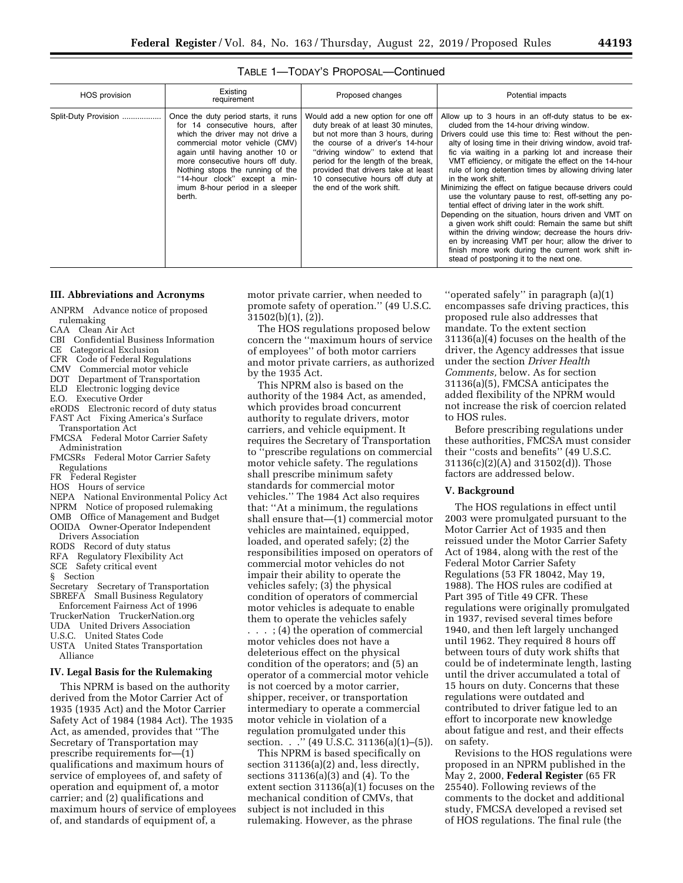| л |  | ı | ٠       |
|---|--|---|---------|
|   |  | ٠ | n<br>۰. |

| HOS provision        | Existing<br>requirement                                                                                                                                                                                                                                                                                                                 | Proposed changes                                                                                                                                                                                                                                                                                                                     | Potential impacts                                                                                                                                                                                                                                                                                                                                                                                                                                                                                                                                                                                                                                                                                                                                                                                                                                                                                                       |
|----------------------|-----------------------------------------------------------------------------------------------------------------------------------------------------------------------------------------------------------------------------------------------------------------------------------------------------------------------------------------|--------------------------------------------------------------------------------------------------------------------------------------------------------------------------------------------------------------------------------------------------------------------------------------------------------------------------------------|-------------------------------------------------------------------------------------------------------------------------------------------------------------------------------------------------------------------------------------------------------------------------------------------------------------------------------------------------------------------------------------------------------------------------------------------------------------------------------------------------------------------------------------------------------------------------------------------------------------------------------------------------------------------------------------------------------------------------------------------------------------------------------------------------------------------------------------------------------------------------------------------------------------------------|
| Split-Duty Provision | Once the duty period starts, it runs<br>for 14 consecutive hours, after<br>which the driver may not drive a<br>commercial motor vehicle (CMV)<br>again until having another 10 or<br>more consecutive hours off duty.<br>Nothing stops the running of the<br>"14-hour clock" except a min-<br>imum 8-hour period in a sleeper<br>berth. | Would add a new option for one off<br>duty break of at least 30 minutes,<br>but not more than 3 hours, during<br>the course of a driver's 14-hour<br>"driving window" to extend that<br>period for the length of the break,<br>provided that drivers take at least<br>10 consecutive hours off duty at<br>the end of the work shift. | Allow up to 3 hours in an off-duty status to be ex-<br>cluded from the 14-hour driving window.<br>Drivers could use this time to: Rest without the pen-<br>alty of losing time in their driving window, avoid traf-<br>fic via waiting in a parking lot and increase their<br>VMT efficiency, or mitigate the effect on the 14-hour<br>rule of long detention times by allowing driving later<br>in the work shift.<br>Minimizing the effect on fatigue because drivers could<br>use the voluntary pause to rest, off-setting any po-<br>tential effect of driving later in the work shift.<br>Depending on the situation, hours driven and VMT on<br>a given work shift could: Remain the same but shift<br>within the driving window; decrease the hours driv-<br>en by increasing VMT per hour; allow the driver to<br>finish more work during the current work shift in-<br>stead of postponing it to the next one. |

# TABLE 1—TODAY'S PROPOSAL—Continued

## **III. Abbreviations and Acronyms**

ANPRM Advance notice of proposed rulemaking

- CAA Clean Air Act
- CBI Confidential Business Information
- CE Categorical Exclusion
- CFR Code of Federal Regulations
- CMV Commercial motor vehicle
- DOT Department of Transportation
- ELD Electronic logging device
- E.O. Executive Order
- eRODS Electronic record of duty status
- FAST Act Fixing America's Surface Transportation Act
- FMCSA Federal Motor Carrier Safety Administration
- FMCSRs Federal Motor Carrier Safety Regulations
- FR Federal Register
- HOS Hours of service
- NEPA National Environmental Policy Act
- NPRM Notice of proposed rulemaking
- OMB Office of Management and Budget
- OOIDA Owner-Operator Independent Drivers Association
- RODS Record of duty status
- RFA Regulatory Flexibility Act
- SCE Safety critical event
- § Section
- Secretary Secretary of Transportation
- SBREFA Small Business Regulatory
- Enforcement Fairness Act of 1996
- TruckerNation TruckerNation.org
- UDA United Drivers Association
- U.S.C. United States Code
- USTA United States Transportation
- Alliance

# **IV. Legal Basis for the Rulemaking**

This NPRM is based on the authority derived from the Motor Carrier Act of 1935 (1935 Act) and the Motor Carrier Safety Act of 1984 (1984 Act). The 1935 Act, as amended, provides that ''The Secretary of Transportation may prescribe requirements for—(1) qualifications and maximum hours of service of employees of, and safety of operation and equipment of, a motor carrier; and (2) qualifications and maximum hours of service of employees of, and standards of equipment of, a

motor private carrier, when needed to promote safety of operation.'' (49 U.S.C. 31502(b)(1), (2)).

The HOS regulations proposed below concern the ''maximum hours of service of employees'' of both motor carriers and motor private carriers, as authorized by the 1935 Act.

This NPRM also is based on the

authority of the 1984 Act, as amended, which provides broad concurrent authority to regulate drivers, motor carriers, and vehicle equipment. It requires the Secretary of Transportation to ''prescribe regulations on commercial motor vehicle safety. The regulations shall prescribe minimum safety standards for commercial motor vehicles.'' The 1984 Act also requires that: ''At a minimum, the regulations shall ensure that—(1) commercial motor vehicles are maintained, equipped, loaded, and operated safely; (2) the responsibilities imposed on operators of commercial motor vehicles do not impair their ability to operate the vehicles safely; (3) the physical condition of operators of commercial motor vehicles is adequate to enable them to operate the vehicles safely . . . ; (4) the operation of commercial motor vehicles does not have a deleterious effect on the physical condition of the operators; and (5) an operator of a commercial motor vehicle is not coerced by a motor carrier, shipper, receiver, or transportation intermediary to operate a commercial motor vehicle in violation of a regulation promulgated under this section. . . <sup>"</sup> (49 U.S.C. 31136(a)(1)-(5)).

This NPRM is based specifically on section 31136(a)(2) and, less directly, sections 31136(a)(3) and (4). To the extent section 31136(a)(1) focuses on the mechanical condition of CMVs, that subject is not included in this rulemaking. However, as the phrase

''operated safely'' in paragraph (a)(1) encompasses safe driving practices, this proposed rule also addresses that mandate. To the extent section 31136(a)(4) focuses on the health of the driver, the Agency addresses that issue under the section *Driver Health Comments,* below. As for section 31136(a)(5), FMCSA anticipates the added flexibility of the NPRM would not increase the risk of coercion related to HOS rules.

Before prescribing regulations under these authorities, FMCSA must consider their ''costs and benefits'' (49 U.S.C. 31136(c)(2)(A) and 31502(d)). Those factors are addressed below.

# **V. Background**

The HOS regulations in effect until 2003 were promulgated pursuant to the Motor Carrier Act of 1935 and then reissued under the Motor Carrier Safety Act of 1984, along with the rest of the Federal Motor Carrier Safety Regulations (53 FR 18042, May 19, 1988). The HOS rules are codified at Part 395 of Title 49 CFR. These regulations were originally promulgated in 1937, revised several times before 1940, and then left largely unchanged until 1962. They required 8 hours off between tours of duty work shifts that could be of indeterminate length, lasting until the driver accumulated a total of 15 hours on duty. Concerns that these regulations were outdated and contributed to driver fatigue led to an effort to incorporate new knowledge about fatigue and rest, and their effects on safety.

Revisions to the HOS regulations were proposed in an NPRM published in the May 2, 2000, **Federal Register** (65 FR 25540). Following reviews of the comments to the docket and additional study, FMCSA developed a revised set of HOS regulations. The final rule (the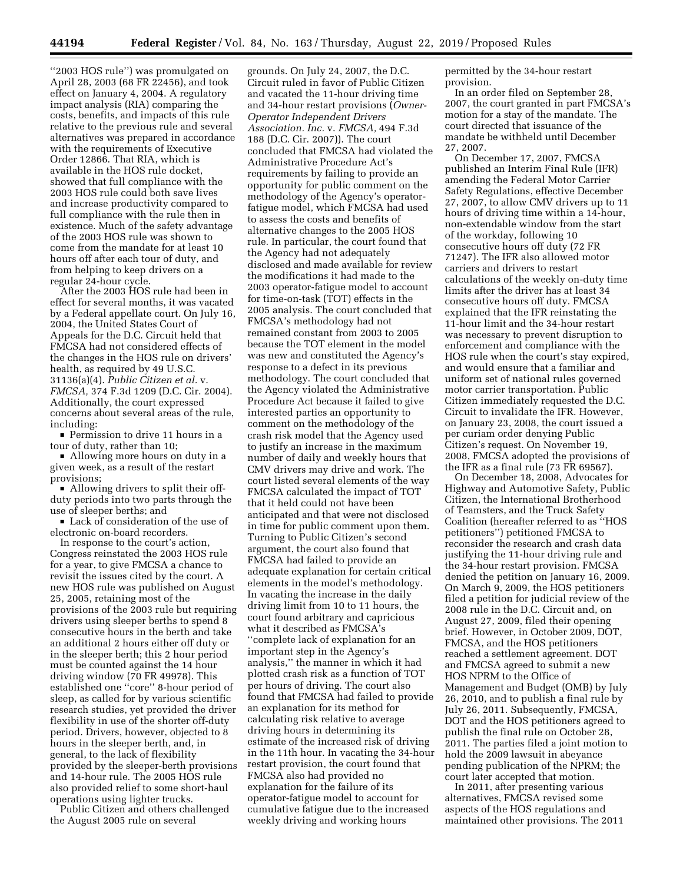''2003 HOS rule'') was promulgated on April 28, 2003 (68 FR 22456), and took effect on January 4, 2004. A regulatory impact analysis (RIA) comparing the costs, benefits, and impacts of this rule relative to the previous rule and several alternatives was prepared in accordance with the requirements of Executive Order 12866. That RIA, which is available in the HOS rule docket, showed that full compliance with the 2003 HOS rule could both save lives and increase productivity compared to full compliance with the rule then in existence. Much of the safety advantage of the 2003 HOS rule was shown to come from the mandate for at least 10 hours off after each tour of duty, and from helping to keep drivers on a regular 24-hour cycle.

After the 2003 HOS rule had been in effect for several months, it was vacated by a Federal appellate court. On July 16, 2004, the United States Court of Appeals for the D.C. Circuit held that FMCSA had not considered effects of the changes in the HOS rule on drivers' health, as required by 49 U.S.C. 31136(a)(4). *Public Citizen et al.* v. *FMCSA,* 374 F.3d 1209 (D.C. Cir. 2004). Additionally, the court expressed concerns about several areas of the rule, including:

**Permission to drive 11 hours in a** tour of duty, rather than 10;

Allowing more hours on duty in a given week, as a result of the restart provisions;

In Allowing drivers to split their offduty periods into two parts through the use of sleeper berths; and

 $\blacksquare$  Lack of consideration of the use of electronic on-board recorders.

In response to the court's action, Congress reinstated the 2003 HOS rule for a year, to give FMCSA a chance to revisit the issues cited by the court. A new HOS rule was published on August 25, 2005, retaining most of the provisions of the 2003 rule but requiring drivers using sleeper berths to spend 8 consecutive hours in the berth and take an additional 2 hours either off duty or in the sleeper berth; this 2 hour period must be counted against the 14 hour driving window (70 FR 49978). This established one ''core'' 8-hour period of sleep, as called for by various scientific research studies, yet provided the driver flexibility in use of the shorter off-duty period. Drivers, however, objected to 8 hours in the sleeper berth, and, in general, to the lack of flexibility provided by the sleeper-berth provisions and 14-hour rule. The 2005 HOS rule also provided relief to some short-haul operations using lighter trucks.

Public Citizen and others challenged the August 2005 rule on several

grounds. On July 24, 2007, the D.C. Circuit ruled in favor of Public Citizen and vacated the 11-hour driving time and 34-hour restart provisions (*Owner-Operator Independent Drivers Association. Inc.* v. *FMCSA,* 494 F.3d 188 (D.C. Cir. 2007)). The court concluded that FMCSA had violated the Administrative Procedure Act's requirements by failing to provide an opportunity for public comment on the methodology of the Agency's operatorfatigue model, which FMCSA had used to assess the costs and benefits of alternative changes to the 2005 HOS rule. In particular, the court found that the Agency had not adequately disclosed and made available for review the modifications it had made to the 2003 operator-fatigue model to account for time-on-task (TOT) effects in the 2005 analysis. The court concluded that FMCSA's methodology had not remained constant from 2003 to 2005 because the TOT element in the model was new and constituted the Agency's response to a defect in its previous methodology. The court concluded that the Agency violated the Administrative Procedure Act because it failed to give interested parties an opportunity to comment on the methodology of the crash risk model that the Agency used to justify an increase in the maximum number of daily and weekly hours that CMV drivers may drive and work. The court listed several elements of the way FMCSA calculated the impact of TOT that it held could not have been anticipated and that were not disclosed in time for public comment upon them. Turning to Public Citizen's second argument, the court also found that FMCSA had failed to provide an adequate explanation for certain critical elements in the model's methodology. In vacating the increase in the daily driving limit from 10 to 11 hours, the court found arbitrary and capricious what it described as FMCSA's ''complete lack of explanation for an important step in the Agency's analysis,'' the manner in which it had plotted crash risk as a function of TOT per hours of driving. The court also found that FMCSA had failed to provide an explanation for its method for calculating risk relative to average driving hours in determining its estimate of the increased risk of driving in the 11th hour. In vacating the 34-hour restart provision, the court found that FMCSA also had provided no explanation for the failure of its operator-fatigue model to account for cumulative fatigue due to the increased weekly driving and working hours

permitted by the 34-hour restart provision.

In an order filed on September 28, 2007, the court granted in part FMCSA's motion for a stay of the mandate. The court directed that issuance of the mandate be withheld until December 27, 2007.

On December 17, 2007, FMCSA published an Interim Final Rule (IFR) amending the Federal Motor Carrier Safety Regulations, effective December 27, 2007, to allow CMV drivers up to 11 hours of driving time within a 14-hour, non-extendable window from the start of the workday, following 10 consecutive hours off duty (72 FR 71247). The IFR also allowed motor carriers and drivers to restart calculations of the weekly on-duty time limits after the driver has at least 34 consecutive hours off duty. FMCSA explained that the IFR reinstating the 11-hour limit and the 34-hour restart was necessary to prevent disruption to enforcement and compliance with the HOS rule when the court's stay expired, and would ensure that a familiar and uniform set of national rules governed motor carrier transportation. Public Citizen immediately requested the D.C. Circuit to invalidate the IFR. However, on January 23, 2008, the court issued a per curiam order denying Public Citizen's request. On November 19, 2008, FMCSA adopted the provisions of the IFR as a final rule (73 FR 69567).

On December 18, 2008, Advocates for Highway and Automotive Safety, Public Citizen, the International Brotherhood of Teamsters, and the Truck Safety Coalition (hereafter referred to as ''HOS petitioners'') petitioned FMCSA to reconsider the research and crash data justifying the 11-hour driving rule and the 34-hour restart provision. FMCSA denied the petition on January 16, 2009. On March 9, 2009, the HOS petitioners filed a petition for judicial review of the 2008 rule in the D.C. Circuit and, on August 27, 2009, filed their opening brief. However, in October 2009, DOT, FMCSA, and the HOS petitioners reached a settlement agreement. DOT and FMCSA agreed to submit a new HOS NPRM to the Office of Management and Budget (OMB) by July 26, 2010, and to publish a final rule by July 26, 2011. Subsequently, FMCSA, DOT and the HOS petitioners agreed to publish the final rule on October 28, 2011. The parties filed a joint motion to hold the 2009 lawsuit in abeyance pending publication of the NPRM; the court later accepted that motion.

In 2011, after presenting various alternatives, FMCSA revised some aspects of the HOS regulations and maintained other provisions. The 2011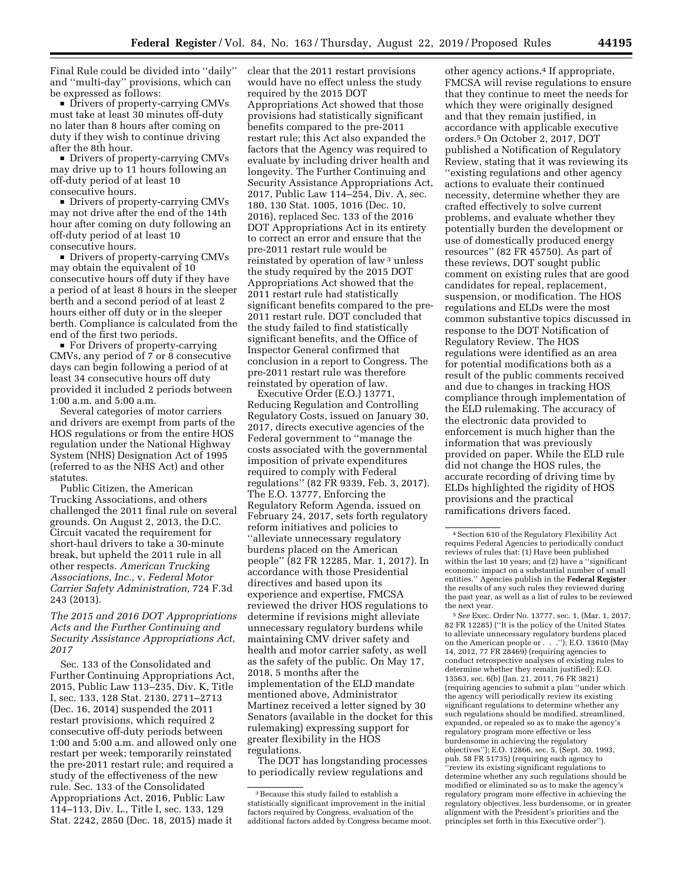Final Rule could be divided into ''daily'' and ''multi-day'' provisions, which can be expressed as follows:

**Drivers of property-carrying CMVs** must take at least 30 minutes off-duty no later than 8 hours after coming on duty if they wish to continue driving after the 8th hour.

• Drivers of property-carrying CMVs may drive up to 11 hours following an off-duty period of at least 10 consecutive hours.

• Drivers of property-carrying CMVs may not drive after the end of the 14th hour after coming on duty following an off-duty period of at least 10 consecutive hours.

• Drivers of property-carrying CMVs may obtain the equivalent of 10 consecutive hours off duty if they have a period of at least 8 hours in the sleeper berth and a second period of at least 2 hours either off duty or in the sleeper berth. Compliance is calculated from the end of the first two periods.

■ For Drivers of property-carrying CMVs, any period of 7 or 8 consecutive days can begin following a period of at least 34 consecutive hours off duty provided it included 2 periods between 1:00 a.m. and 5:00 a.m.

Several categories of motor carriers and drivers are exempt from parts of the HOS regulations or from the entire HOS regulation under the National Highway System (NHS) Designation Act of 1995 (referred to as the NHS Act) and other statutes.

Public Citizen, the American Trucking Associations, and others challenged the 2011 final rule on several grounds. On August 2, 2013, the D.C. Circuit vacated the requirement for short-haul drivers to take a 30-minute break, but upheld the 2011 rule in all other respects. *American Trucking Associations, Inc.,* v. *Federal Motor Carrier Safety Administration,* 724 F.3d 243 (2013).

# *The 2015 and 2016 DOT Appropriations Acts and the Further Continuing and Security Assistance Appropriations Act, 2017*

Sec. 133 of the Consolidated and Further Continuing Appropriations Act, 2015, Public Law 113–235, Div. K, Title I, sec. 133, 128 Stat. 2130, 2711–2713 (Dec. 16, 2014) suspended the 2011 restart provisions, which required 2 consecutive off-duty periods between 1:00 and 5:00 a.m. and allowed only one restart per week; temporarily reinstated the pre-2011 restart rule; and required a study of the effectiveness of the new rule. Sec. 133 of the Consolidated Appropriations Act, 2016, Public Law 114–113, Div. L., Title I, sec. 133, 129 Stat. 2242, 2850 (Dec. 18, 2015) made it

clear that the 2011 restart provisions would have no effect unless the study required by the 2015 DOT Appropriations Act showed that those provisions had statistically significant benefits compared to the pre-2011 restart rule; this Act also expanded the factors that the Agency was required to evaluate by including driver health and longevity. The Further Continuing and Security Assistance Appropriations Act, 2017, Public Law 114–254, Div. A, sec. 180, 130 Stat. 1005, 1016 (Dec. 10, 2016), replaced Sec. 133 of the 2016 DOT Appropriations Act in its entirety to correct an error and ensure that the pre-2011 restart rule would be reinstated by operation of law 3 unless the study required by the 2015 DOT Appropriations Act showed that the 2011 restart rule had statistically significant benefits compared to the pre-2011 restart rule. DOT concluded that the study failed to find statistically significant benefits, and the Office of Inspector General confirmed that conclusion in a report to Congress. The pre-2011 restart rule was therefore reinstated by operation of law.

Executive Order (E.O.) 13771, Reducing Regulation and Controlling Regulatory Costs, issued on January 30, 2017, directs executive agencies of the Federal government to ''manage the costs associated with the governmental imposition of private expenditures required to comply with Federal regulations'' (82 FR 9339, Feb. 3, 2017). The E.O. 13777, Enforcing the Regulatory Reform Agenda, issued on February 24, 2017, sets forth regulatory reform initiatives and policies to ''alleviate unnecessary regulatory burdens placed on the American people'' (82 FR 12285, Mar. 1, 2017). In accordance with those Presidential directives and based upon its experience and expertise, FMCSA reviewed the driver HOS regulations to determine if revisions might alleviate unnecessary regulatory burdens while maintaining CMV driver safety and health and motor carrier safety, as well as the safety of the public. On May 17, 2018, 5 months after the implementation of the ELD mandate mentioned above, Administrator Martinez received a letter signed by 30 Senators (available in the docket for this rulemaking) expressing support for greater flexibility in the HOS regulations.

The DOT has longstanding processes to periodically review regulations and

other agency actions.4 If appropriate, FMCSA will revise regulations to ensure that they continue to meet the needs for which they were originally designed and that they remain justified, in accordance with applicable executive orders.5 On October 2, 2017, DOT published a Notification of Regulatory Review, stating that it was reviewing its ''existing regulations and other agency actions to evaluate their continued necessity, determine whether they are crafted effectively to solve current problems, and evaluate whether they potentially burden the development or use of domestically produced energy resources'' (82 FR 45750). As part of these reviews, DOT sought public comment on existing rules that are good candidates for repeal, replacement, suspension, or modification. The HOS regulations and ELDs were the most common substantive topics discussed in response to the DOT Notification of Regulatory Review. The HOS regulations were identified as an area for potential modifications both as a result of the public comments received and due to changes in tracking HOS compliance through implementation of the ELD rulemaking. The accuracy of the electronic data provided to enforcement is much higher than the information that was previously provided on paper. While the ELD rule did not change the HOS rules, the accurate recording of driving time by ELDs highlighted the rigidity of HOS provisions and the practical ramifications drivers faced.

5*See* Exec. Order No. 13777, sec. 1, (Mar. 1, 2017, 82 FR 12285) (''It is the policy of the United States to alleviate unnecessary regulatory burdens placed on the American people or . . .''); E.O. 13610 (May 14, 2012, 77 FR 28469) (requiring agencies to conduct retrospective analyses of existing rules to determine whether they remain justified); E.O. 13563, sec. 6(b) (Jan. 21, 2011, 76 FR 3821) (requiring agencies to submit a plan ''under which the agency will periodically review its existing significant regulations to determine whether any such regulations should be modified, streamlined, expanded, or repealed so as to make the agency's regulatory program more effective or less burdensome in achieving the regulatory objectives''); E.O. 12866, sec. 5, (Sept. 30, 1993, pub. 58 FR 51735) (requiring each agency to ''review its existing significant regulations to determine whether any such regulations should be modified or eliminated so as to make the agency's regulatory program more effective in achieving the regulatory objectives, less burdensome, or in greater alignment with the President's priorities and the principles set forth in this Executive order'').

<sup>3</sup>Because this study failed to establish a statistically significant improvement in the initial factors required by Congress, evaluation of the additional factors added by Congress became moot.

<sup>4</sup>Section 610 of the Regulatory Flexibility Act requires Federal Agencies to periodically conduct reviews of rules that: (1) Have been published within the last 10 years; and (2) have a ''significant economic impact on a substantial number of small entities.'' Agencies publish in the **Federal Register**  the results of any such rules they reviewed during the past year, as well as a list of rules to be reviewed the next year.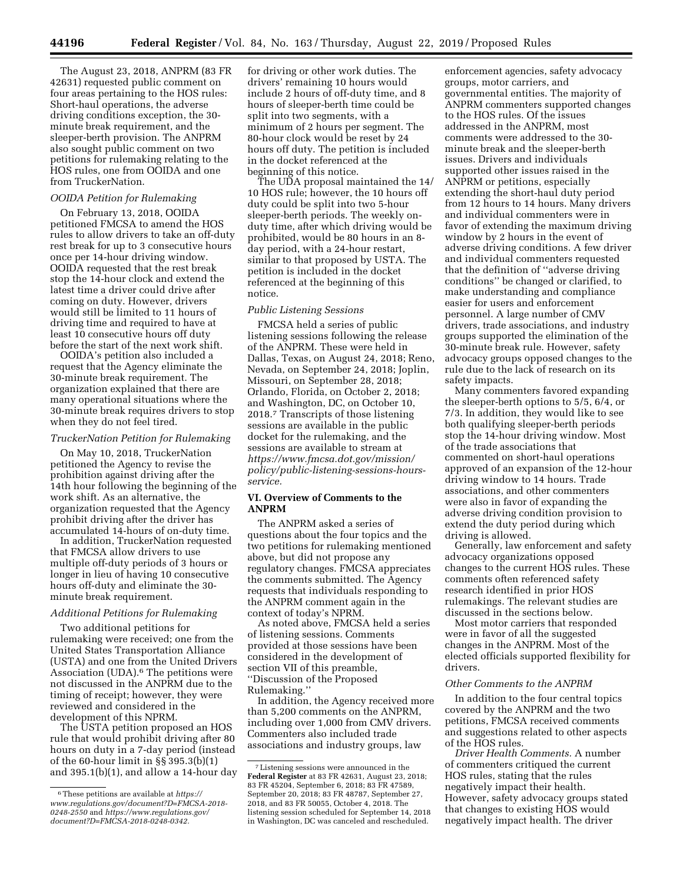The August 23, 2018, ANPRM (83 FR 42631) requested public comment on four areas pertaining to the HOS rules: Short-haul operations, the adverse driving conditions exception, the 30 minute break requirement, and the sleeper-berth provision. The ANPRM also sought public comment on two petitions for rulemaking relating to the HOS rules, one from OOIDA and one from TruckerNation.

### *OOIDA Petition for Rulemaking*

On February 13, 2018, OOIDA petitioned FMCSA to amend the HOS rules to allow drivers to take an off-duty rest break for up to 3 consecutive hours once per 14-hour driving window. OOIDA requested that the rest break stop the 14-hour clock and extend the latest time a driver could drive after coming on duty. However, drivers would still be limited to 11 hours of driving time and required to have at least 10 consecutive hours off duty before the start of the next work shift.

OOIDA's petition also included a request that the Agency eliminate the 30-minute break requirement. The organization explained that there are many operational situations where the 30-minute break requires drivers to stop when they do not feel tired.

### *TruckerNation Petition for Rulemaking*

On May 10, 2018, TruckerNation petitioned the Agency to revise the prohibition against driving after the 14th hour following the beginning of the work shift. As an alternative, the organization requested that the Agency prohibit driving after the driver has accumulated 14-hours of on-duty time.

In addition, TruckerNation requested that FMCSA allow drivers to use multiple off-duty periods of 3 hours or longer in lieu of having 10 consecutive hours off-duty and eliminate the 30 minute break requirement.

## *Additional Petitions for Rulemaking*

Two additional petitions for rulemaking were received; one from the United States Transportation Alliance (USTA) and one from the United Drivers Association (UDA).<sup>6</sup> The petitions were not discussed in the ANPRM due to the timing of receipt; however, they were reviewed and considered in the development of this NPRM.

The USTA petition proposed an HOS rule that would prohibit driving after 80 hours on duty in a 7-day period (instead of the 60-hour limit in §§ 395.3(b)(1) and 395.1(b)(1), and allow a 14-hour day for driving or other work duties. The drivers' remaining 10 hours would include 2 hours of off-duty time, and 8 hours of sleeper-berth time could be split into two segments, with a minimum of 2 hours per segment. The 80-hour clock would be reset by 24 hours off duty. The petition is included in the docket referenced at the beginning of this notice.

The UDA proposal maintained the 14/ 10 HOS rule; however, the 10 hours off duty could be split into two 5-hour sleeper-berth periods. The weekly onduty time, after which driving would be prohibited, would be 80 hours in an 8 day period, with a 24-hour restart, similar to that proposed by USTA. The petition is included in the docket referenced at the beginning of this notice.

# *Public Listening Sessions*

FMCSA held a series of public listening sessions following the release of the ANPRM. These were held in Dallas, Texas, on August 24, 2018; Reno, Nevada, on September 24, 2018; Joplin, Missouri, on September 28, 2018; Orlando, Florida, on October 2, 2018; and Washington, DC, on October 10, 2018.7 Transcripts of those listening sessions are available in the public docket for the rulemaking, and the sessions are available to stream at *https://www.fmcsa.dot.gov/mission/ policy/public-listening-sessions-hoursservice.* 

# **VI. Overview of Comments to the ANPRM**

The ANPRM asked a series of questions about the four topics and the two petitions for rulemaking mentioned above, but did not propose any regulatory changes. FMCSA appreciates the comments submitted. The Agency requests that individuals responding to the ANPRM comment again in the context of today's NPRM.

As noted above, FMCSA held a series of listening sessions. Comments provided at those sessions have been considered in the development of section VII of this preamble, ''Discussion of the Proposed Rulemaking.''

In addition, the Agency received more than 5,200 comments on the ANPRM, including over 1,000 from CMV drivers. Commenters also included trade associations and industry groups, law

enforcement agencies, safety advocacy groups, motor carriers, and governmental entities. The majority of ANPRM commenters supported changes to the HOS rules. Of the issues addressed in the ANPRM, most comments were addressed to the 30 minute break and the sleeper-berth issues. Drivers and individuals supported other issues raised in the ANPRM or petitions, especially extending the short-haul duty period from 12 hours to 14 hours. Many drivers and individual commenters were in favor of extending the maximum driving window by 2 hours in the event of adverse driving conditions. A few driver and individual commenters requested that the definition of ''adverse driving conditions'' be changed or clarified, to make understanding and compliance easier for users and enforcement personnel. A large number of CMV drivers, trade associations, and industry groups supported the elimination of the 30-minute break rule. However, safety advocacy groups opposed changes to the rule due to the lack of research on its safety impacts.

Many commenters favored expanding the sleeper-berth options to 5/5, 6/4, or 7/3. In addition, they would like to see both qualifying sleeper-berth periods stop the 14-hour driving window. Most of the trade associations that commented on short-haul operations approved of an expansion of the 12-hour driving window to 14 hours. Trade associations, and other commenters were also in favor of expanding the adverse driving condition provision to extend the duty period during which driving is allowed.

Generally, law enforcement and safety advocacy organizations opposed changes to the current HOS rules. These comments often referenced safety research identified in prior HOS rulemakings. The relevant studies are discussed in the sections below.

Most motor carriers that responded were in favor of all the suggested changes in the ANPRM. Most of the elected officials supported flexibility for drivers.

#### *Other Comments to the ANPRM*

In addition to the four central topics covered by the ANPRM and the two petitions, FMCSA received comments and suggestions related to other aspects of the HOS rules.

*Driver Health Comments.* A number of commenters critiqued the current HOS rules, stating that the rules negatively impact their health. However, safety advocacy groups stated that changes to existing HOS would negatively impact health. The driver

<sup>6</sup>These petitions are available at *https:// www.regulations.gov/document?D=FMCSA-2018- 0248-2550* and *https://www.regulations.gov/ document?D=FMCSA-2018-0248-0342.* 

<sup>7</sup>Listening sessions were announced in the **Federal Register** at 83 FR 42631, August 23, 2018; 83 FR 45204, September 6, 2018; 83 FR 47589, September 20, 2018; 83 FR 48787, September 27, 2018, and 83 FR 50055, October 4, 2018. The listening session scheduled for September 14, 2018 in Washington, DC was canceled and rescheduled.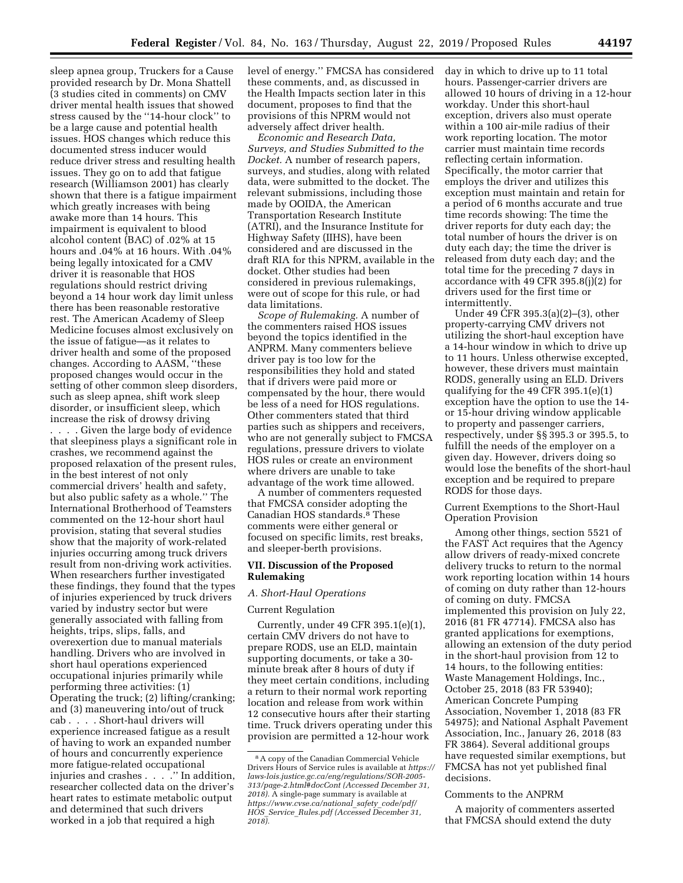sleep apnea group, Truckers for a Cause provided research by Dr. Mona Shattell (3 studies cited in comments) on CMV driver mental health issues that showed stress caused by the ''14-hour clock'' to be a large cause and potential health issues. HOS changes which reduce this documented stress inducer would reduce driver stress and resulting health issues. They go on to add that fatigue research (Williamson 2001) has clearly shown that there is a fatigue impairment which greatly increases with being awake more than 14 hours. This impairment is equivalent to blood alcohol content (BAC) of .02% at 15 hours and .04% at 16 hours. With .04% being legally intoxicated for a CMV driver it is reasonable that HOS regulations should restrict driving beyond a 14 hour work day limit unless there has been reasonable restorative rest. The American Academy of Sleep Medicine focuses almost exclusively on the issue of fatigue—as it relates to driver health and some of the proposed changes. According to AASM, ''these proposed changes would occur in the setting of other common sleep disorders, such as sleep apnea, shift work sleep disorder, or insufficient sleep, which increase the risk of drowsy driving

. . . . Given the large body of evidence that sleepiness plays a significant role in crashes, we recommend against the proposed relaxation of the present rules, in the best interest of not only commercial drivers' health and safety, but also public safety as a whole.'' The International Brotherhood of Teamsters commented on the 12-hour short haul provision, stating that several studies show that the majority of work-related injuries occurring among truck drivers result from non-driving work activities. When researchers further investigated these findings, they found that the types of injuries experienced by truck drivers varied by industry sector but were generally associated with falling from heights, trips, slips, falls, and overexertion due to manual materials handling. Drivers who are involved in short haul operations experienced occupational injuries primarily while performing three activities: (1) Operating the truck; (2) lifting/cranking; and (3) maneuvering into/out of truck cab . . . . Short-haul drivers will experience increased fatigue as a result of having to work an expanded number of hours and concurrently experience more fatigue-related occupational injuries and crashes . . . . . " In addition, researcher collected data on the driver's heart rates to estimate metabolic output and determined that such drivers worked in a job that required a high

level of energy.'' FMCSA has considered these comments, and, as discussed in the Health Impacts section later in this document, proposes to find that the provisions of this NPRM would not adversely affect driver health.

*Economic and Research Data, Surveys, and Studies Submitted to the Docket.* A number of research papers, surveys, and studies, along with related data, were submitted to the docket. The relevant submissions, including those made by OOIDA, the American Transportation Research Institute (ATRI), and the Insurance Institute for Highway Safety (IIHS), have been considered and are discussed in the draft RIA for this NPRM, available in the docket. Other studies had been considered in previous rulemakings, were out of scope for this rule, or had data limitations.

*Scope of Rulemaking.* A number of the commenters raised HOS issues beyond the topics identified in the ANPRM. Many commenters believe driver pay is too low for the responsibilities they hold and stated that if drivers were paid more or compensated by the hour, there would be less of a need for HOS regulations. Other commenters stated that third parties such as shippers and receivers, who are not generally subject to FMCSA regulations, pressure drivers to violate HOS rules or create an environment where drivers are unable to take advantage of the work time allowed.

A number of commenters requested that FMCSA consider adopting the Canadian HOS standards.8 These comments were either general or focused on specific limits, rest breaks, and sleeper-berth provisions.

# **VII. Discussion of the Proposed Rulemaking**

# *A. Short-Haul Operations*

## Current Regulation

Currently, under 49 CFR 395.1(e)(1), certain CMV drivers do not have to prepare RODS, use an ELD, maintain supporting documents, or take a 30 minute break after 8 hours of duty if they meet certain conditions, including a return to their normal work reporting location and release from work within 12 consecutive hours after their starting time. Truck drivers operating under this provision are permitted a 12-hour work

day in which to drive up to 11 total hours. Passenger-carrier drivers are allowed 10 hours of driving in a 12-hour workday. Under this short-haul exception, drivers also must operate within a 100 air-mile radius of their work reporting location. The motor carrier must maintain time records reflecting certain information. Specifically, the motor carrier that employs the driver and utilizes this exception must maintain and retain for a period of 6 months accurate and true time records showing: The time the driver reports for duty each day; the total number of hours the driver is on duty each day; the time the driver is released from duty each day; and the total time for the preceding 7 days in accordance with 49 CFR 395.8(j)(2) for drivers used for the first time or intermittently.

Under 49 CFR 395.3(a)(2)–(3), other property-carrying CMV drivers not utilizing the short-haul exception have a 14-hour window in which to drive up to 11 hours. Unless otherwise excepted, however, these drivers must maintain RODS, generally using an ELD. Drivers qualifying for the 49 CFR 395.1(e)(1) exception have the option to use the 14 or 15-hour driving window applicable to property and passenger carriers, respectively, under §§ 395.3 or 395.5, to fulfill the needs of the employer on a given day. However, drivers doing so would lose the benefits of the short-haul exception and be required to prepare RODS for those days.

Current Exemptions to the Short-Haul Operation Provision

Among other things, section 5521 of the FAST Act requires that the Agency allow drivers of ready-mixed concrete delivery trucks to return to the normal work reporting location within 14 hours of coming on duty rather than 12-hours of coming on duty. FMCSA implemented this provision on July 22, 2016 (81 FR 47714). FMCSA also has granted applications for exemptions, allowing an extension of the duty period in the short-haul provision from 12 to 14 hours, to the following entities: Waste Management Holdings, Inc., October 25, 2018 (83 FR 53940); American Concrete Pumping Association, November 1, 2018 (83 FR 54975); and National Asphalt Pavement Association, Inc., January 26, 2018 (83 FR 3864). Several additional groups have requested similar exemptions, but FMCSA has not yet published final decisions.

### Comments to the ANPRM

A majority of commenters asserted that FMCSA should extend the duty

<sup>8</sup>A copy of the Canadian Commercial Vehicle Drivers Hours of Service rules is available at *https:// laws-lois.justice.gc.ca/eng/regulations/SOR-2005- 313/page-2.html#docCont (Accessed December 31, 2018).* A single-page summary is available at *https://www.cvse.ca/national*\_*safety*\_*code/pdf/ HOS*\_*Service*\_*Rules.pdf (Accessed December 31, 2018).*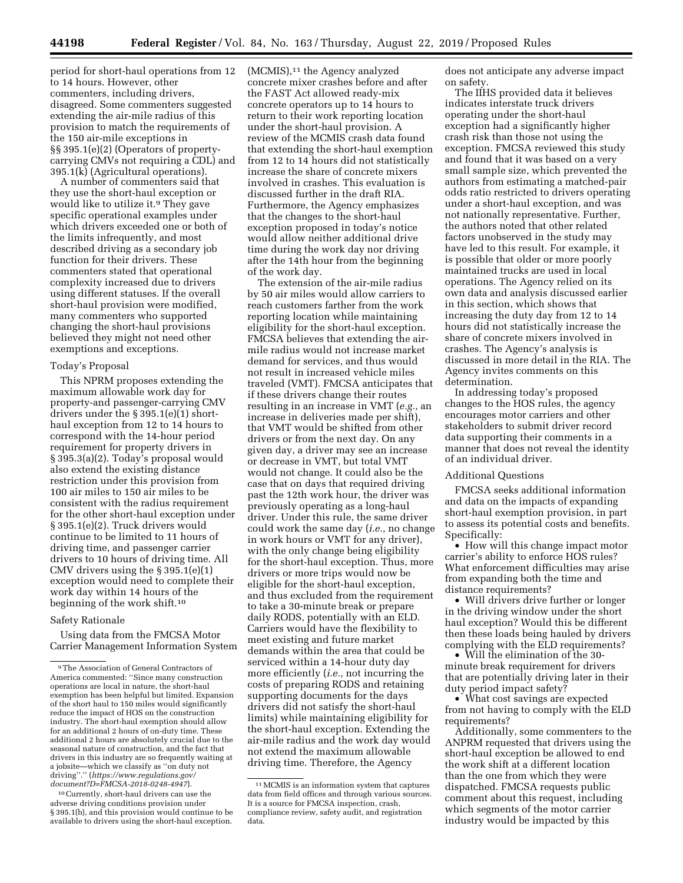period for short-haul operations from 12 to 14 hours. However, other commenters, including drivers, disagreed. Some commenters suggested extending the air-mile radius of this provision to match the requirements of the 150 air-mile exceptions in §§ 395.1(e)(2) (Operators of propertycarrying CMVs not requiring a CDL) and 395.1(k) (Agricultural operations).

A number of commenters said that they use the short-haul exception or would like to utilize it.<sup>9</sup> They gave specific operational examples under which drivers exceeded one or both of the limits infrequently, and most described driving as a secondary job function for their drivers. These commenters stated that operational complexity increased due to drivers using different statuses. If the overall short-haul provision were modified, many commenters who supported changing the short-haul provisions believed they might not need other exemptions and exceptions.

# Today's Proposal

This NPRM proposes extending the maximum allowable work day for property-and passenger-carrying CMV drivers under the § 395.1(e)(1) shorthaul exception from 12 to 14 hours to correspond with the 14-hour period requirement for property drivers in § 395.3(a)(2). Today's proposal would also extend the existing distance restriction under this provision from 100 air miles to 150 air miles to be consistent with the radius requirement for the other short-haul exception under § 395.1(e)(2). Truck drivers would continue to be limited to 11 hours of driving time, and passenger carrier drivers to 10 hours of driving time. All CMV drivers using the § 395.1(e)(1) exception would need to complete their work day within 14 hours of the beginning of the work shift.10

# Safety Rationale

Using data from the FMCSA Motor Carrier Management Information System

10Currently, short-haul drivers can use the adverse driving conditions provision under § 395.1(b), and this provision would continue to be available to drivers using the short-haul exception.

(MCMIS),11 the Agency analyzed concrete mixer crashes before and after the FAST Act allowed ready-mix concrete operators up to 14 hours to return to their work reporting location under the short-haul provision. A review of the MCMIS crash data found that extending the short-haul exemption from 12 to 14 hours did not statistically increase the share of concrete mixers involved in crashes. This evaluation is discussed further in the draft RIA. Furthermore, the Agency emphasizes that the changes to the short-haul exception proposed in today's notice would allow neither additional drive time during the work day nor driving after the 14th hour from the beginning of the work day.

The extension of the air-mile radius by 50 air miles would allow carriers to reach customers farther from the work reporting location while maintaining eligibility for the short-haul exception. FMCSA believes that extending the airmile radius would not increase market demand for services, and thus would not result in increased vehicle miles traveled (VMT). FMCSA anticipates that if these drivers change their routes resulting in an increase in VMT (*e.g.,* an increase in deliveries made per shift), that VMT would be shifted from other drivers or from the next day. On any given day, a driver may see an increase or decrease in VMT, but total VMT would not change. It could also be the case that on days that required driving past the 12th work hour, the driver was previously operating as a long-haul driver. Under this rule, the same driver could work the same day (*i.e.,* no change in work hours or VMT for any driver), with the only change being eligibility for the short-haul exception. Thus, more drivers or more trips would now be eligible for the short-haul exception, and thus excluded from the requirement to take a 30-minute break or prepare daily RODS, potentially with an ELD. Carriers would have the flexibility to meet existing and future market demands within the area that could be serviced within a 14-hour duty day more efficiently (*i.e.,* not incurring the costs of preparing RODS and retaining supporting documents for the days drivers did not satisfy the short-haul limits) while maintaining eligibility for the short-haul exception. Extending the air-mile radius and the work day would not extend the maximum allowable driving time. Therefore, the Agency

does not anticipate any adverse impact on safety.

The IIHS provided data it believes indicates interstate truck drivers operating under the short-haul exception had a significantly higher crash risk than those not using the exception. FMCSA reviewed this study and found that it was based on a very small sample size, which prevented the authors from estimating a matched-pair odds ratio restricted to drivers operating under a short-haul exception, and was not nationally representative. Further, the authors noted that other related factors unobserved in the study may have led to this result. For example, it is possible that older or more poorly maintained trucks are used in local operations. The Agency relied on its own data and analysis discussed earlier in this section, which shows that increasing the duty day from 12 to 14 hours did not statistically increase the share of concrete mixers involved in crashes. The Agency's analysis is discussed in more detail in the RIA. The Agency invites comments on this determination.

In addressing today's proposed changes to the HOS rules, the agency encourages motor carriers and other stakeholders to submit driver record data supporting their comments in a manner that does not reveal the identity of an individual driver.

# Additional Questions

FMCSA seeks additional information and data on the impacts of expanding short-haul exemption provision, in part to assess its potential costs and benefits. Specifically:

• How will this change impact motor carrier's ability to enforce HOS rules? What enforcement difficulties may arise from expanding both the time and distance requirements?

• Will drivers drive further or longer in the driving window under the short haul exception? Would this be different then these loads being hauled by drivers complying with the ELD requirements?

• Will the elimination of the 30 minute break requirement for drivers that are potentially driving later in their duty period impact safety?

• What cost savings are expected from not having to comply with the ELD requirements?

Additionally, some commenters to the ANPRM requested that drivers using the short-haul exception be allowed to end the work shift at a different location than the one from which they were dispatched. FMCSA requests public comment about this request, including which segments of the motor carrier industry would be impacted by this

<sup>9</sup>The Association of General Contractors of America commented: ''Since many construction operations are local in nature, the short-haul exemption has been helpful but limited. Expansion of the short haul to 150 miles would significantly reduce the impact of HOS on the construction industry. The short-haul exemption should allow for an additional 2 hours of on-duty time. These additional 2 hours are absolutely crucial due to the seasonal nature of construction, and the fact that drivers in this industry are so frequently waiting at a jobsite—which we classify as ''on duty not driving''.'' (*https://www.regulations.gov/ document?D=FMCSA-2018-0248-4947*).

<sup>11</sup>MCMIS is an information system that captures data from field offices and through various sources. It is a source for FMCSA inspection, crash, compliance review, safety audit, and registration data.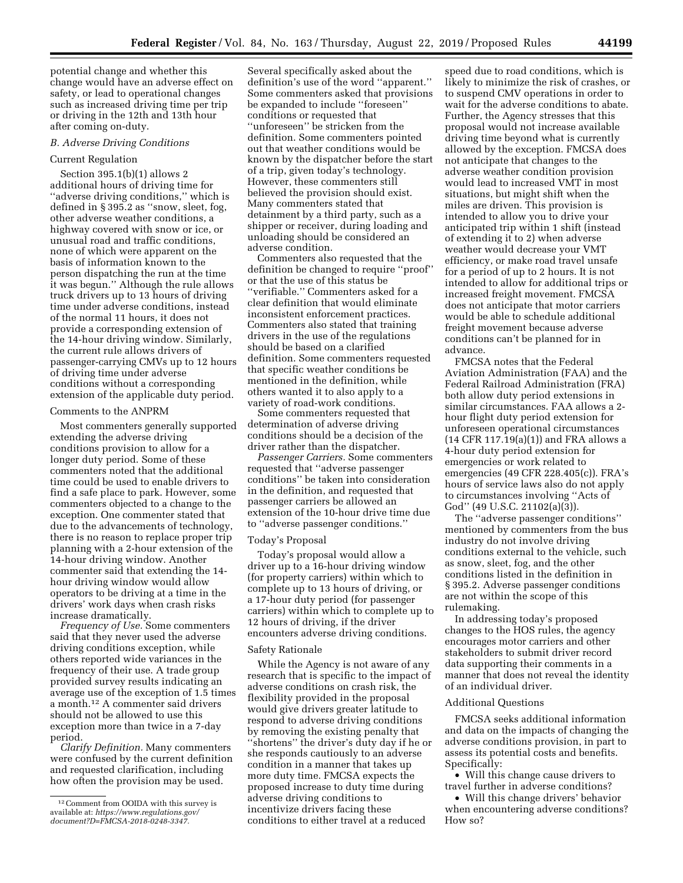potential change and whether this change would have an adverse effect on safety, or lead to operational changes such as increased driving time per trip or driving in the 12th and 13th hour after coming on-duty.

#### *B. Adverse Driving Conditions*

## Current Regulation

Section 395.1(b)(1) allows 2 additional hours of driving time for ''adverse driving conditions,'' which is defined in § 395.2 as ''snow, sleet, fog, other adverse weather conditions, a highway covered with snow or ice, or unusual road and traffic conditions, none of which were apparent on the basis of information known to the person dispatching the run at the time it was begun.'' Although the rule allows truck drivers up to 13 hours of driving time under adverse conditions, instead of the normal 11 hours, it does not provide a corresponding extension of the 14-hour driving window. Similarly, the current rule allows drivers of passenger-carrying CMVs up to 12 hours of driving time under adverse conditions without a corresponding extension of the applicable duty period.

### Comments to the ANPRM

Most commenters generally supported extending the adverse driving conditions provision to allow for a longer duty period. Some of these commenters noted that the additional time could be used to enable drivers to find a safe place to park. However, some commenters objected to a change to the exception. One commenter stated that due to the advancements of technology, there is no reason to replace proper trip planning with a 2-hour extension of the 14-hour driving window. Another commenter said that extending the 14 hour driving window would allow operators to be driving at a time in the drivers' work days when crash risks increase dramatically.

*Frequency of Use.* Some commenters said that they never used the adverse driving conditions exception, while others reported wide variances in the frequency of their use. A trade group provided survey results indicating an average use of the exception of 1.5 times a month.12 A commenter said drivers should not be allowed to use this exception more than twice in a 7-day period.

*Clarify Definition.* Many commenters were confused by the current definition and requested clarification, including how often the provision may be used.

Several specifically asked about the definition's use of the word ''apparent.'' Some commenters asked that provisions be expanded to include ''foreseen'' conditions or requested that ''unforeseen'' be stricken from the definition. Some commenters pointed out that weather conditions would be known by the dispatcher before the start of a trip, given today's technology. However, these commenters still believed the provision should exist. Many commenters stated that detainment by a third party, such as a shipper or receiver, during loading and unloading should be considered an adverse condition.

Commenters also requested that the definition be changed to require ''proof'' or that the use of this status be ''verifiable.'' Commenters asked for a clear definition that would eliminate inconsistent enforcement practices. Commenters also stated that training drivers in the use of the regulations should be based on a clarified definition. Some commenters requested that specific weather conditions be mentioned in the definition, while others wanted it to also apply to a variety of road-work conditions.

Some commenters requested that determination of adverse driving conditions should be a decision of the driver rather than the dispatcher.

*Passenger Carriers.* Some commenters requested that ''adverse passenger conditions'' be taken into consideration in the definition, and requested that passenger carriers be allowed an extension of the 10-hour drive time due to ''adverse passenger conditions.''

#### Today's Proposal

Today's proposal would allow a driver up to a 16-hour driving window (for property carriers) within which to complete up to 13 hours of driving, or a 17-hour duty period (for passenger carriers) within which to complete up to 12 hours of driving, if the driver encounters adverse driving conditions.

### Safety Rationale

While the Agency is not aware of any research that is specific to the impact of adverse conditions on crash risk, the flexibility provided in the proposal would give drivers greater latitude to respond to adverse driving conditions by removing the existing penalty that ''shortens'' the driver's duty day if he or she responds cautiously to an adverse condition in a manner that takes up more duty time. FMCSA expects the proposed increase to duty time during adverse driving conditions to incentivize drivers facing these conditions to either travel at a reduced

speed due to road conditions, which is likely to minimize the risk of crashes, or to suspend CMV operations in order to wait for the adverse conditions to abate. Further, the Agency stresses that this proposal would not increase available driving time beyond what is currently allowed by the exception. FMCSA does not anticipate that changes to the adverse weather condition provision would lead to increased VMT in most situations, but might shift when the miles are driven. This provision is intended to allow you to drive your anticipated trip within 1 shift (instead of extending it to 2) when adverse weather would decrease your VMT efficiency, or make road travel unsafe for a period of up to 2 hours. It is not intended to allow for additional trips or increased freight movement. FMCSA does not anticipate that motor carriers would be able to schedule additional freight movement because adverse conditions can't be planned for in advance.

FMCSA notes that the Federal Aviation Administration (FAA) and the Federal Railroad Administration (FRA) both allow duty period extensions in similar circumstances. FAA allows a 2 hour flight duty period extension for unforeseen operational circumstances (14 CFR 117.19(a)(1)) and FRA allows a 4-hour duty period extension for emergencies or work related to emergencies (49 CFR 228.405(c)). FRA's hours of service laws also do not apply to circumstances involving ''Acts of God'' (49 U.S.C. 21102(a)(3)).

The ''adverse passenger conditions'' mentioned by commenters from the bus industry do not involve driving conditions external to the vehicle, such as snow, sleet, fog, and the other conditions listed in the definition in § 395.2. Adverse passenger conditions are not within the scope of this rulemaking.

In addressing today's proposed changes to the HOS rules, the agency encourages motor carriers and other stakeholders to submit driver record data supporting their comments in a manner that does not reveal the identity of an individual driver.

### Additional Questions

FMCSA seeks additional information and data on the impacts of changing the adverse conditions provision, in part to assess its potential costs and benefits. Specifically:

• Will this change cause drivers to travel further in adverse conditions?

• Will this change drivers' behavior when encountering adverse conditions? How so?

<sup>12</sup>Comment from OOIDA with this survey is available at: *https://www.regulations.gov/ document?D=FMCSA-2018-0248-3347.*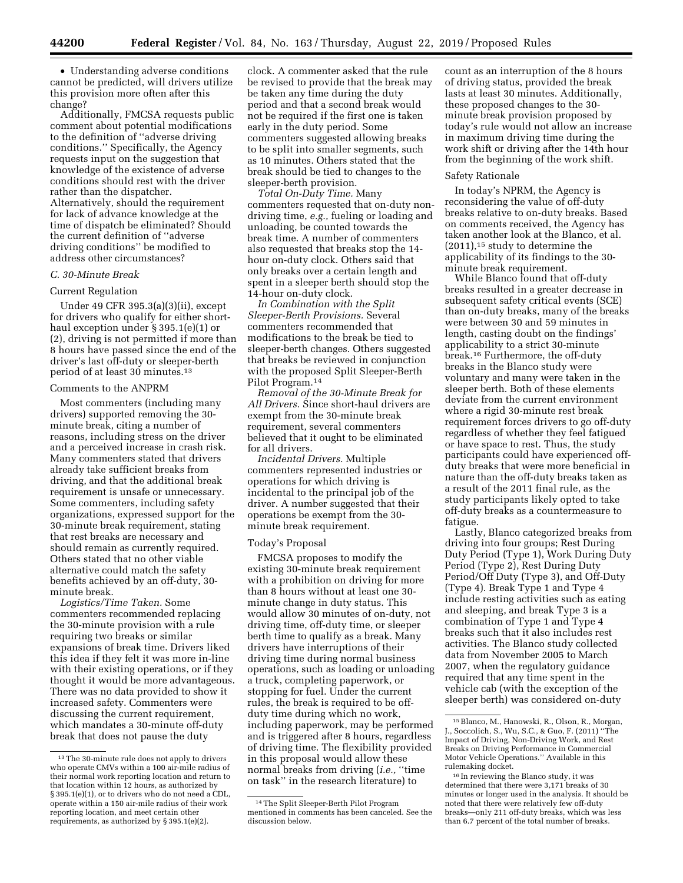• Understanding adverse conditions

cannot be predicted, will drivers utilize this provision more often after this change?

Additionally, FMCSA requests public comment about potential modifications to the definition of ''adverse driving conditions.'' Specifically, the Agency requests input on the suggestion that knowledge of the existence of adverse conditions should rest with the driver rather than the dispatcher. Alternatively, should the requirement for lack of advance knowledge at the time of dispatch be eliminated? Should the current definition of ''adverse driving conditions'' be modified to address other circumstances?

# *C. 30-Minute Break*

# Current Regulation

Under 49 CFR 395.3(a)(3)(ii), except for drivers who qualify for either shorthaul exception under § 395.1(e)(1) or (2), driving is not permitted if more than 8 hours have passed since the end of the driver's last off-duty or sleeper-berth period of at least 30 minutes.13

# Comments to the ANPRM

Most commenters (including many drivers) supported removing the 30 minute break, citing a number of reasons, including stress on the driver and a perceived increase in crash risk. Many commenters stated that drivers already take sufficient breaks from driving, and that the additional break requirement is unsafe or unnecessary. Some commenters, including safety organizations, expressed support for the 30-minute break requirement, stating that rest breaks are necessary and should remain as currently required. Others stated that no other viable alternative could match the safety benefits achieved by an off-duty, 30 minute break.

*Logistics/Time Taken.* Some commenters recommended replacing the 30-minute provision with a rule requiring two breaks or similar expansions of break time. Drivers liked this idea if they felt it was more in-line with their existing operations, or if they thought it would be more advantageous. There was no data provided to show it increased safety. Commenters were discussing the current requirement, which mandates a 30-minute off-duty break that does not pause the duty

clock. A commenter asked that the rule be revised to provide that the break may be taken any time during the duty period and that a second break would not be required if the first one is taken early in the duty period. Some commenters suggested allowing breaks to be split into smaller segments, such as 10 minutes. Others stated that the break should be tied to changes to the sleeper-berth provision.

*Total On-Duty Time.* Many commenters requested that on-duty nondriving time, *e.g.,* fueling or loading and unloading, be counted towards the break time. A number of commenters also requested that breaks stop the 14 hour on-duty clock. Others said that only breaks over a certain length and spent in a sleeper berth should stop the 14-hour on-duty clock.

*In Combination with the Split Sleeper-Berth Provisions.* Several commenters recommended that modifications to the break be tied to sleeper-berth changes. Others suggested that breaks be reviewed in conjunction with the proposed Split Sleeper-Berth Pilot Program.14

*Removal of the 30-Minute Break for All Drivers.* Since short-haul drivers are exempt from the 30-minute break requirement, several commenters believed that it ought to be eliminated for all drivers.

*Incidental Drivers.* Multiple commenters represented industries or operations for which driving is incidental to the principal job of the driver. A number suggested that their operations be exempt from the 30 minute break requirement.

#### Today's Proposal

FMCSA proposes to modify the existing 30-minute break requirement with a prohibition on driving for more than 8 hours without at least one 30 minute change in duty status. This would allow 30 minutes of on-duty, not driving time, off-duty time, or sleeper berth time to qualify as a break. Many drivers have interruptions of their driving time during normal business operations, such as loading or unloading a truck, completing paperwork, or stopping for fuel. Under the current rules, the break is required to be offduty time during which no work, including paperwork, may be performed and is triggered after 8 hours, regardless of driving time. The flexibility provided in this proposal would allow these normal breaks from driving (*i.e.,* ''time on task'' in the research literature) to

count as an interruption of the 8 hours of driving status, provided the break lasts at least 30 minutes. Additionally, these proposed changes to the 30 minute break provision proposed by today's rule would not allow an increase in maximum driving time during the work shift or driving after the 14th hour from the beginning of the work shift.

## Safety Rationale

In today's NPRM, the Agency is reconsidering the value of off-duty breaks relative to on-duty breaks. Based on comments received, the Agency has taken another look at the Blanco, et al. (2011),15 study to determine the applicability of its findings to the 30 minute break requirement.

While Blanco found that off-duty breaks resulted in a greater decrease in subsequent safety critical events (SCE) than on-duty breaks, many of the breaks were between 30 and 59 minutes in length, casting doubt on the findings' applicability to a strict 30-minute break.16 Furthermore, the off-duty breaks in the Blanco study were voluntary and many were taken in the sleeper berth. Both of these elements deviate from the current environment where a rigid 30-minute rest break requirement forces drivers to go off-duty regardless of whether they feel fatigued or have space to rest. Thus, the study participants could have experienced offduty breaks that were more beneficial in nature than the off-duty breaks taken as a result of the 2011 final rule, as the study participants likely opted to take off-duty breaks as a countermeasure to fatigue.

Lastly, Blanco categorized breaks from driving into four groups; Rest During Duty Period (Type 1), Work During Duty Period (Type 2), Rest During Duty Period/Off Duty (Type 3), and Off-Duty (Type 4). Break Type 1 and Type 4 include resting activities such as eating and sleeping, and break Type 3 is a combination of Type 1 and Type 4 breaks such that it also includes rest activities. The Blanco study collected data from November 2005 to March 2007, when the regulatory guidance required that any time spent in the vehicle cab (with the exception of the sleeper berth) was considered on-duty

<sup>13</sup>The 30-minute rule does not apply to drivers who operate CMVs within a 100 air-mile radius of their normal work reporting location and return to that location within 12 hours, as authorized by § 395.1(e)(1), or to drivers who do not need a CDL, operate within a 150 air-mile radius of their work reporting location, and meet certain other requirements, as authorized by § 395.1(e)(2).

<sup>14</sup>The Split Sleeper-Berth Pilot Program mentioned in comments has been canceled. See the discussion below.

<sup>15</sup>Blanco, M., Hanowski, R., Olson, R., Morgan, J., Soccolich, S., Wu, S.C., & Guo, F. (2011) ''The Impact of Driving, Non-Driving Work, and Rest Breaks on Driving Performance in Commercial Motor Vehicle Operations.'' Available in this rulemaking docket.

<sup>16</sup> In reviewing the Blanco study, it was determined that there were 3,171 breaks of 30 minutes or longer used in the analysis. It should be noted that there were relatively few off-duty breaks—only 211 off-duty breaks, which was less than 6.7 percent of the total number of breaks.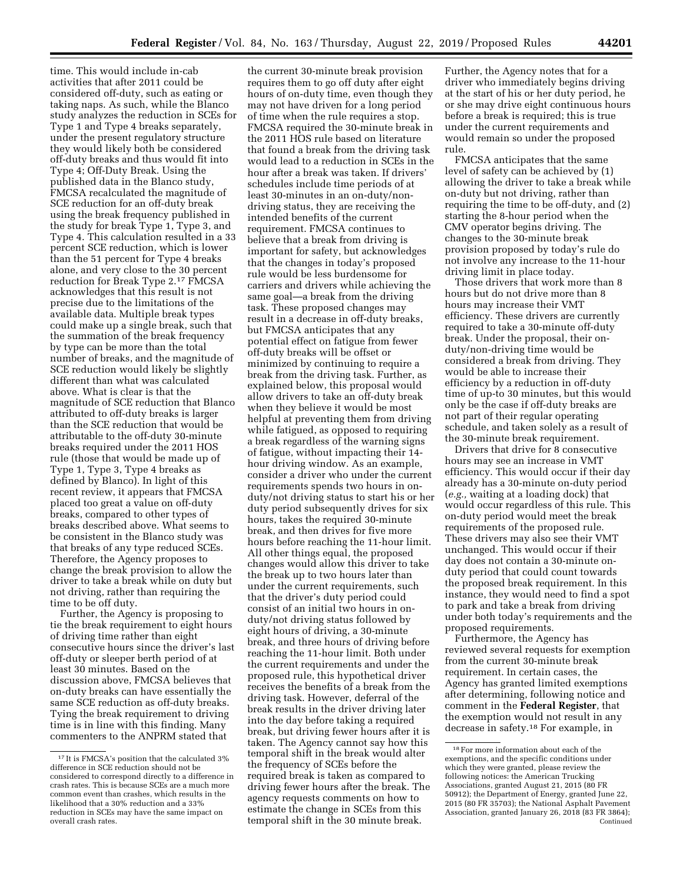time. This would include in-cab activities that after 2011 could be considered off-duty, such as eating or taking naps. As such, while the Blanco study analyzes the reduction in SCEs for Type 1 and Type 4 breaks separately, under the present regulatory structure they would likely both be considered off-duty breaks and thus would fit into Type 4; Off-Duty Break. Using the published data in the Blanco study, FMCSA recalculated the magnitude of SCE reduction for an off-duty break using the break frequency published in the study for break Type 1, Type 3, and Type 4. This calculation resulted in a 33 percent SCE reduction, which is lower than the 51 percent for Type 4 breaks alone, and very close to the 30 percent reduction for Break Type 2.<sup>17</sup> FMCSA acknowledges that this result is not precise due to the limitations of the available data. Multiple break types could make up a single break, such that the summation of the break frequency by type can be more than the total number of breaks, and the magnitude of SCE reduction would likely be slightly different than what was calculated above. What is clear is that the magnitude of SCE reduction that Blanco attributed to off-duty breaks is larger than the SCE reduction that would be attributable to the off-duty 30-minute breaks required under the 2011 HOS rule (those that would be made up of Type 1, Type 3, Type 4 breaks as defined by Blanco). In light of this recent review, it appears that FMCSA placed too great a value on off-duty breaks, compared to other types of breaks described above. What seems to be consistent in the Blanco study was that breaks of any type reduced SCEs. Therefore, the Agency proposes to change the break provision to allow the driver to take a break while on duty but not driving, rather than requiring the time to be off duty.

Further, the Agency is proposing to tie the break requirement to eight hours of driving time rather than eight consecutive hours since the driver's last off-duty or sleeper berth period of at least 30 minutes. Based on the discussion above, FMCSA believes that on-duty breaks can have essentially the same SCE reduction as off-duty breaks. Tying the break requirement to driving time is in line with this finding. Many commenters to the ANPRM stated that

the current 30-minute break provision requires them to go off duty after eight hours of on-duty time, even though they may not have driven for a long period of time when the rule requires a stop. FMCSA required the 30-minute break in the 2011 HOS rule based on literature that found a break from the driving task would lead to a reduction in SCEs in the hour after a break was taken. If drivers' schedules include time periods of at least 30-minutes in an on-duty/nondriving status, they are receiving the intended benefits of the current requirement. FMCSA continues to believe that a break from driving is important for safety, but acknowledges that the changes in today's proposed rule would be less burdensome for carriers and drivers while achieving the same goal—a break from the driving task. These proposed changes may result in a decrease in off-duty breaks, but FMCSA anticipates that any potential effect on fatigue from fewer off-duty breaks will be offset or minimized by continuing to require a break from the driving task. Further, as explained below, this proposal would allow drivers to take an off-duty break when they believe it would be most helpful at preventing them from driving while fatigued, as opposed to requiring a break regardless of the warning signs of fatigue, without impacting their 14 hour driving window. As an example, consider a driver who under the current requirements spends two hours in onduty/not driving status to start his or her duty period subsequently drives for six hours, takes the required 30-minute break, and then drives for five more hours before reaching the 11-hour limit. All other things equal, the proposed changes would allow this driver to take the break up to two hours later than under the current requirements, such that the driver's duty period could consist of an initial two hours in onduty/not driving status followed by eight hours of driving, a 30-minute break, and three hours of driving before reaching the 11-hour limit. Both under the current requirements and under the proposed rule, this hypothetical driver receives the benefits of a break from the driving task. However, deferral of the break results in the driver driving later into the day before taking a required break, but driving fewer hours after it is taken. The Agency cannot say how this temporal shift in the break would alter the frequency of SCEs before the required break is taken as compared to driving fewer hours after the break. The agency requests comments on how to estimate the change in SCEs from this temporal shift in the 30 minute break.

Further, the Agency notes that for a driver who immediately begins driving at the start of his or her duty period, he or she may drive eight continuous hours before a break is required; this is true under the current requirements and would remain so under the proposed rule.

FMCSA anticipates that the same level of safety can be achieved by (1) allowing the driver to take a break while on-duty but not driving, rather than requiring the time to be off-duty, and (2) starting the 8-hour period when the CMV operator begins driving. The changes to the 30-minute break provision proposed by today's rule do not involve any increase to the 11-hour driving limit in place today.

Those drivers that work more than 8 hours but do not drive more than 8 hours may increase their VMT efficiency. These drivers are currently required to take a 30-minute off-duty break. Under the proposal, their onduty/non-driving time would be considered a break from driving. They would be able to increase their efficiency by a reduction in off-duty time of up-to 30 minutes, but this would only be the case if off-duty breaks are not part of their regular operating schedule, and taken solely as a result of the 30-minute break requirement.

Drivers that drive for 8 consecutive hours may see an increase in VMT efficiency. This would occur if their day already has a 30-minute on-duty period (*e.g.,* waiting at a loading dock) that would occur regardless of this rule. This on-duty period would meet the break requirements of the proposed rule. These drivers may also see their VMT unchanged. This would occur if their day does not contain a 30-minute onduty period that could count towards the proposed break requirement. In this instance, they would need to find a spot to park and take a break from driving under both today's requirements and the proposed requirements.

Furthermore, the Agency has reviewed several requests for exemption from the current 30-minute break requirement. In certain cases, the Agency has granted limited exemptions after determining, following notice and comment in the **Federal Register**, that the exemption would not result in any decrease in safety.18 For example, in

<sup>17</sup> It is FMCSA's position that the calculated 3% difference in SCE reduction should not be considered to correspond directly to a difference in crash rates. This is because SCEs are a much more common event than crashes, which results in the likelihood that a 30% reduction and a 33% reduction in SCEs may have the same impact on overall crash rates.

<sup>18</sup>For more information about each of the exemptions, and the specific conditions under which they were granted, please review the following notices: the American Trucking Associations, granted August 21, 2015 (80 FR 50912); the Department of Energy, granted June 22, 2015 (80 FR 35703); the National Asphalt Pavement Association, granted January 26, 2018 (83 FR 3864); Continued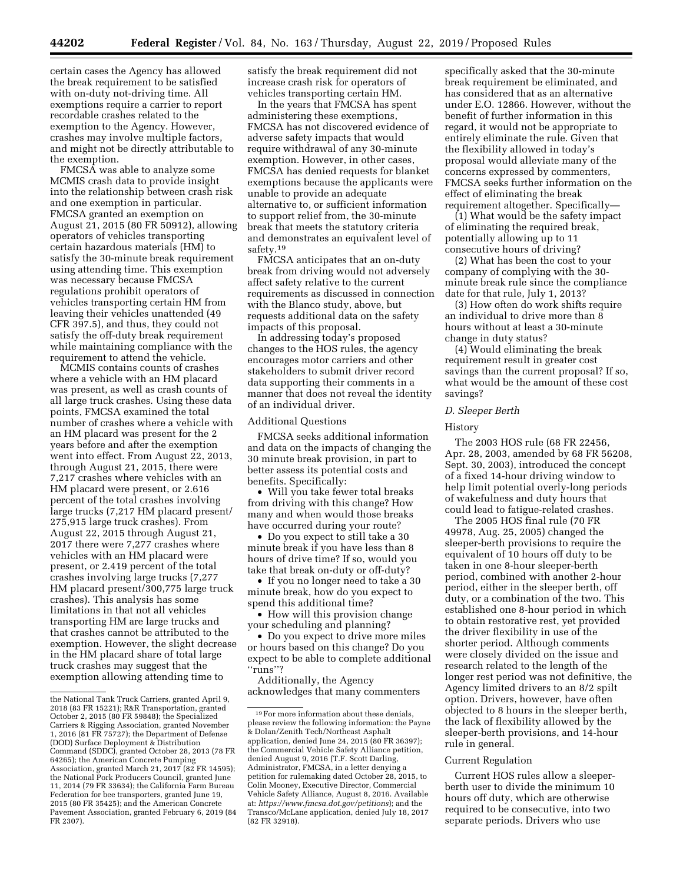certain cases the Agency has allowed the break requirement to be satisfied with on-duty not-driving time. All exemptions require a carrier to report recordable crashes related to the exemption to the Agency. However, crashes may involve multiple factors, and might not be directly attributable to the exemption.

FMCSA was able to analyze some MCMIS crash data to provide insight into the relationship between crash risk and one exemption in particular. FMCSA granted an exemption on August 21, 2015 (80 FR 50912), allowing operators of vehicles transporting certain hazardous materials (HM) to satisfy the 30-minute break requirement using attending time. This exemption was necessary because FMCSA regulations prohibit operators of vehicles transporting certain HM from leaving their vehicles unattended (49 CFR 397.5), and thus, they could not satisfy the off-duty break requirement while maintaining compliance with the requirement to attend the vehicle.

MCMIS contains counts of crashes where a vehicle with an HM placard was present, as well as crash counts of all large truck crashes. Using these data points, FMCSA examined the total number of crashes where a vehicle with an HM placard was present for the 2 years before and after the exemption went into effect. From August 22, 2013, through August 21, 2015, there were 7,217 crashes where vehicles with an HM placard were present, or 2.616 percent of the total crashes involving large trucks (7,217 HM placard present/ 275,915 large truck crashes). From August 22, 2015 through August 21, 2017 there were 7,277 crashes where vehicles with an HM placard were present, or 2.419 percent of the total crashes involving large trucks (7,277 HM placard present/300,775 large truck crashes). This analysis has some limitations in that not all vehicles transporting HM are large trucks and that crashes cannot be attributed to the exemption. However, the slight decrease in the HM placard share of total large truck crashes may suggest that the exemption allowing attending time to

satisfy the break requirement did not increase crash risk for operators of vehicles transporting certain HM.

In the years that FMCSA has spent administering these exemptions, FMCSA has not discovered evidence of adverse safety impacts that would require withdrawal of any 30-minute exemption. However, in other cases, FMCSA has denied requests for blanket exemptions because the applicants were unable to provide an adequate alternative to, or sufficient information to support relief from, the 30-minute break that meets the statutory criteria and demonstrates an equivalent level of safety.19

FMCSA anticipates that an on-duty break from driving would not adversely affect safety relative to the current requirements as discussed in connection with the Blanco study, above, but requests additional data on the safety impacts of this proposal.

In addressing today's proposed changes to the HOS rules, the agency encourages motor carriers and other stakeholders to submit driver record data supporting their comments in a manner that does not reveal the identity of an individual driver.

# Additional Questions

FMCSA seeks additional information and data on the impacts of changing the 30 minute break provision, in part to better assess its potential costs and benefits. Specifically:

• Will you take fewer total breaks from driving with this change? How many and when would those breaks have occurred during your route?

• Do you expect to still take a 30 minute break if you have less than 8 hours of drive time? If so, would you take that break on-duty or off-duty?

• If you no longer need to take a 30 minute break, how do you expect to spend this additional time?

• How will this provision change your scheduling and planning?

• Do you expect to drive more miles or hours based on this change? Do you expect to be able to complete additional ''runs''?

Additionally, the Agency acknowledges that many commenters

specifically asked that the 30-minute break requirement be eliminated, and has considered that as an alternative under E.O. 12866. However, without the benefit of further information in this regard, it would not be appropriate to entirely eliminate the rule. Given that the flexibility allowed in today's proposal would alleviate many of the concerns expressed by commenters, FMCSA seeks further information on the effect of eliminating the break requirement altogether. Specifically—

(1) What would be the safety impact of eliminating the required break, potentially allowing up to 11 consecutive hours of driving?

(2) What has been the cost to your company of complying with the 30 minute break rule since the compliance date for that rule, July 1, 2013?

(3) How often do work shifts require an individual to drive more than 8 hours without at least a 30-minute change in duty status?

(4) Would eliminating the break requirement result in greater cost savings than the current proposal? If so, what would be the amount of these cost savings?

# *D. Sleeper Berth*

### History

The 2003 HOS rule (68 FR 22456, Apr. 28, 2003, amended by 68 FR 56208, Sept. 30, 2003), introduced the concept of a fixed 14-hour driving window to help limit potential overly-long periods of wakefulness and duty hours that could lead to fatigue-related crashes.

The 2005 HOS final rule (70 FR 49978, Aug. 25, 2005) changed the sleeper-berth provisions to require the equivalent of 10 hours off duty to be taken in one 8-hour sleeper-berth period, combined with another 2-hour period, either in the sleeper berth, off duty, or a combination of the two. This established one 8-hour period in which to obtain restorative rest, yet provided the driver flexibility in use of the shorter period. Although comments were closely divided on the issue and research related to the length of the longer rest period was not definitive, the Agency limited drivers to an 8/2 spilt option. Drivers, however, have often objected to 8 hours in the sleeper berth, the lack of flexibility allowed by the sleeper-berth provisions, and 14-hour rule in general.

### Current Regulation

Current HOS rules allow a sleeperberth user to divide the minimum 10 hours off duty, which are otherwise required to be consecutive, into two separate periods. Drivers who use

the National Tank Truck Carriers, granted April 9, 2018 (83 FR 15221); R&R Transportation, granted October 2, 2015 (80 FR 59848); the Specialized Carriers & Rigging Association, granted November 1, 2016 (81 FR 75727); the Department of Defense (DOD) Surface Deployment & Distribution Command (SDDC), granted October 28, 2013 (78 FR 64265); the American Concrete Pumping Association, granted March 21, 2017 (82 FR 14595); the National Pork Producers Council, granted June 11, 2014 (79 FR 33634); the California Farm Bureau Federation for bee transporters, granted June 19, 2015 (80 FR 35425); and the American Concrete Pavement Association, granted February 6, 2019 (84 FR 2307).

<sup>19</sup>For more information about these denials, please review the following information: the Payne & Dolan/Zenith Tech/Northeast Asphalt application, denied June 24, 2015 (80 FR 36397); the Commercial Vehicle Safety Alliance petition, denied August 9, 2016 (T.F. Scott Darling, Administrator, FMCSA, in a letter denying a petition for rulemaking dated October 28, 2015, to Colin Mooney, Executive Director, Commercial Vehicle Safety Alliance, August 8, 2016. Available at: *https://www.fmcsa.dot.gov/petitions*); and the Transco/McLane application, denied July 18, 2017 (82 FR 32918).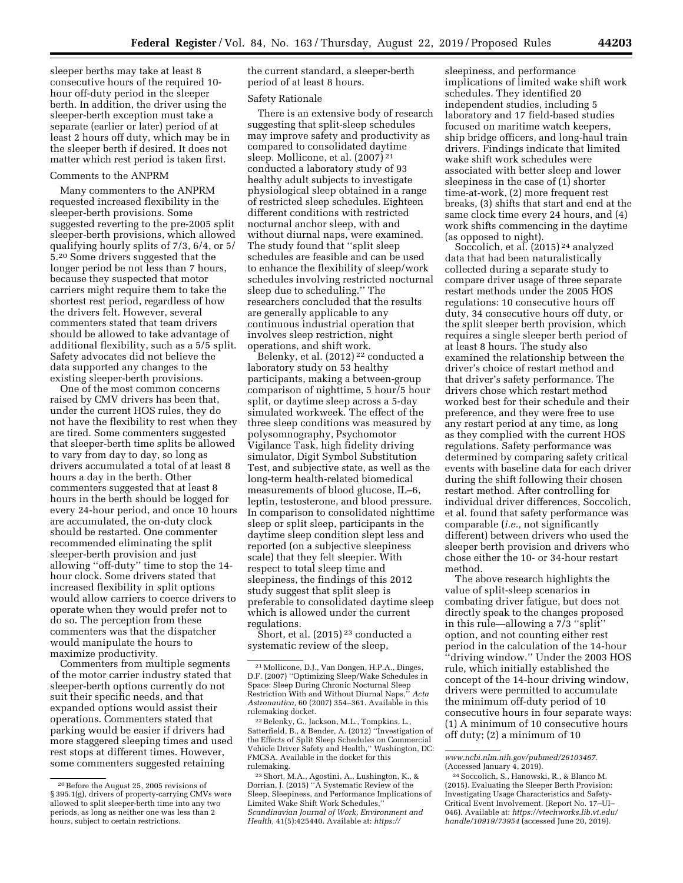sleeper berths may take at least 8 consecutive hours of the required 10 hour off-duty period in the sleeper berth. In addition, the driver using the sleeper-berth exception must take a separate (earlier or later) period of at least 2 hours off duty, which may be in the sleeper berth if desired. It does not matter which rest period is taken first.

# Comments to the ANPRM

Many commenters to the ANPRM requested increased flexibility in the sleeper-berth provisions. Some suggested reverting to the pre-2005 split sleeper-berth provisions, which allowed qualifying hourly splits of 7/3, 6/4, or 5/ 5.20 Some drivers suggested that the longer period be not less than 7 hours, because they suspected that motor carriers might require them to take the shortest rest period, regardless of how the drivers felt. However, several commenters stated that team drivers should be allowed to take advantage of additional flexibility, such as a 5/5 split. Safety advocates did not believe the data supported any changes to the existing sleeper-berth provisions.

One of the most common concerns raised by CMV drivers has been that, under the current HOS rules, they do not have the flexibility to rest when they are tired. Some commenters suggested that sleeper-berth time splits be allowed to vary from day to day, so long as drivers accumulated a total of at least 8 hours a day in the berth. Other commenters suggested that at least 8 hours in the berth should be logged for every 24-hour period, and once 10 hours are accumulated, the on-duty clock should be restarted. One commenter recommended eliminating the split sleeper-berth provision and just allowing ''off-duty'' time to stop the 14 hour clock. Some drivers stated that increased flexibility in split options would allow carriers to coerce drivers to operate when they would prefer not to do so. The perception from these commenters was that the dispatcher would manipulate the hours to maximize productivity.

Commenters from multiple segments of the motor carrier industry stated that sleeper-berth options currently do not suit their specific needs, and that expanded options would assist their operations. Commenters stated that parking would be easier if drivers had more staggered sleeping times and used rest stops at different times. However, some commenters suggested retaining

the current standard, a sleeper-berth period of at least 8 hours.

### Safety Rationale

There is an extensive body of research suggesting that split-sleep schedules may improve safety and productivity as compared to consolidated daytime sleep. Mollicone, et al. (2007) 21 conducted a laboratory study of 93 healthy adult subjects to investigate physiological sleep obtained in a range of restricted sleep schedules. Eighteen different conditions with restricted nocturnal anchor sleep, with and without diurnal naps, were examined. The study found that ''split sleep schedules are feasible and can be used to enhance the flexibility of sleep/work schedules involving restricted nocturnal sleep due to scheduling.'' The researchers concluded that the results are generally applicable to any continuous industrial operation that involves sleep restriction, night operations, and shift work.

Belenky, et al. (2012) 22 conducted a laboratory study on 53 healthy participants, making a between-group comparison of nighttime, 5 hour/5 hour split, or daytime sleep across a 5-day simulated workweek. The effect of the three sleep conditions was measured by polysomnography, Psychomotor Vigilance Task, high fidelity driving simulator, Digit Symbol Substitution Test, and subjective state, as well as the long-term health-related biomedical measurements of blood glucose, IL–6, leptin, testosterone, and blood pressure. In comparison to consolidated nighttime sleep or split sleep, participants in the daytime sleep condition slept less and reported (on a subjective sleepiness scale) that they felt sleepier. With respect to total sleep time and sleepiness, the findings of this 2012 study suggest that split sleep is preferable to consolidated daytime sleep which is allowed under the current regulations.

Short, et al. (2015) 23 conducted a systematic review of the sleep,

sleepiness, and performance implications of limited wake shift work schedules. They identified 20 independent studies, including 5 laboratory and 17 field-based studies focused on maritime watch keepers, ship bridge officers, and long-haul train drivers. Findings indicate that limited wake shift work schedules were associated with better sleep and lower sleepiness in the case of (1) shorter time-at-work, (2) more frequent rest breaks, (3) shifts that start and end at the same clock time every 24 hours, and (4) work shifts commencing in the daytime (as opposed to night).

Soccolich, et al. (2015) 24 analyzed data that had been naturalistically collected during a separate study to compare driver usage of three separate restart methods under the 2005 HOS regulations: 10 consecutive hours off duty, 34 consecutive hours off duty, or the split sleeper berth provision, which requires a single sleeper berth period of at least 8 hours. The study also examined the relationship between the driver's choice of restart method and that driver's safety performance. The drivers chose which restart method worked best for their schedule and their preference, and they were free to use any restart period at any time, as long as they complied with the current HOS regulations. Safety performance was determined by comparing safety critical events with baseline data for each driver during the shift following their chosen restart method. After controlling for individual driver differences, Soccolich, et al. found that safety performance was comparable (*i.e.,* not significantly different) between drivers who used the sleeper berth provision and drivers who chose either the 10- or 34-hour restart method.

The above research highlights the value of split-sleep scenarios in combating driver fatigue, but does not directly speak to the changes proposed in this rule—allowing a 7/3 ''split'' option, and not counting either rest period in the calculation of the 14-hour ''driving window.'' Under the 2003 HOS rule, which initially established the concept of the 14-hour driving window, drivers were permitted to accumulate the minimum off-duty period of 10 consecutive hours in four separate ways: (1) A minimum of 10 consecutive hours off duty; (2) a minimum of 10

<sup>20</sup>Before the August 25, 2005 revisions of § 395.1(g), drivers of property-carrying CMVs were allowed to split sleeper-berth time into any two periods, as long as neither one was less than 2 hours, subject to certain restrictions.

<sup>&</sup>lt;sup>21</sup> Mollicone, D.J., Van Dongen, H.P.A., Dinges, D.F. (2007) "Optimizing Sleep/Wake Schedules in D.F. (2007) ''Optimizing Sleep/Wake Schedules in Space: Sleep During Chronic Nocturnal Sleep Restriction With and Without Diurnal Naps,'' *Acta Astronautica,* 60 (2007) 354–361. Available in this rulemaking docket.

<sup>22</sup>Belenky, G., Jackson, M.L., Tompkins, L., Satterfield, B., & Bender, A. (2012) ''Investigation of the Effects of Split Sleep Schedules on Commercial Vehicle Driver Safety and Health,'' Washington, DC: FMCSA. Available in the docket for this rulemaking.

<sup>23</sup>Short, M.A., Agostini, A., Lushington, K., & Dorrian, J. (2015) ''A Systematic Review of the Sleep, Sleepiness, and Performance Implications of Limited Wake Shift Work Schedules,'' *Scandinavian Journal of Work, Environment and Health,* 41(5):425440. Available at: *https://*

*www.ncbi.nlm.nih.gov/pubmed/26103467.*  (Accessed January 4, 2019).

<sup>24</sup>Soccolich, S., Hanowski, R., & Blanco M. (2015). Evaluating the Sleeper Berth Provision: Investigating Usage Characteristics and Safety-Critical Event Involvement. (Report No. 17–UI– 046). Available at: *https://vtechworks.lib.vt.edu/ handle/10919/73954* (accessed June 20, 2019).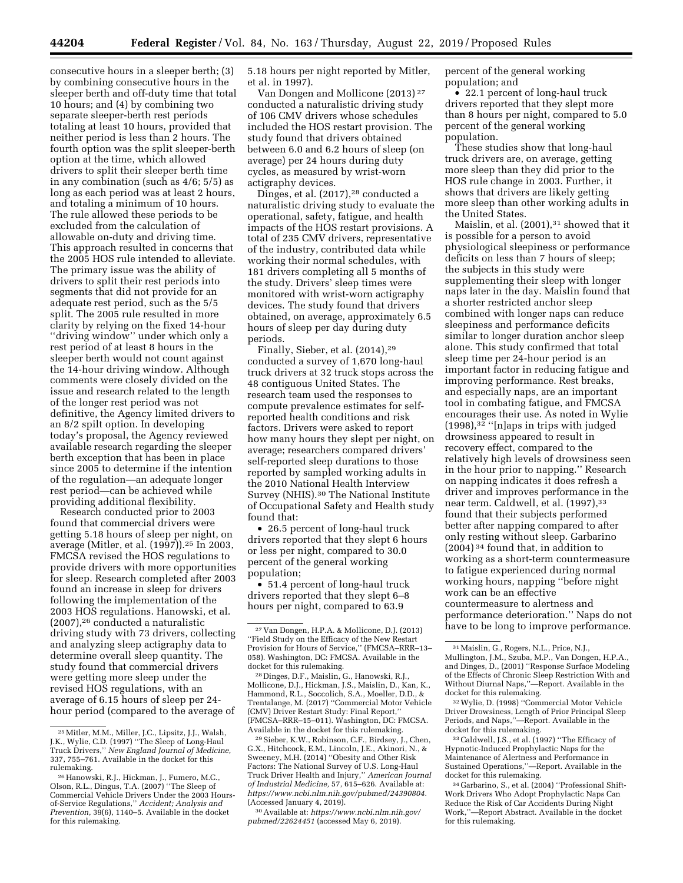consecutive hours in a sleeper berth; (3) by combining consecutive hours in the sleeper berth and off-duty time that total 10 hours; and (4) by combining two separate sleeper-berth rest periods totaling at least 10 hours, provided that neither period is less than 2 hours. The fourth option was the split sleeper-berth option at the time, which allowed drivers to split their sleeper berth time in any combination (such as 4/6; 5/5) as long as each period was at least 2 hours, and totaling a minimum of 10 hours. The rule allowed these periods to be excluded from the calculation of allowable on-duty and driving time. This approach resulted in concerns that the 2005 HOS rule intended to alleviate. The primary issue was the ability of drivers to split their rest periods into segments that did not provide for an adequate rest period, such as the 5/5 split. The 2005 rule resulted in more clarity by relying on the fixed 14-hour ''driving window'' under which only a rest period of at least 8 hours in the sleeper berth would not count against the 14-hour driving window. Although comments were closely divided on the issue and research related to the length of the longer rest period was not definitive, the Agency limited drivers to an 8/2 spilt option. In developing today's proposal, the Agency reviewed available research regarding the sleeper berth exception that has been in place since 2005 to determine if the intention of the regulation—an adequate longer rest period—can be achieved while providing additional flexibility.

Research conducted prior to 2003 found that commercial drivers were getting 5.18 hours of sleep per night, on average (Mitler, et al. (1997)).25 In 2003, FMCSA revised the HOS regulations to provide drivers with more opportunities for sleep. Research completed after 2003 found an increase in sleep for drivers following the implementation of the 2003 HOS regulations. Hanowski, et al. (2007),26 conducted a naturalistic driving study with 73 drivers, collecting and analyzing sleep actigraphy data to determine overall sleep quantity. The study found that commercial drivers were getting more sleep under the revised HOS regulations, with an average of 6.15 hours of sleep per 24 hour period (compared to the average of 5.18 hours per night reported by Mitler, et al. in 1997).

Van Dongen and Mollicone (2013) 27 conducted a naturalistic driving study of 106 CMV drivers whose schedules included the HOS restart provision. The study found that drivers obtained between 6.0 and 6.2 hours of sleep (on average) per 24 hours during duty cycles, as measured by wrist-worn actigraphy devices.

Dinges, et al. (2017),<sup>28</sup> conducted a naturalistic driving study to evaluate the operational, safety, fatigue, and health impacts of the HOS restart provisions. A total of 235 CMV drivers, representative of the industry, contributed data while working their normal schedules, with 181 drivers completing all 5 months of the study. Drivers' sleep times were monitored with wrist-worn actigraphy devices. The study found that drivers obtained, on average, approximately 6.5 hours of sleep per day during duty periods.

Finally, Sieber, et al. (2014),29 conducted a survey of 1,670 long-haul truck drivers at 32 truck stops across the 48 contiguous United States. The research team used the responses to compute prevalence estimates for selfreported health conditions and risk factors. Drivers were asked to report how many hours they slept per night, on average; researchers compared drivers' self-reported sleep durations to those reported by sampled working adults in the 2010 National Health Interview Survey (NHIS).30 The National Institute of Occupational Safety and Health study found that:

• 26.5 percent of long-haul truck drivers reported that they slept 6 hours or less per night, compared to 30.0 percent of the general working population;

• 51.4 percent of long-haul truck drivers reported that they slept 6–8 hours per night, compared to 63.9

28 Dinges, D.F., Maislin, G., Hanowski, R.J., Mollicone, D.J., Hickman, J.S., Maislin, D., Kan, K., Hammond, R.L., Soccolich, S.A., Moeller, D.D., & Trentalange, M. (2017) ''Commercial Motor Vehicle (CMV) Driver Restart Study: Final Report,'' (FMCSA–RRR–15–011). Washington, DC: FMCSA. Available in the docket for this rulemaking.

29Sieber, K.W., Robinson, C.F., Birdsey, J., Chen, G.X., Hitchcock, E.M., Lincoln, J.E., Akinori, N., & Sweeney, M.H. (2014) ''Obesity and Other Risk Factors: The National Survey of U.S. Long-Haul Truck Driver Health and Injury,'' *American Journal of Industrial Medicine,* 57, 615–626. Available at: *https://www.ncbi.nlm.nih.gov/pubmed/24390804.*  (Accessed January 4, 2019).

30Available at: *https://www.ncbi.nlm.nih.gov/ pubmed/22624451* (accessed May 6, 2019).

percent of the general working population; and

• 22.1 percent of long-haul truck drivers reported that they slept more than 8 hours per night, compared to 5.0 percent of the general working population.

These studies show that long-haul truck drivers are, on average, getting more sleep than they did prior to the HOS rule change in 2003. Further, it shows that drivers are likely getting more sleep than other working adults in the United States.

Maislin, et al. (2001),<sup>31</sup> showed that it is possible for a person to avoid physiological sleepiness or performance deficits on less than 7 hours of sleep; the subjects in this study were supplementing their sleep with longer naps later in the day. Maislin found that a shorter restricted anchor sleep combined with longer naps can reduce sleepiness and performance deficits similar to longer duration anchor sleep alone. This study confirmed that total sleep time per 24-hour period is an important factor in reducing fatigue and improving performance. Rest breaks, and especially naps, are an important tool in combating fatigue, and FMCSA encourages their use. As noted in Wylie  $(1998)$ ,<sup>32</sup> "[n]aps in trips with judged drowsiness appeared to result in recovery effect, compared to the relatively high levels of drowsiness seen in the hour prior to napping.'' Research on napping indicates it does refresh a driver and improves performance in the near term. Caldwell, et al. (1997), 33 found that their subjects performed better after napping compared to after only resting without sleep. Garbarino (2004) 34 found that, in addition to working as a short-term countermeasure to fatigue experienced during normal working hours, napping ''before night work can be an effective countermeasure to alertness and performance deterioration.'' Naps do not have to be long to improve performance.

33Caldwell, J.S., et al. (1997) ''The Efficacy of Hypnotic-Induced Prophylactic Naps for the Maintenance of Alertness and Performance in Sustained Operations,''—Report. Available in the docket for this rulemaking.

<sup>25</sup>Mitler, M.M., Miller, J.C., Lipsitz, J.J., Walsh, J.K., Wylie, C.D. (1997) ''The Sleep of Long-Haul Truck Drivers,'' *New England Journal of Medicine,*  337, 755–761. Available in the docket for this

<sup>&</sup>lt;sup>26</sup> Hanowski, R.J., Hickman, J., Fumero, M.C., Olson, R.L., Dingus, T.A. (2007) ''The Sleep of Commercial Vehicle Drivers Under the 2003 Hoursof-Service Regulations,'' *Accident; Analysis and Prevention,* 39(6), 1140–5. Available in the docket for this rulemaking.

<sup>27</sup> Van Dongen, H.P.A. & Mollicone, D.J. (2013) ''Field Study on the Efficacy of the New Restart Provision for Hours of Service,'' (FMCSA–RRR–13– 058). Washington, DC: FMCSA. Available in the docket for this rulemaking.

<sup>31</sup>Maislin, G., Rogers, N.L., Price, N.J., Mullington, J.M., Szuba, M.P., Van Dongen, H.P.A., and Dinges, D., (2001) ''Response Surface Modeling of the Effects of Chronic Sleep Restriction With and Without Diurnal Naps,''—Report. Available in the docket for this rulemaking.

<sup>32</sup>Wylie, D. (1998) ''Commercial Motor Vehicle Driver Drowsiness, Length of Prior Principal Sleep Periods, and Naps,''—Report. Available in the docket for this rulemaking.

<sup>34</sup> Garbarino, S., et al. (2004) ''Professional Shift-Work Drivers Who Adopt Prophylactic Naps Can Reduce the Risk of Car Accidents During Night Work,''—Report Abstract. Available in the docket for this rulemaking.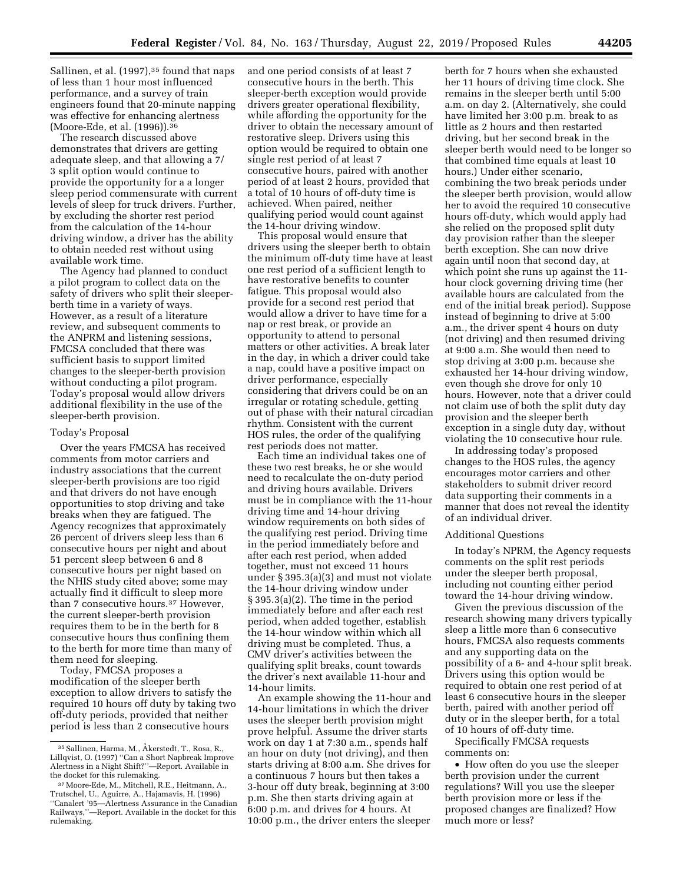Sallinen, et al. (1997),<sup>35</sup> found that naps of less than 1 hour most influenced performance, and a survey of train engineers found that 20-minute napping was effective for enhancing alertness (Moore-Ede, et al. (1996)).36

The research discussed above demonstrates that drivers are getting adequate sleep, and that allowing a 7/ 3 split option would continue to provide the opportunity for a a longer sleep period commensurate with current levels of sleep for truck drivers. Further, by excluding the shorter rest period from the calculation of the 14-hour driving window, a driver has the ability to obtain needed rest without using available work time.

The Agency had planned to conduct a pilot program to collect data on the safety of drivers who split their sleeperberth time in a variety of ways. However, as a result of a literature review, and subsequent comments to the ANPRM and listening sessions, FMCSA concluded that there was sufficient basis to support limited changes to the sleeper-berth provision without conducting a pilot program. Today's proposal would allow drivers additional flexibility in the use of the sleeper-berth provision.

### Today's Proposal

Over the years FMCSA has received comments from motor carriers and industry associations that the current sleeper-berth provisions are too rigid and that drivers do not have enough opportunities to stop driving and take breaks when they are fatigued. The Agency recognizes that approximately 26 percent of drivers sleep less than 6 consecutive hours per night and about 51 percent sleep between 6 and 8 consecutive hours per night based on the NHIS study cited above; some may actually find it difficult to sleep more than 7 consecutive hours.37 However, the current sleeper-berth provision requires them to be in the berth for 8 consecutive hours thus confining them to the berth for more time than many of them need for sleeping.

Today, FMCSA proposes a modification of the sleeper berth exception to allow drivers to satisfy the required 10 hours off duty by taking two off-duty periods, provided that neither period is less than 2 consecutive hours

and one period consists of at least 7 consecutive hours in the berth. This sleeper-berth exception would provide drivers greater operational flexibility, while affording the opportunity for the driver to obtain the necessary amount of restorative sleep. Drivers using this option would be required to obtain one single rest period of at least 7 consecutive hours, paired with another period of at least 2 hours, provided that a total of 10 hours of off-duty time is achieved. When paired, neither qualifying period would count against the 14-hour driving window.

This proposal would ensure that drivers using the sleeper berth to obtain the minimum off-duty time have at least one rest period of a sufficient length to have restorative benefits to counter fatigue. This proposal would also provide for a second rest period that would allow a driver to have time for a nap or rest break, or provide an opportunity to attend to personal matters or other activities. A break later in the day, in which a driver could take a nap, could have a positive impact on driver performance, especially considering that drivers could be on an irregular or rotating schedule, getting out of phase with their natural circadian rhythm. Consistent with the current HOS rules, the order of the qualifying rest periods does not matter.

Each time an individual takes one of these two rest breaks, he or she would need to recalculate the on-duty period and driving hours available. Drivers must be in compliance with the 11-hour driving time and 14-hour driving window requirements on both sides of the qualifying rest period. Driving time in the period immediately before and after each rest period, when added together, must not exceed 11 hours under § 395.3(a)(3) and must not violate the 14-hour driving window under § 395.3(a)(2). The time in the period immediately before and after each rest period, when added together, establish the 14-hour window within which all driving must be completed. Thus, a CMV driver's activities between the qualifying split breaks, count towards the driver's next available 11-hour and 14-hour limits.

An example showing the 11-hour and 14-hour limitations in which the driver uses the sleeper berth provision might prove helpful. Assume the driver starts work on day 1 at 7:30 a.m., spends half an hour on duty (not driving), and then starts driving at 8:00 a.m. She drives for a continuous 7 hours but then takes a 3-hour off duty break, beginning at 3:00 p.m. She then starts driving again at 6:00 p.m. and drives for 4 hours. At 10:00 p.m., the driver enters the sleeper

berth for 7 hours when she exhausted her 11 hours of driving time clock. She remains in the sleeper berth until 5:00 a.m. on day 2. (Alternatively, she could have limited her 3:00 p.m. break to as little as 2 hours and then restarted driving, but her second break in the sleeper berth would need to be longer so that combined time equals at least 10 hours.) Under either scenario, combining the two break periods under the sleeper berth provision, would allow her to avoid the required 10 consecutive hours off-duty, which would apply had she relied on the proposed split duty day provision rather than the sleeper berth exception. She can now drive again until noon that second day, at which point she runs up against the 11 hour clock governing driving time (her available hours are calculated from the end of the initial break period). Suppose instead of beginning to drive at 5:00 a.m., the driver spent 4 hours on duty (not driving) and then resumed driving at 9:00 a.m. She would then need to stop driving at 3:00 p.m. because she exhausted her 14-hour driving window, even though she drove for only 10 hours. However, note that a driver could not claim use of both the split duty day provision and the sleeper berth exception in a single duty day, without violating the 10 consecutive hour rule.

In addressing today's proposed changes to the HOS rules, the agency encourages motor carriers and other stakeholders to submit driver record data supporting their comments in a manner that does not reveal the identity of an individual driver.

#### Additional Questions

In today's NPRM, the Agency requests comments on the split rest periods under the sleeper berth proposal, including not counting either period toward the 14-hour driving window.

Given the previous discussion of the research showing many drivers typically sleep a little more than 6 consecutive hours, FMCSA also requests comments and any supporting data on the possibility of a 6- and 4-hour split break. Drivers using this option would be required to obtain one rest period of at least 6 consecutive hours in the sleeper berth, paired with another period off duty or in the sleeper berth, for a total of 10 hours of off-duty time.

Specifically FMCSA requests comments on:

• How often do you use the sleeper berth provision under the current regulations? Will you use the sleeper berth provision more or less if the proposed changes are finalized? How much more or less?

<sup>&</sup>lt;sup>35</sup> Sallinen, Harma, M., Åkerstedt, T., Rosa, R., Lillqvist, O. (1997) ''Can a Short Napbreak Improve Alertness in a Night Shift?''—Report. Available in the docket for this rulemaking.

<sup>37</sup>Moore-Ede, M., Mitchell, R.E., Heitmann, A., Trutschel, U., Aguirre, A., Hajamavis, H. (1996) ''Canalert '95—Alertness Assurance in the Canadian Railways,''—Report. Available in the docket for this rulemaking.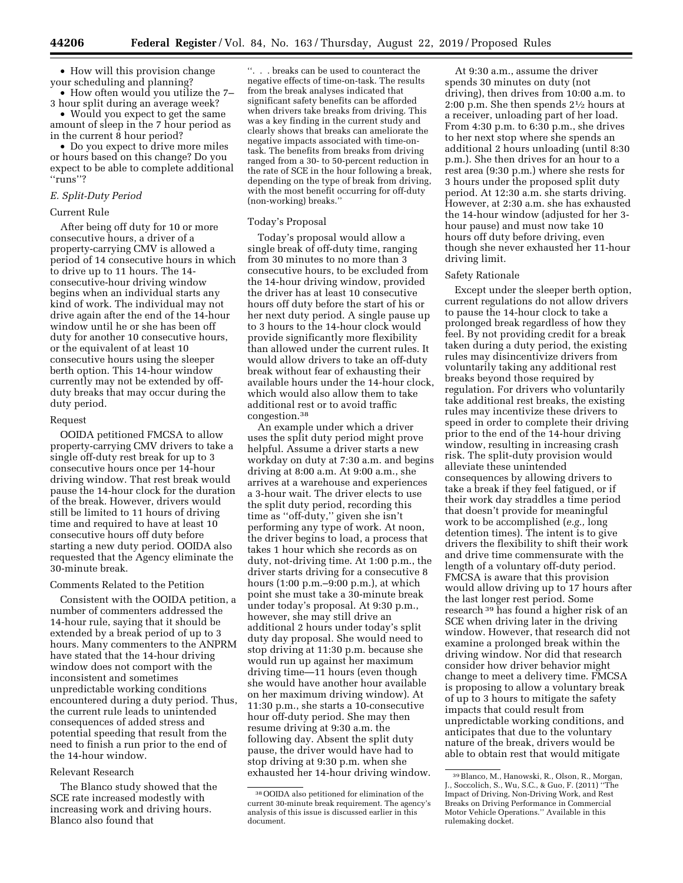• How will this provision change your scheduling and planning?

• How often would you utilize the 7– 3 hour split during an average week?

• Would you expect to get the same amount of sleep in the 7 hour period as in the current 8 hour period?

• Do you expect to drive more miles or hours based on this change? Do you expect to be able to complete additional ''runs''?

# *E. Split-Duty Period*

# Current Rule

After being off duty for 10 or more consecutive hours, a driver of a property-carrying CMV is allowed a period of 14 consecutive hours in which to drive up to 11 hours. The 14 consecutive-hour driving window begins when an individual starts any kind of work. The individual may not drive again after the end of the 14-hour window until he or she has been off duty for another 10 consecutive hours, or the equivalent of at least 10 consecutive hours using the sleeper berth option. This 14-hour window currently may not be extended by offduty breaks that may occur during the duty period.

# Request

OOIDA petitioned FMCSA to allow property-carrying CMV drivers to take a single off-duty rest break for up to 3 consecutive hours once per 14-hour driving window. That rest break would pause the 14-hour clock for the duration of the break. However, drivers would still be limited to 11 hours of driving time and required to have at least 10 consecutive hours off duty before starting a new duty period. OOIDA also requested that the Agency eliminate the 30-minute break.

#### Comments Related to the Petition

Consistent with the OOIDA petition, a number of commenters addressed the 14-hour rule, saying that it should be extended by a break period of up to 3 hours. Many commenters to the ANPRM have stated that the 14-hour driving window does not comport with the inconsistent and sometimes unpredictable working conditions encountered during a duty period. Thus, the current rule leads to unintended consequences of added stress and potential speeding that result from the need to finish a run prior to the end of the 14-hour window.

### Relevant Research

The Blanco study showed that the SCE rate increased modestly with increasing work and driving hours. Blanco also found that

''. . . breaks can be used to counteract the negative effects of time-on-task. The results from the break analyses indicated that significant safety benefits can be afforded when drivers take breaks from driving. This was a key finding in the current study and clearly shows that breaks can ameliorate the negative impacts associated with time-ontask. The benefits from breaks from driving ranged from a 30- to 50-percent reduction in the rate of SCE in the hour following a break, depending on the type of break from driving, with the most benefit occurring for off-duty (non-working) breaks.''

### Today's Proposal

Today's proposal would allow a single break of off-duty time, ranging from 30 minutes to no more than 3 consecutive hours, to be excluded from the 14-hour driving window, provided the driver has at least 10 consecutive hours off duty before the start of his or her next duty period. A single pause up to 3 hours to the 14-hour clock would provide significantly more flexibility than allowed under the current rules. It would allow drivers to take an off-duty break without fear of exhausting their available hours under the 14-hour clock, which would also allow them to take additional rest or to avoid traffic congestion.38

An example under which a driver uses the split duty period might prove helpful. Assume a driver starts a new workday on duty at 7:30 a.m. and begins driving at 8:00 a.m. At 9:00 a.m., she arrives at a warehouse and experiences a 3-hour wait. The driver elects to use the split duty period, recording this time as ''off-duty,'' given she isn't performing any type of work. At noon, the driver begins to load, a process that takes 1 hour which she records as on duty, not-driving time. At 1:00 p.m., the driver starts driving for a consecutive 8 hours (1:00 p.m.–9:00 p.m.), at which point she must take a 30-minute break under today's proposal. At 9:30 p.m., however, she may still drive an additional 2 hours under today's split duty day proposal. She would need to stop driving at 11:30 p.m. because she would run up against her maximum driving time—11 hours (even though she would have another hour available on her maximum driving window). At 11:30 p.m., she starts a 10-consecutive hour off-duty period. She may then resume driving at 9:30 a.m. the following day. Absent the split duty pause, the driver would have had to stop driving at 9:30 p.m. when she exhausted her 14-hour driving window.

At 9:30 a.m., assume the driver spends 30 minutes on duty (not driving), then drives from 10:00 a.m. to 2:00 p.m. She then spends 21⁄2 hours at a receiver, unloading part of her load. From 4:30 p.m. to 6:30 p.m., she drives to her next stop where she spends an additional 2 hours unloading (until 8:30 p.m.). She then drives for an hour to a rest area (9:30 p.m.) where she rests for 3 hours under the proposed split duty period. At 12:30 a.m. she starts driving. However, at 2:30 a.m. she has exhausted the 14-hour window (adjusted for her 3 hour pause) and must now take 10 hours off duty before driving, even though she never exhausted her 11-hour driving limit.

### Safety Rationale

Except under the sleeper berth option, current regulations do not allow drivers to pause the 14-hour clock to take a prolonged break regardless of how they feel. By not providing credit for a break taken during a duty period, the existing rules may disincentivize drivers from voluntarily taking any additional rest breaks beyond those required by regulation. For drivers who voluntarily take additional rest breaks, the existing rules may incentivize these drivers to speed in order to complete their driving prior to the end of the 14-hour driving window, resulting in increasing crash risk. The split-duty provision would alleviate these unintended consequences by allowing drivers to take a break if they feel fatigued, or if their work day straddles a time period that doesn't provide for meaningful work to be accomplished (*e.g.,* long detention times). The intent is to give drivers the flexibility to shift their work and drive time commensurate with the length of a voluntary off-duty period. FMCSA is aware that this provision would allow driving up to 17 hours after the last longer rest period. Some research 39 has found a higher risk of an SCE when driving later in the driving window. However, that research did not examine a prolonged break within the driving window. Nor did that research consider how driver behavior might change to meet a delivery time. FMCSA is proposing to allow a voluntary break of up to 3 hours to mitigate the safety impacts that could result from unpredictable working conditions, and anticipates that due to the voluntary nature of the break, drivers would be able to obtain rest that would mitigate

<sup>38</sup>OOIDA also petitioned for elimination of the current 30-minute break requirement. The agency's analysis of this issue is discussed earlier in this document.

<sup>39</sup>Blanco, M., Hanowski, R., Olson, R., Morgan, J., Soccolich, S., Wu, S.C., & Guo, F. (2011) ''The Impact of Driving, Non-Driving Work, and Rest Breaks on Driving Performance in Commercial Motor Vehicle Operations.'' Available in this rulemaking docket.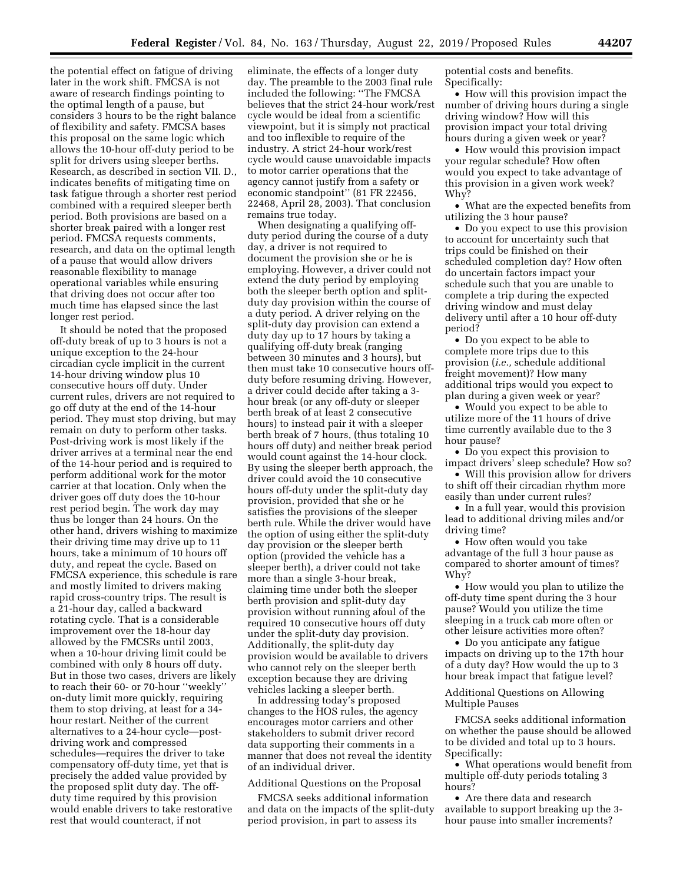the potential effect on fatigue of driving later in the work shift. FMCSA is not aware of research findings pointing to the optimal length of a pause, but considers 3 hours to be the right balance of flexibility and safety. FMCSA bases this proposal on the same logic which allows the 10-hour off-duty period to be split for drivers using sleeper berths. Research, as described in section VII. D., indicates benefits of mitigating time on task fatigue through a shorter rest period combined with a required sleeper berth period. Both provisions are based on a shorter break paired with a longer rest period. FMCSA requests comments, research, and data on the optimal length of a pause that would allow drivers reasonable flexibility to manage operational variables while ensuring that driving does not occur after too much time has elapsed since the last longer rest period.

It should be noted that the proposed off-duty break of up to 3 hours is not a unique exception to the 24-hour circadian cycle implicit in the current 14-hour driving window plus 10 consecutive hours off duty. Under current rules, drivers are not required to go off duty at the end of the 14-hour period. They must stop driving, but may remain on duty to perform other tasks. Post-driving work is most likely if the driver arrives at a terminal near the end of the 14-hour period and is required to perform additional work for the motor carrier at that location. Only when the driver goes off duty does the 10-hour rest period begin. The work day may thus be longer than 24 hours. On the other hand, drivers wishing to maximize their driving time may drive up to 11 hours, take a minimum of 10 hours off duty, and repeat the cycle. Based on FMCSA experience, this schedule is rare and mostly limited to drivers making rapid cross-country trips. The result is a 21-hour day, called a backward rotating cycle. That is a considerable improvement over the 18-hour day allowed by the FMCSRs until 2003, when a 10-hour driving limit could be combined with only 8 hours off duty. But in those two cases, drivers are likely to reach their 60- or 70-hour ''weekly'' on-duty limit more quickly, requiring them to stop driving, at least for a 34 hour restart. Neither of the current alternatives to a 24-hour cycle—postdriving work and compressed schedules—requires the driver to take compensatory off-duty time, yet that is precisely the added value provided by the proposed split duty day. The offduty time required by this provision would enable drivers to take restorative rest that would counteract, if not

eliminate, the effects of a longer duty day. The preamble to the 2003 final rule included the following: ''The FMCSA believes that the strict 24-hour work/rest cycle would be ideal from a scientific viewpoint, but it is simply not practical and too inflexible to require of the industry. A strict 24-hour work/rest cycle would cause unavoidable impacts to motor carrier operations that the agency cannot justify from a safety or economic standpoint'' (81 FR 22456, 22468, April 28, 2003). That conclusion remains true today.

When designating a qualifying offduty period during the course of a duty day, a driver is not required to document the provision she or he is employing. However, a driver could not extend the duty period by employing both the sleeper berth option and splitduty day provision within the course of a duty period. A driver relying on the split-duty day provision can extend a duty day up to 17 hours by taking a qualifying off-duty break (ranging between 30 minutes and 3 hours), but then must take 10 consecutive hours offduty before resuming driving. However, a driver could decide after taking a 3 hour break (or any off-duty or sleeper berth break of at least 2 consecutive hours) to instead pair it with a sleeper berth break of 7 hours, (thus totaling 10 hours off duty) and neither break period would count against the 14-hour clock. By using the sleeper berth approach, the driver could avoid the 10 consecutive hours off-duty under the split-duty day provision, provided that she or he satisfies the provisions of the sleeper berth rule. While the driver would have the option of using either the split-duty day provision or the sleeper berth option (provided the vehicle has a sleeper berth), a driver could not take more than a single 3-hour break, claiming time under both the sleeper berth provision and split-duty day provision without running afoul of the required 10 consecutive hours off duty under the split-duty day provision. Additionally, the split-duty day provision would be available to drivers who cannot rely on the sleeper berth exception because they are driving vehicles lacking a sleeper berth.

In addressing today's proposed changes to the HOS rules, the agency encourages motor carriers and other stakeholders to submit driver record data supporting their comments in a manner that does not reveal the identity of an individual driver.

# Additional Questions on the Proposal

FMCSA seeks additional information and data on the impacts of the split-duty period provision, in part to assess its

potential costs and benefits. Specifically:

• How will this provision impact the number of driving hours during a single driving window? How will this provision impact your total driving hours during a given week or year?

• How would this provision impact your regular schedule? How often would you expect to take advantage of this provision in a given work week? Why?

• What are the expected benefits from utilizing the 3 hour pause?

• Do you expect to use this provision to account for uncertainty such that trips could be finished on their scheduled completion day? How often do uncertain factors impact your schedule such that you are unable to complete a trip during the expected driving window and must delay delivery until after a 10 hour off-duty period?

• Do you expect to be able to complete more trips due to this provision (*i.e.,* schedule additional freight movement)? How many additional trips would you expect to plan during a given week or year?

• Would you expect to be able to utilize more of the 11 hours of drive time currently available due to the 3 hour pause?

• Do you expect this provision to impact drivers' sleep schedule? How so?

• Will this provision allow for drivers to shift off their circadian rhythm more easily than under current rules?

• In a full year, would this provision lead to additional driving miles and/or driving time?

• How often would you take advantage of the full 3 hour pause as compared to shorter amount of times? Why?

• How would you plan to utilize the off-duty time spent during the 3 hour pause? Would you utilize the time sleeping in a truck cab more often or other leisure activities more often?

• Do you anticipate any fatigue impacts on driving up to the 17th hour of a duty day? How would the up to 3 hour break impact that fatigue level?

Additional Questions on Allowing Multiple Pauses

FMCSA seeks additional information on whether the pause should be allowed to be divided and total up to 3 hours. Specifically:

• What operations would benefit from multiple off-duty periods totaling 3 hours?

• Are there data and research available to support breaking up the 3 hour pause into smaller increments?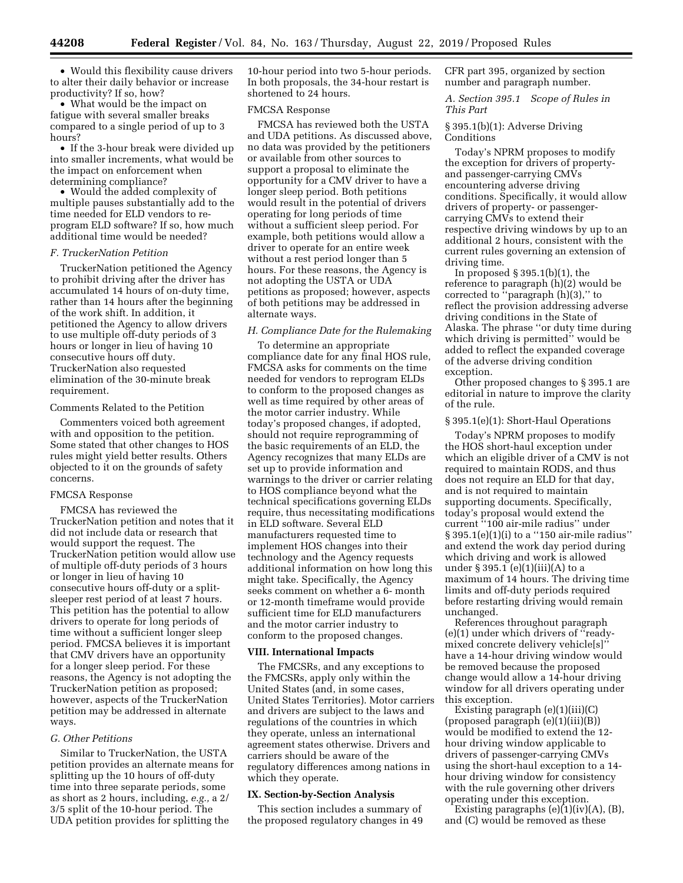• Would this flexibility cause drivers to alter their daily behavior or increase productivity? If so, how?

• What would be the impact on fatigue with several smaller breaks compared to a single period of up to 3 hours?

• If the 3-hour break were divided up into smaller increments, what would be the impact on enforcement when determining compliance?

• Would the added complexity of multiple pauses substantially add to the time needed for ELD vendors to reprogram ELD software? If so, how much additional time would be needed?

### *F. TruckerNation Petition*

TruckerNation petitioned the Agency to prohibit driving after the driver has accumulated 14 hours of on-duty time, rather than 14 hours after the beginning of the work shift. In addition, it petitioned the Agency to allow drivers to use multiple off-duty periods of 3 hours or longer in lieu of having 10 consecutive hours off duty. TruckerNation also requested elimination of the 30-minute break requirement.

# Comments Related to the Petition

Commenters voiced both agreement with and opposition to the petition. Some stated that other changes to HOS rules might yield better results. Others objected to it on the grounds of safety concerns.

#### FMCSA Response

FMCSA has reviewed the TruckerNation petition and notes that it did not include data or research that would support the request. The TruckerNation petition would allow use of multiple off-duty periods of 3 hours or longer in lieu of having 10 consecutive hours off-duty or a splitsleeper rest period of at least 7 hours. This petition has the potential to allow drivers to operate for long periods of time without a sufficient longer sleep period. FMCSA believes it is important that CMV drivers have an opportunity for a longer sleep period. For these reasons, the Agency is not adopting the TruckerNation petition as proposed; however, aspects of the TruckerNation petition may be addressed in alternate ways.

# *G. Other Petitions*

Similar to TruckerNation, the USTA petition provides an alternate means for splitting up the 10 hours of off-duty time into three separate periods, some as short as 2 hours, including, *e.g.,* a 2/ 3/5 split of the 10-hour period. The UDA petition provides for splitting the

10-hour period into two 5-hour periods. In both proposals, the 34-hour restart is shortened to 24 hours.

### FMCSA Response

FMCSA has reviewed both the USTA and UDA petitions. As discussed above, no data was provided by the petitioners or available from other sources to support a proposal to eliminate the opportunity for a CMV driver to have a longer sleep period. Both petitions would result in the potential of drivers operating for long periods of time without a sufficient sleep period. For example, both petitions would allow a driver to operate for an entire week without a rest period longer than 5 hours. For these reasons, the Agency is not adopting the USTA or UDA petitions as proposed; however, aspects of both petitions may be addressed in alternate ways.

#### *H. Compliance Date for the Rulemaking*

To determine an appropriate compliance date for any final HOS rule, FMCSA asks for comments on the time needed for vendors to reprogram ELDs to conform to the proposed changes as well as time required by other areas of the motor carrier industry. While today's proposed changes, if adopted, should not require reprogramming of the basic requirements of an ELD, the Agency recognizes that many ELDs are set up to provide information and warnings to the driver or carrier relating to HOS compliance beyond what the technical specifications governing ELDs require, thus necessitating modifications in ELD software. Several ELD manufacturers requested time to implement HOS changes into their technology and the Agency requests additional information on how long this might take. Specifically, the Agency seeks comment on whether a 6- month or 12-month timeframe would provide sufficient time for ELD manufacturers and the motor carrier industry to conform to the proposed changes.

#### **VIII. International Impacts**

The FMCSRs, and any exceptions to the FMCSRs, apply only within the United States (and, in some cases, United States Territories). Motor carriers and drivers are subject to the laws and regulations of the countries in which they operate, unless an international agreement states otherwise. Drivers and carriers should be aware of the regulatory differences among nations in which they operate.

# **IX. Section-by-Section Analysis**

This section includes a summary of the proposed regulatory changes in 49 CFR part 395, organized by section number and paragraph number.

*A. Section 395.1 Scope of Rules in This Part* 

§ 395.1(b)(1): Adverse Driving Conditions

Today's NPRM proposes to modify the exception for drivers of propertyand passenger-carrying CMVs encountering adverse driving conditions. Specifically, it would allow drivers of property- or passengercarrying CMVs to extend their respective driving windows by up to an additional 2 hours, consistent with the current rules governing an extension of driving time.

In proposed  $\S 395.1(b)(1)$ , the reference to paragraph (h)(2) would be corrected to "paragraph (h)(3)," to reflect the provision addressing adverse driving conditions in the State of Alaska. The phrase ''or duty time during which driving is permitted" would be added to reflect the expanded coverage of the adverse driving condition exception.

Other proposed changes to § 395.1 are editorial in nature to improve the clarity of the rule.

# § 395.1(e)(1): Short-Haul Operations

Today's NPRM proposes to modify the HOS short-haul exception under which an eligible driver of a CMV is not required to maintain RODS, and thus does not require an ELD for that day, and is not required to maintain supporting documents. Specifically, today's proposal would extend the current ''100 air-mile radius'' under § 395.1(e)(1)(i) to a ''150 air-mile radius'' and extend the work day period during which driving and work is allowed under  $\S 395.1$  (e)(1)(iii)(A) to a maximum of 14 hours. The driving time limits and off-duty periods required before restarting driving would remain unchanged.

References throughout paragraph (e)(1) under which drivers of ''readymixed concrete delivery vehicle[s]'' have a 14-hour driving window would be removed because the proposed change would allow a 14-hour driving window for all drivers operating under this exception.

Existing paragraph (e)(1)(iii)(C) (proposed paragraph (e)(1)(iii)(B)) would be modified to extend the 12 hour driving window applicable to drivers of passenger-carrying CMVs using the short-haul exception to a 14 hour driving window for consistency with the rule governing other drivers operating under this exception.

Existing paragraphs  $(e)(1)(iv)(A)$ ,  $(B)$ , and (C) would be removed as these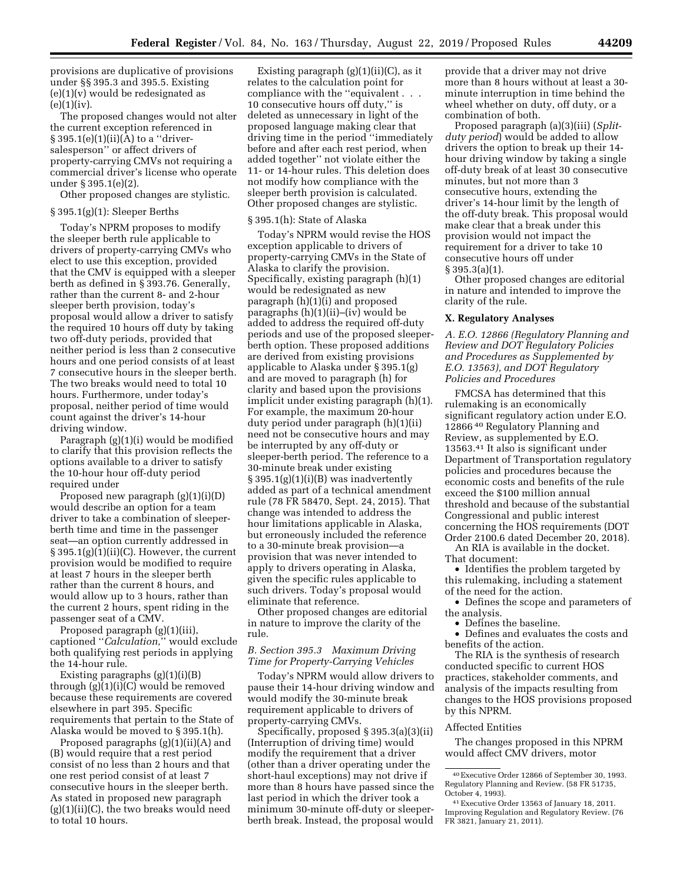provisions are duplicative of provisions under §§ 395.3 and 395.5. Existing  $(e)(1)(v)$  would be redesignated as  $(e)(1)(iv).$ 

The proposed changes would not alter the current exception referenced in  $§ 395.1(e)(1)(ii)(A)$  to a "driversalesperson'' or affect drivers of property-carrying CMVs not requiring a commercial driver's license who operate under § 395.1(e)(2).

Other proposed changes are stylistic.

# § 395.1(g)(1): Sleeper Berths

Today's NPRM proposes to modify the sleeper berth rule applicable to drivers of property-carrying CMVs who elect to use this exception, provided that the CMV is equipped with a sleeper berth as defined in § 393.76. Generally, rather than the current 8- and 2-hour sleeper berth provision, today's proposal would allow a driver to satisfy the required 10 hours off duty by taking two off-duty periods, provided that neither period is less than 2 consecutive hours and one period consists of at least 7 consecutive hours in the sleeper berth. The two breaks would need to total 10 hours. Furthermore, under today's proposal, neither period of time would count against the driver's 14-hour driving window.

Paragraph (g)(1)(i) would be modified to clarify that this provision reflects the options available to a driver to satisfy the 10-hour hour off-duty period required under

Proposed new paragraph (g)(1)(i)(D) would describe an option for a team driver to take a combination of sleeperberth time and time in the passenger seat—an option currently addressed in  $§ 395.1(g)(1)(ii)(C)$ . However, the current provision would be modified to require at least 7 hours in the sleeper berth rather than the current 8 hours, and would allow up to 3 hours, rather than the current 2 hours, spent riding in the passenger seat of a CMV.

Proposed paragraph (g)(1)(iii), captioned ''*Calculation,*'' would exclude both qualifying rest periods in applying the 14-hour rule.

Existing paragraphs (g)(1)(i)(B) through (g)(1)(i)(C) would be removed because these requirements are covered elsewhere in part 395. Specific requirements that pertain to the State of Alaska would be moved to § 395.1(h).

Proposed paragraphs (g)(1)(ii)(A) and (B) would require that a rest period consist of no less than 2 hours and that one rest period consist of at least 7 consecutive hours in the sleeper berth. As stated in proposed new paragraph  $(g)(1)(ii)(C)$ , the two breaks would need to total 10 hours.

Existing paragraph (g)(1)(ii)(C), as it relates to the calculation point for compliance with the ''equivalent . . . 10 consecutive hours off duty,'' is deleted as unnecessary in light of the proposed language making clear that driving time in the period ''immediately before and after each rest period, when added together'' not violate either the 11- or 14-hour rules. This deletion does not modify how compliance with the sleeper berth provision is calculated. Other proposed changes are stylistic.

### § 395.1(h): State of Alaska

Today's NPRM would revise the HOS exception applicable to drivers of property-carrying CMVs in the State of Alaska to clarify the provision. Specifically, existing paragraph (h)(1) would be redesignated as new paragraph (h)(1)(i) and proposed paragraphs (h)(1)(ii)–(iv) would be added to address the required off-duty periods and use of the proposed sleeperberth option. These proposed additions are derived from existing provisions applicable to Alaska under § 395.1(g) and are moved to paragraph (h) for clarity and based upon the provisions implicit under existing paragraph (h)(1). For example, the maximum 20-hour duty period under paragraph (h)(1)(ii) need not be consecutive hours and may be interrupted by any off-duty or sleeper-berth period. The reference to a 30-minute break under existing § 395.1(g)(1)(i)(B) was inadvertently added as part of a technical amendment rule (78 FR 58470, Sept. 24, 2015). That change was intended to address the hour limitations applicable in Alaska, but erroneously included the reference to a 30-minute break provision—a provision that was never intended to apply to drivers operating in Alaska, given the specific rules applicable to such drivers. Today's proposal would eliminate that reference.

Other proposed changes are editorial in nature to improve the clarity of the rule.

# *B. Section 395.3 Maximum Driving Time for Property-Carrying Vehicles*

Today's NPRM would allow drivers to pause their 14-hour driving window and would modify the 30-minute break requirement applicable to drivers of property-carrying CMVs.

Specifically, proposed § 395.3(a)(3)(ii) (Interruption of driving time) would modify the requirement that a driver (other than a driver operating under the short-haul exceptions) may not drive if more than 8 hours have passed since the last period in which the driver took a minimum 30-minute off-duty or sleeperberth break. Instead, the proposal would

provide that a driver may not drive more than 8 hours without at least a 30 minute interruption in time behind the wheel whether on duty, off duty, or a combination of both.

Proposed paragraph (a)(3)(iii) (*Splitduty period*) would be added to allow drivers the option to break up their 14 hour driving window by taking a single off-duty break of at least 30 consecutive minutes, but not more than 3 consecutive hours, extending the driver's 14-hour limit by the length of the off-duty break. This proposal would make clear that a break under this provision would not impact the requirement for a driver to take 10 consecutive hours off under § 395.3(a)(1).

Other proposed changes are editorial in nature and intended to improve the clarity of the rule.

### **X. Regulatory Analyses**

*A. E.O. 12866 (Regulatory Planning and Review and DOT Regulatory Policies and Procedures as Supplemented by E.O. 13563), and DOT Regulatory Policies and Procedures* 

FMCSA has determined that this rulemaking is an economically significant regulatory action under E.O. 12866 40 Regulatory Planning and Review, as supplemented by E.O. 13563.41 It also is significant under Department of Transportation regulatory policies and procedures because the economic costs and benefits of the rule exceed the \$100 million annual threshold and because of the substantial Congressional and public interest concerning the HOS requirements (DOT Order 2100.6 dated December 20, 2018).

An RIA is available in the docket. That document:

• Identifies the problem targeted by this rulemaking, including a statement of the need for the action.

• Defines the scope and parameters of the analysis.

• Defines the baseline.

• Defines and evaluates the costs and benefits of the action.

The RIA is the synthesis of research conducted specific to current HOS practices, stakeholder comments, and analysis of the impacts resulting from changes to the HOS provisions proposed by this NPRM.

# Affected Entities

The changes proposed in this NPRM would affect CMV drivers, motor

<sup>40</sup>Executive Order 12866 of September 30, 1993. Regulatory Planning and Review. (58 FR 51735, October 4, 1993).

<sup>41</sup>Executive Order 13563 of January 18, 2011. Improving Regulation and Regulatory Review. (76 FR 3821, January 21, 2011).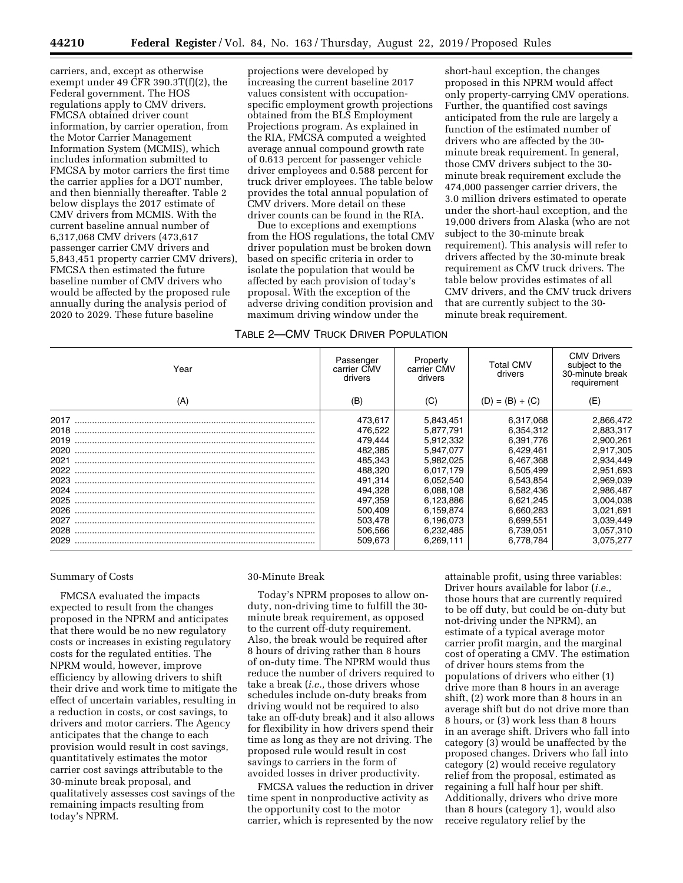carriers, and, except as otherwise exempt under 49 CFR 390.3T(f)(2), the Federal government. The HOS regulations apply to CMV drivers. FMCSA obtained driver count information, by carrier operation, from the Motor Carrier Management Information System (MCMIS), which includes information submitted to FMCSA by motor carriers the first time the carrier applies for a DOT number, and then biennially thereafter. Table 2 below displays the 2017 estimate of CMV drivers from MCMIS. With the current baseline annual number of 6,317,068 CMV drivers (473,617 passenger carrier CMV drivers and 5,843,451 property carrier CMV drivers), FMCSA then estimated the future baseline number of CMV drivers who would be affected by the proposed rule annually during the analysis period of 2020 to 2029. These future baseline

projections were developed by increasing the current baseline 2017 values consistent with occupationspecific employment growth projections obtained from the BLS Employment Projections program. As explained in the RIA, FMCSA computed a weighted average annual compound growth rate of 0.613 percent for passenger vehicle driver employees and 0.588 percent for truck driver employees. The table below provides the total annual population of CMV drivers. More detail on these driver counts can be found in the RIA.

Due to exceptions and exemptions from the HOS regulations, the total CMV driver population must be broken down based on specific criteria in order to isolate the population that would be affected by each provision of today's proposal. With the exception of the adverse driving condition provision and maximum driving window under the

## TABLE 2—CMV TRUCK DRIVER POPULATION

short-haul exception, the changes proposed in this NPRM would affect only property-carrying CMV operations. Further, the quantified cost savings anticipated from the rule are largely a function of the estimated number of drivers who are affected by the 30 minute break requirement. In general, those CMV drivers subject to the 30 minute break requirement exclude the 474,000 passenger carrier drivers, the 3.0 million drivers estimated to operate under the short-haul exception, and the 19,000 drivers from Alaska (who are not subject to the 30-minute break requirement). This analysis will refer to drivers affected by the 30-minute break requirement as CMV truck drivers. The table below provides estimates of all CMV drivers, and the CMV truck drivers that are currently subject to the 30 minute break requirement.

| Year         | Passenger<br>carrier CMV<br>drivers | Property<br>carrier CMV<br>drivers | Total CMV<br>drivers   | <b>CMV Drivers</b><br>subject to the<br>30-minute break<br>requirement |
|--------------|-------------------------------------|------------------------------------|------------------------|------------------------------------------------------------------------|
| (A)          | (B)                                 | (C)                                | $(D) = (B) + (C)$      | (E)                                                                    |
| 2017         | 473.617                             | 5,843,451                          | 6,317,068              | 2,866,472                                                              |
| 2018<br>2019 | 476,522<br>479,444                  | 5,877,791<br>5,912,332             | 6.354.312<br>6.391.776 | 2,883,317<br>2,900,261                                                 |
| 2020<br>2021 | 482.385<br>485.343                  | 5.947.077<br>5.982.025             | 6.429.461<br>6.467.368 | 2,917,305<br>2,934,449                                                 |
| 2022         | 488.320                             | 6,017,179                          | 6,505,499              | 2,951,693                                                              |
| 2023<br>2024 | 491.314<br>494.328                  | 6,052,540<br>6,088,108             | 6,543,854<br>6,582,436 | 2,969,039<br>2,986,487                                                 |
| 2025         | 497.359                             | 6,123,886                          | 6.621.245              | 3,004,038                                                              |
| 2026<br>2027 | 500,409<br>503,478                  | 6,159,874<br>6,196,073             | 6,660,283<br>6.699.551 | 3,021,691<br>3,039,449                                                 |
| 2028<br>2029 | 506.566<br>509.673                  | 6,232,485<br>6.269.111             | 6,739,051<br>6.778.784 | 3,057,310<br>3.075.277                                                 |
|              |                                     |                                    |                        |                                                                        |

# Summary of Costs

FMCSA evaluated the impacts expected to result from the changes proposed in the NPRM and anticipates that there would be no new regulatory costs or increases in existing regulatory costs for the regulated entities. The NPRM would, however, improve efficiency by allowing drivers to shift their drive and work time to mitigate the effect of uncertain variables, resulting in a reduction in costs, or cost savings, to drivers and motor carriers. The Agency anticipates that the change to each provision would result in cost savings, quantitatively estimates the motor carrier cost savings attributable to the 30-minute break proposal, and qualitatively assesses cost savings of the remaining impacts resulting from today's NPRM.

## 30-Minute Break

Today's NPRM proposes to allow onduty, non-driving time to fulfill the 30 minute break requirement, as opposed to the current off-duty requirement. Also, the break would be required after 8 hours of driving rather than 8 hours of on-duty time. The NPRM would thus reduce the number of drivers required to take a break (*i.e.,* those drivers whose schedules include on-duty breaks from driving would not be required to also take an off-duty break) and it also allows for flexibility in how drivers spend their time as long as they are not driving. The proposed rule would result in cost savings to carriers in the form of avoided losses in driver productivity.

FMCSA values the reduction in driver time spent in nonproductive activity as the opportunity cost to the motor carrier, which is represented by the now

attainable profit, using three variables: Driver hours available for labor (*i.e.,*  those hours that are currently required to be off duty, but could be on-duty but not-driving under the NPRM), an estimate of a typical average motor carrier profit margin, and the marginal cost of operating a CMV. The estimation of driver hours stems from the populations of drivers who either (1) drive more than 8 hours in an average shift, (2) work more than 8 hours in an average shift but do not drive more than 8 hours, or (3) work less than 8 hours in an average shift. Drivers who fall into category (3) would be unaffected by the proposed changes. Drivers who fall into category (2) would receive regulatory relief from the proposal, estimated as regaining a full half hour per shift. Additionally, drivers who drive more than 8 hours (category 1), would also receive regulatory relief by the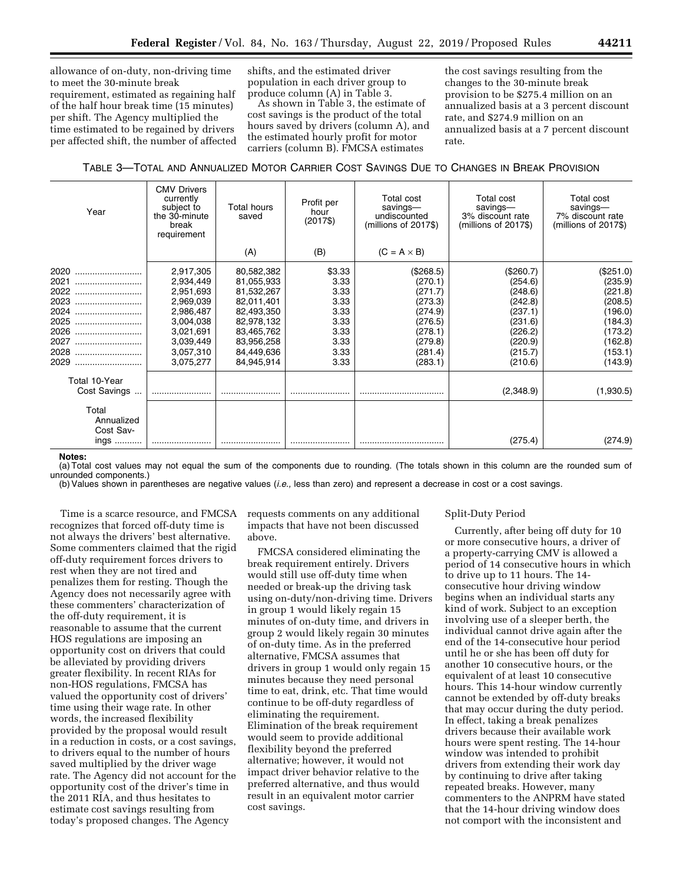allowance of on-duty, non-driving time to meet the 30-minute break requirement, estimated as regaining half of the half hour break time (15 minutes) per shift. The Agency multiplied the time estimated to be regained by drivers per affected shift, the number of affected shifts, and the estimated driver population in each driver group to produce column (A) in Table 3.

As shown in Table 3, the estimate of cost savings is the product of the total hours saved by drivers (column A), and the estimated hourly profit for motor carriers (column B). FMCSA estimates

the cost savings resulting from the changes to the 30-minute break provision to be \$275.4 million on an annualized basis at a 3 percent discount rate, and \$274.9 million on an annualized basis at a 7 percent discount rate.

# TABLE 3—TOTAL AND ANNUALIZED MOTOR CARRIER COST SAVINGS DUE TO CHANGES IN BREAK PROVISION

| Year                             | <b>CMV Drivers</b><br>currently<br>subject to<br>the 30-minute<br>break<br>requirement | Total hours<br>saved | Profit per<br>hour<br>$(2017\$ | Total cost<br>savings-<br>undiscounted<br>(millions of 2017\$) | Total cost<br>savings-<br>3% discount rate<br>$(millions of 2017\$ | Total cost<br>savings-<br>7% discount rate<br>$(millions of 2017\$ |
|----------------------------------|----------------------------------------------------------------------------------------|----------------------|--------------------------------|----------------------------------------------------------------|--------------------------------------------------------------------|--------------------------------------------------------------------|
|                                  |                                                                                        | (A)                  | (B)                            | $(C = A \times B)$                                             |                                                                    |                                                                    |
| 2020                             | 2,917,305                                                                              | 80,582,382           | \$3.33                         | (\$268.5)                                                      | (\$260.7)                                                          | (\$251.0)                                                          |
| 2021<br>                         | 2,934,449                                                                              | 81,055,933           | 3.33                           | (270.1)                                                        | (254.6)                                                            | (235.9)                                                            |
| 2022                             | 2,951,693                                                                              | 81,532,267           | 3.33                           | (271.7)                                                        | (248.6)                                                            | (221.8)                                                            |
| 2023                             | 2,969,039                                                                              | 82,011,401           | 3.33                           | (273.3)                                                        | (242.8)                                                            | (208.5)                                                            |
| 2024                             | 2,986,487                                                                              | 82,493,350           | 3.33                           | (274.9)                                                        | (237.1)                                                            | (196.0)                                                            |
| 2025<br>                         | 3,004,038                                                                              | 82,978,132           | 3.33                           | (276.5)                                                        | (231.6)                                                            | (184.3)                                                            |
| 2026<br>                         | 3,021,691                                                                              | 83,465,762           | 3.33                           | (278.1)                                                        | (226.2)                                                            | (173.2)                                                            |
| 2027<br>                         | 3,039,449                                                                              | 83,956,258           | 3.33                           | (279.8)                                                        | (220.9)                                                            | (162.8)                                                            |
| 2028                             | 3,057,310                                                                              | 84,449,636           | 3.33                           | (281.4)                                                        | (215.7)                                                            | (153.1)                                                            |
| 2029                             | 3.075.277                                                                              | 84.945.914           | 3.33                           | (283.1)                                                        | (210.6)                                                            | (143.9)                                                            |
| Total 10-Year                    |                                                                                        |                      |                                |                                                                |                                                                    |                                                                    |
| Cost Savings                     |                                                                                        |                      |                                |                                                                | (2,348.9)                                                          | (1,930.5)                                                          |
| Total<br>Annualized<br>Cost Sav- |                                                                                        |                      |                                |                                                                |                                                                    |                                                                    |
| $nqs$                            |                                                                                        |                      |                                |                                                                | (275.4)                                                            | (274.9)                                                            |

# **Notes:**

(a) Total cost values may not equal the sum of the components due to rounding. (The totals shown in this column are the rounded sum of unrounded components.)

(b) Values shown in parentheses are negative values (*i.e.,* less than zero) and represent a decrease in cost or a cost savings.

Time is a scarce resource, and FMCSA recognizes that forced off-duty time is not always the drivers' best alternative. Some commenters claimed that the rigid off-duty requirement forces drivers to rest when they are not tired and penalizes them for resting. Though the Agency does not necessarily agree with these commenters' characterization of the off-duty requirement, it is reasonable to assume that the current HOS regulations are imposing an opportunity cost on drivers that could be alleviated by providing drivers greater flexibility. In recent RIAs for non-HOS regulations, FMCSA has valued the opportunity cost of drivers' time using their wage rate. In other words, the increased flexibility provided by the proposal would result in a reduction in costs, or a cost savings, to drivers equal to the number of hours saved multiplied by the driver wage rate. The Agency did not account for the opportunity cost of the driver's time in the 2011 RIA, and thus hesitates to estimate cost savings resulting from today's proposed changes. The Agency

requests comments on any additional impacts that have not been discussed above.

FMCSA considered eliminating the break requirement entirely. Drivers would still use off-duty time when needed or break-up the driving task using on-duty/non-driving time. Drivers in group 1 would likely regain 15 minutes of on-duty time, and drivers in group 2 would likely regain 30 minutes of on-duty time. As in the preferred alternative, FMCSA assumes that drivers in group 1 would only regain 15 minutes because they need personal time to eat, drink, etc. That time would continue to be off-duty regardless of eliminating the requirement. Elimination of the break requirement would seem to provide additional flexibility beyond the preferred alternative; however, it would not impact driver behavior relative to the preferred alternative, and thus would result in an equivalent motor carrier cost savings.

## Split-Duty Period

Currently, after being off duty for 10 or more consecutive hours, a driver of a property-carrying CMV is allowed a period of 14 consecutive hours in which to drive up to 11 hours. The 14 consecutive hour driving window begins when an individual starts any kind of work. Subject to an exception involving use of a sleeper berth, the individual cannot drive again after the end of the 14-consecutive hour period until he or she has been off duty for another 10 consecutive hours, or the equivalent of at least 10 consecutive hours. This 14-hour window currently cannot be extended by off-duty breaks that may occur during the duty period. In effect, taking a break penalizes drivers because their available work hours were spent resting. The 14-hour window was intended to prohibit drivers from extending their work day by continuing to drive after taking repeated breaks. However, many commenters to the ANPRM have stated that the 14-hour driving window does not comport with the inconsistent and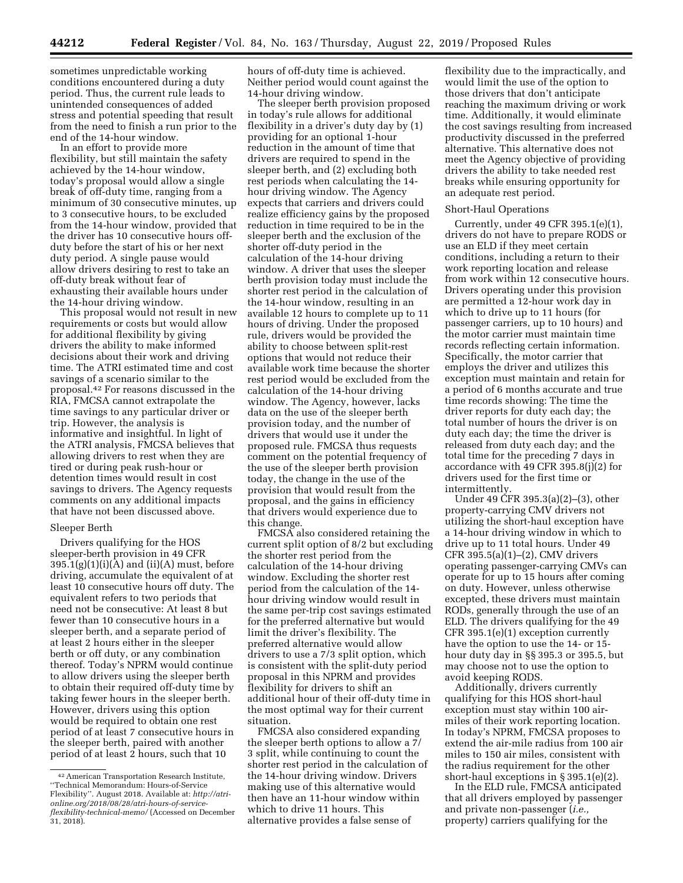sometimes unpredictable working conditions encountered during a duty period. Thus, the current rule leads to unintended consequences of added stress and potential speeding that result from the need to finish a run prior to the end of the 14-hour window.

In an effort to provide more flexibility, but still maintain the safety achieved by the 14-hour window, today's proposal would allow a single break of off-duty time, ranging from a minimum of 30 consecutive minutes, up to 3 consecutive hours, to be excluded from the 14-hour window, provided that the driver has 10 consecutive hours offduty before the start of his or her next duty period. A single pause would allow drivers desiring to rest to take an off-duty break without fear of exhausting their available hours under the 14-hour driving window.

This proposal would not result in new requirements or costs but would allow for additional flexibility by giving drivers the ability to make informed decisions about their work and driving time. The ATRI estimated time and cost savings of a scenario similar to the proposal.42 For reasons discussed in the RIA, FMCSA cannot extrapolate the time savings to any particular driver or trip. However, the analysis is informative and insightful. In light of the ATRI analysis, FMCSA believes that allowing drivers to rest when they are tired or during peak rush-hour or detention times would result in cost savings to drivers. The Agency requests comments on any additional impacts that have not been discussed above.

### Sleeper Berth

Drivers qualifying for the HOS sleeper-berth provision in 49 CFR  $395.1(g)(1)(i)(A)$  and  $(ii)(A)$  must, before driving, accumulate the equivalent of at least 10 consecutive hours off duty. The equivalent refers to two periods that need not be consecutive: At least 8 but fewer than 10 consecutive hours in a sleeper berth, and a separate period of at least 2 hours either in the sleeper berth or off duty, or any combination thereof. Today's NPRM would continue to allow drivers using the sleeper berth to obtain their required off-duty time by taking fewer hours in the sleeper berth. However, drivers using this option would be required to obtain one rest period of at least 7 consecutive hours in the sleeper berth, paired with another period of at least 2 hours, such that 10

hours of off-duty time is achieved. Neither period would count against the 14-hour driving window.

The sleeper berth provision proposed in today's rule allows for additional flexibility in a driver's duty day by (1) providing for an optional 1-hour reduction in the amount of time that drivers are required to spend in the sleeper berth, and (2) excluding both rest periods when calculating the 14 hour driving window. The Agency expects that carriers and drivers could realize efficiency gains by the proposed reduction in time required to be in the sleeper berth and the exclusion of the shorter off-duty period in the calculation of the 14-hour driving window. A driver that uses the sleeper berth provision today must include the shorter rest period in the calculation of the 14-hour window, resulting in an available 12 hours to complete up to 11 hours of driving. Under the proposed rule, drivers would be provided the ability to choose between split-rest options that would not reduce their available work time because the shorter rest period would be excluded from the calculation of the 14-hour driving window. The Agency, however, lacks data on the use of the sleeper berth provision today, and the number of drivers that would use it under the proposed rule. FMCSA thus requests comment on the potential frequency of the use of the sleeper berth provision today, the change in the use of the provision that would result from the proposal, and the gains in efficiency that drivers would experience due to this change.

FMCSA also considered retaining the current split option of 8/2 but excluding the shorter rest period from the calculation of the 14-hour driving window. Excluding the shorter rest period from the calculation of the 14 hour driving window would result in the same per-trip cost savings estimated for the preferred alternative but would limit the driver's flexibility. The preferred alternative would allow drivers to use a 7/3 split option, which is consistent with the split-duty period proposal in this NPRM and provides flexibility for drivers to shift an additional hour of their off-duty time in the most optimal way for their current situation.

FMCSA also considered expanding the sleeper berth options to allow a 7/ 3 split, while continuing to count the shorter rest period in the calculation of the 14-hour driving window. Drivers making use of this alternative would then have an 11-hour window within which to drive 11 hours. This alternative provides a false sense of

flexibility due to the impractically, and would limit the use of the option to those drivers that don't anticipate reaching the maximum driving or work time. Additionally, it would eliminate the cost savings resulting from increased productivity discussed in the preferred alternative. This alternative does not meet the Agency objective of providing drivers the ability to take needed rest breaks while ensuring opportunity for an adequate rest period.

### Short-Haul Operations

Currently, under 49 CFR 395.1(e)(1), drivers do not have to prepare RODS or use an ELD if they meet certain conditions, including a return to their work reporting location and release from work within 12 consecutive hours. Drivers operating under this provision are permitted a 12-hour work day in which to drive up to 11 hours (for passenger carriers, up to 10 hours) and the motor carrier must maintain time records reflecting certain information. Specifically, the motor carrier that employs the driver and utilizes this exception must maintain and retain for a period of 6 months accurate and true time records showing: The time the driver reports for duty each day; the total number of hours the driver is on duty each day; the time the driver is released from duty each day; and the total time for the preceding 7 days in accordance with 49 CFR 395.8(j)(2) for drivers used for the first time or intermittently.

Under 49 CFR 395.3(a)(2)–(3), other property-carrying CMV drivers not utilizing the short-haul exception have a 14-hour driving window in which to drive up to 11 total hours. Under 49 CFR 395.5(a)(1)–(2), CMV drivers operating passenger-carrying CMVs can operate for up to 15 hours after coming on duty. However, unless otherwise excepted, these drivers must maintain RODs, generally through the use of an ELD. The drivers qualifying for the 49 CFR 395.1(e)(1) exception currently have the option to use the 14- or 15 hour duty day in §§ 395.3 or 395.5, but may choose not to use the option to avoid keeping RODS.

Additionally, drivers currently qualifying for this HOS short-haul exception must stay within 100 airmiles of their work reporting location. In today's NPRM, FMCSA proposes to extend the air-mile radius from 100 air miles to 150 air miles, consistent with the radius requirement for the other short-haul exceptions in § 395.1(e)(2).

In the ELD rule, FMCSA anticipated that all drivers employed by passenger and private non-passenger (*i.e.,*  property) carriers qualifying for the

<sup>42</sup>American Transportation Research Institute, ''Technical Memorandum: Hours-of-Service Flexibility''. August 2018. Available at: *http://atrionline.org/2018/08/28/atri-hours-of-serviceflexibility-technical-memo/* (Accessed on December 31, 2018).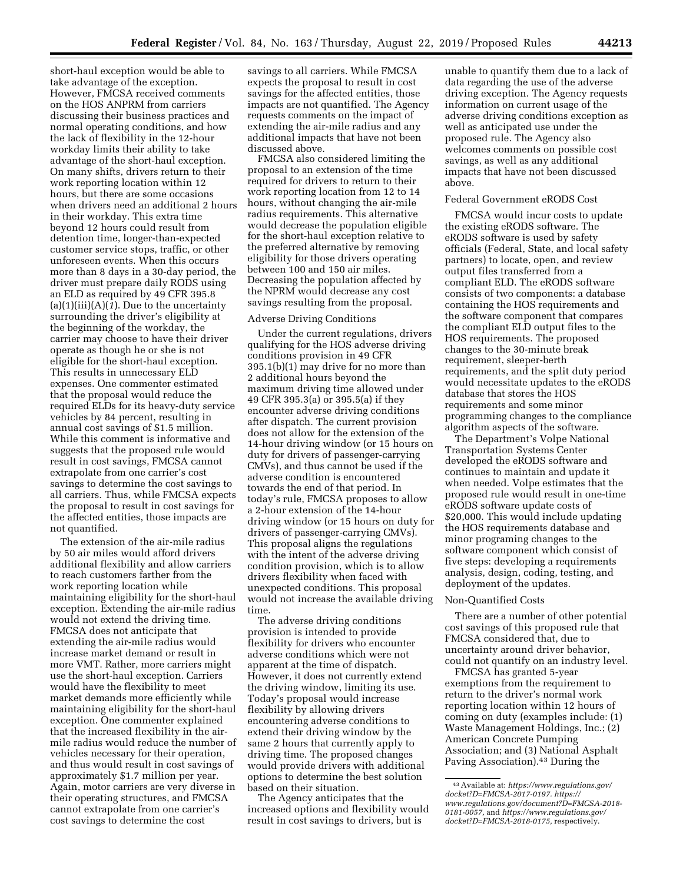short-haul exception would be able to take advantage of the exception. However, FMCSA received comments on the HOS ANPRM from carriers discussing their business practices and normal operating conditions, and how the lack of flexibility in the 12-hour workday limits their ability to take advantage of the short-haul exception. On many shifts, drivers return to their work reporting location within 12 hours, but there are some occasions when drivers need an additional 2 hours in their workday. This extra time beyond 12 hours could result from detention time, longer-than-expected customer service stops, traffic, or other unforeseen events. When this occurs more than 8 days in a 30-day period, the driver must prepare daily RODS using an ELD as required by 49 CFR 395.8 (a)(1)(iii)(A)(*1*). Due to the uncertainty surrounding the driver's eligibility at the beginning of the workday, the carrier may choose to have their driver operate as though he or she is not eligible for the short-haul exception. This results in unnecessary ELD expenses. One commenter estimated that the proposal would reduce the required ELDs for its heavy-duty service vehicles by 84 percent, resulting in annual cost savings of \$1.5 million. While this comment is informative and suggests that the proposed rule would result in cost savings, FMCSA cannot extrapolate from one carrier's cost savings to determine the cost savings to all carriers. Thus, while FMCSA expects the proposal to result in cost savings for the affected entities, those impacts are not quantified.

The extension of the air-mile radius by 50 air miles would afford drivers additional flexibility and allow carriers to reach customers farther from the work reporting location while maintaining eligibility for the short-haul exception. Extending the air-mile radius would not extend the driving time. FMCSA does not anticipate that extending the air-mile radius would increase market demand or result in more VMT. Rather, more carriers might use the short-haul exception. Carriers would have the flexibility to meet market demands more efficiently while maintaining eligibility for the short-haul exception. One commenter explained that the increased flexibility in the airmile radius would reduce the number of vehicles necessary for their operation, and thus would result in cost savings of approximately \$1.7 million per year. Again, motor carriers are very diverse in their operating structures, and FMCSA cannot extrapolate from one carrier's cost savings to determine the cost

savings to all carriers. While FMCSA expects the proposal to result in cost savings for the affected entities, those impacts are not quantified. The Agency requests comments on the impact of extending the air-mile radius and any additional impacts that have not been discussed above.

FMCSA also considered limiting the proposal to an extension of the time required for drivers to return to their work reporting location from 12 to 14 hours, without changing the air-mile radius requirements. This alternative would decrease the population eligible for the short-haul exception relative to the preferred alternative by removing eligibility for those drivers operating between 100 and 150 air miles. Decreasing the population affected by the NPRM would decrease any cost savings resulting from the proposal.

# Adverse Driving Conditions

Under the current regulations, drivers qualifying for the HOS adverse driving conditions provision in 49 CFR 395.1(b)(1) may drive for no more than 2 additional hours beyond the maximum driving time allowed under 49 CFR 395.3(a) or 395.5(a) if they encounter adverse driving conditions after dispatch. The current provision does not allow for the extension of the 14-hour driving window (or 15 hours on duty for drivers of passenger-carrying CMVs), and thus cannot be used if the adverse condition is encountered towards the end of that period. In today's rule, FMCSA proposes to allow a 2-hour extension of the 14-hour driving window (or 15 hours on duty for drivers of passenger-carrying CMVs). This proposal aligns the regulations with the intent of the adverse driving condition provision, which is to allow drivers flexibility when faced with unexpected conditions. This proposal would not increase the available driving time.

The adverse driving conditions provision is intended to provide flexibility for drivers who encounter adverse conditions which were not apparent at the time of dispatch. However, it does not currently extend the driving window, limiting its use. Today's proposal would increase flexibility by allowing drivers encountering adverse conditions to extend their driving window by the same 2 hours that currently apply to driving time. The proposed changes would provide drivers with additional options to determine the best solution based on their situation.

The Agency anticipates that the increased options and flexibility would result in cost savings to drivers, but is

unable to quantify them due to a lack of data regarding the use of the adverse driving exception. The Agency requests information on current usage of the adverse driving conditions exception as well as anticipated use under the proposed rule. The Agency also welcomes comments on possible cost savings, as well as any additional impacts that have not been discussed above.

# Federal Government eRODS Cost

FMCSA would incur costs to update the existing eRODS software. The eRODS software is used by safety officials (Federal, State, and local safety partners) to locate, open, and review output files transferred from a compliant ELD. The eRODS software consists of two components: a database containing the HOS requirements and the software component that compares the compliant ELD output files to the HOS requirements. The proposed changes to the 30-minute break requirement, sleeper-berth requirements, and the split duty period would necessitate updates to the eRODS database that stores the HOS requirements and some minor programming changes to the compliance algorithm aspects of the software.

The Department's Volpe National Transportation Systems Center developed the eRODS software and continues to maintain and update it when needed. Volpe estimates that the proposed rule would result in one-time eRODS software update costs of \$20,000. This would include updating the HOS requirements database and minor programing changes to the software component which consist of five steps: developing a requirements analysis, design, coding, testing, and deployment of the updates.

# Non-Quantified Costs

There are a number of other potential cost savings of this proposed rule that FMCSA considered that, due to uncertainty around driver behavior, could not quantify on an industry level.

FMCSA has granted 5-year exemptions from the requirement to return to the driver's normal work reporting location within 12 hours of coming on duty (examples include: (1) Waste Management Holdings, Inc.; (2) American Concrete Pumping Association; and (3) National Asphalt Paving Association).43 During the

<sup>43</sup>Available at: *https://www.regulations.gov/ docket?D=FMCSA-2017-0197. https:// www.regulations.gov/document?D=FMCSA-2018- 0181-0057,* and *https://www.regulations.gov/ docket?D=FMCSA-2018-0175,* respectively.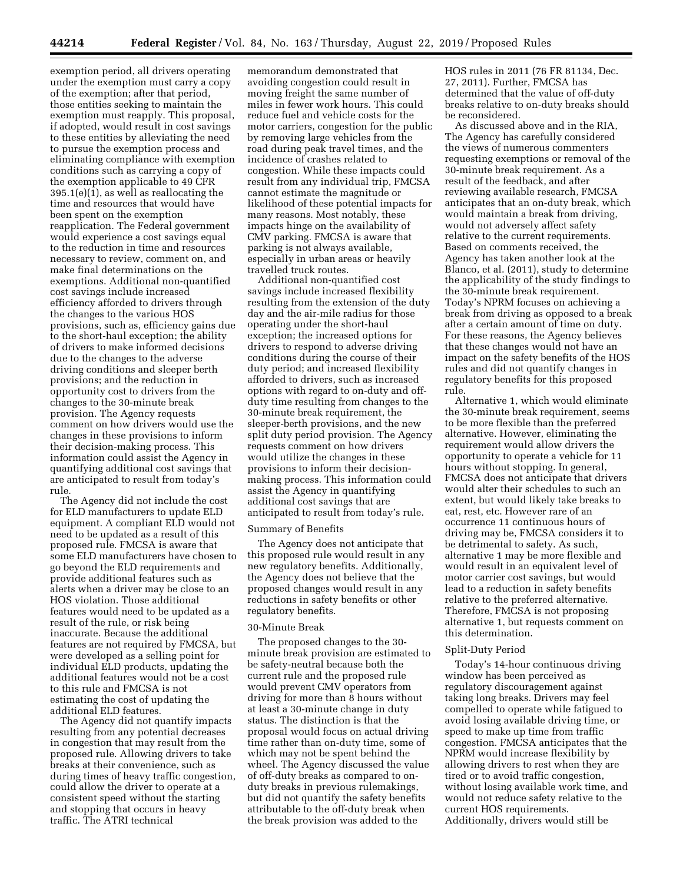exemption period, all drivers operating under the exemption must carry a copy of the exemption; after that period, those entities seeking to maintain the exemption must reapply. This proposal, if adopted, would result in cost savings to these entities by alleviating the need to pursue the exemption process and eliminating compliance with exemption conditions such as carrying a copy of the exemption applicable to 49 CFR 395.1(e)(1), as well as reallocating the time and resources that would have been spent on the exemption reapplication. The Federal government would experience a cost savings equal to the reduction in time and resources necessary to review, comment on, and make final determinations on the exemptions. Additional non-quantified cost savings include increased efficiency afforded to drivers through the changes to the various HOS provisions, such as, efficiency gains due to the short-haul exception; the ability of drivers to make informed decisions due to the changes to the adverse driving conditions and sleeper berth provisions; and the reduction in opportunity cost to drivers from the changes to the 30-minute break provision. The Agency requests comment on how drivers would use the changes in these provisions to inform their decision-making process. This information could assist the Agency in quantifying additional cost savings that are anticipated to result from today's rule.

The Agency did not include the cost for ELD manufacturers to update ELD equipment. A compliant ELD would not need to be updated as a result of this proposed rule. FMCSA is aware that some ELD manufacturers have chosen to go beyond the ELD requirements and provide additional features such as alerts when a driver may be close to an HOS violation. Those additional features would need to be updated as a result of the rule, or risk being inaccurate. Because the additional features are not required by FMCSA, but were developed as a selling point for individual ELD products, updating the additional features would not be a cost to this rule and FMCSA is not estimating the cost of updating the additional ELD features.

The Agency did not quantify impacts resulting from any potential decreases in congestion that may result from the proposed rule. Allowing drivers to take breaks at their convenience, such as during times of heavy traffic congestion, could allow the driver to operate at a consistent speed without the starting and stopping that occurs in heavy traffic. The ATRI technical

memorandum demonstrated that avoiding congestion could result in moving freight the same number of miles in fewer work hours. This could reduce fuel and vehicle costs for the motor carriers, congestion for the public by removing large vehicles from the road during peak travel times, and the incidence of crashes related to congestion. While these impacts could result from any individual trip, FMCSA cannot estimate the magnitude or likelihood of these potential impacts for many reasons. Most notably, these impacts hinge on the availability of CMV parking. FMCSA is aware that parking is not always available, especially in urban areas or heavily travelled truck routes.

Additional non-quantified cost savings include increased flexibility resulting from the extension of the duty day and the air-mile radius for those operating under the short-haul exception; the increased options for drivers to respond to adverse driving conditions during the course of their duty period; and increased flexibility afforded to drivers, such as increased options with regard to on-duty and offduty time resulting from changes to the 30-minute break requirement, the sleeper-berth provisions, and the new split duty period provision. The Agency requests comment on how drivers would utilize the changes in these provisions to inform their decisionmaking process. This information could assist the Agency in quantifying additional cost savings that are anticipated to result from today's rule.

# Summary of Benefits

The Agency does not anticipate that this proposed rule would result in any new regulatory benefits. Additionally, the Agency does not believe that the proposed changes would result in any reductions in safety benefits or other regulatory benefits.

# 30-Minute Break

The proposed changes to the 30 minute break provision are estimated to be safety-neutral because both the current rule and the proposed rule would prevent CMV operators from driving for more than 8 hours without at least a 30-minute change in duty status. The distinction is that the proposal would focus on actual driving time rather than on-duty time, some of which may not be spent behind the wheel. The Agency discussed the value of off-duty breaks as compared to onduty breaks in previous rulemakings, but did not quantify the safety benefits attributable to the off-duty break when the break provision was added to the

HOS rules in 2011 (76 FR 81134, Dec. 27, 2011). Further, FMCSA has determined that the value of off-duty breaks relative to on-duty breaks should be reconsidered.

As discussed above and in the RIA, The Agency has carefully considered the views of numerous commenters requesting exemptions or removal of the 30-minute break requirement. As a result of the feedback, and after reviewing available research, FMCSA anticipates that an on-duty break, which would maintain a break from driving, would not adversely affect safety relative to the current requirements. Based on comments received, the Agency has taken another look at the Blanco, et al. (2011), study to determine the applicability of the study findings to the 30-minute break requirement. Today's NPRM focuses on achieving a break from driving as opposed to a break after a certain amount of time on duty. For these reasons, the Agency believes that these changes would not have an impact on the safety benefits of the HOS rules and did not quantify changes in regulatory benefits for this proposed rule.

Alternative 1, which would eliminate the 30-minute break requirement, seems to be more flexible than the preferred alternative. However, eliminating the requirement would allow drivers the opportunity to operate a vehicle for 11 hours without stopping. In general, FMCSA does not anticipate that drivers would alter their schedules to such an extent, but would likely take breaks to eat, rest, etc. However rare of an occurrence 11 continuous hours of driving may be, FMCSA considers it to be detrimental to safety. As such, alternative 1 may be more flexible and would result in an equivalent level of motor carrier cost savings, but would lead to a reduction in safety benefits relative to the preferred alternative. Therefore, FMCSA is not proposing alternative 1, but requests comment on this determination.

### Split-Duty Period

Today's 14-hour continuous driving window has been perceived as regulatory discouragement against taking long breaks. Drivers may feel compelled to operate while fatigued to avoid losing available driving time, or speed to make up time from traffic congestion. FMCSA anticipates that the NPRM would increase flexibility by allowing drivers to rest when they are tired or to avoid traffic congestion, without losing available work time, and would not reduce safety relative to the current HOS requirements. Additionally, drivers would still be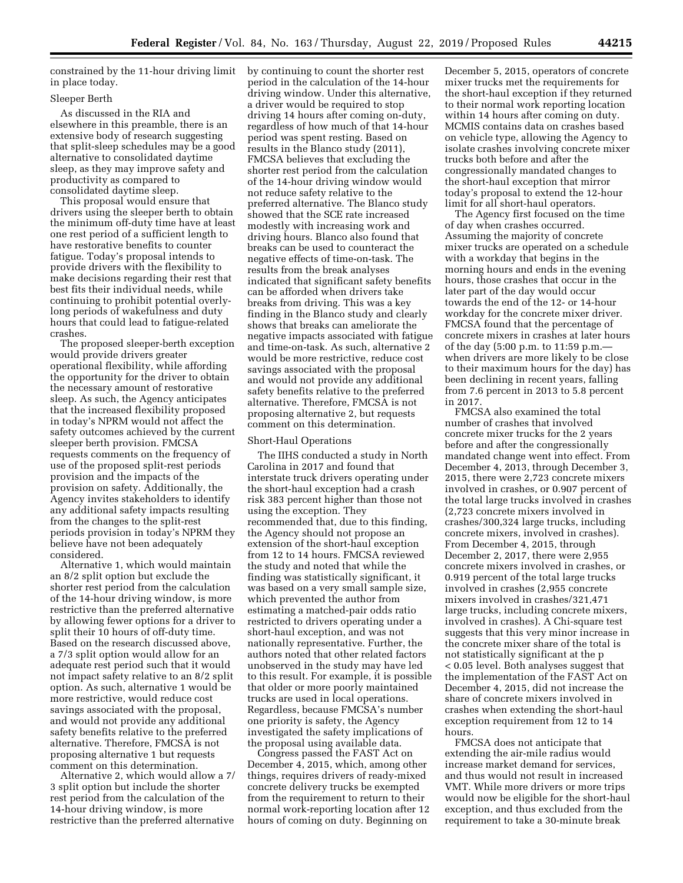constrained by the 11-hour driving limit in place today.

# Sleeper Berth

As discussed in the RIA and elsewhere in this preamble, there is an extensive body of research suggesting that split-sleep schedules may be a good alternative to consolidated daytime sleep, as they may improve safety and productivity as compared to consolidated daytime sleep.

This proposal would ensure that drivers using the sleeper berth to obtain the minimum off-duty time have at least one rest period of a sufficient length to have restorative benefits to counter fatigue. Today's proposal intends to provide drivers with the flexibility to make decisions regarding their rest that best fits their individual needs, while continuing to prohibit potential overlylong periods of wakefulness and duty hours that could lead to fatigue-related crashes.

The proposed sleeper-berth exception would provide drivers greater operational flexibility, while affording the opportunity for the driver to obtain the necessary amount of restorative sleep. As such, the Agency anticipates that the increased flexibility proposed in today's NPRM would not affect the safety outcomes achieved by the current sleeper berth provision. FMCSA requests comments on the frequency of use of the proposed split-rest periods provision and the impacts of the provision on safety. Additionally, the Agency invites stakeholders to identify any additional safety impacts resulting from the changes to the split-rest periods provision in today's NPRM they believe have not been adequately considered.

Alternative 1, which would maintain an 8/2 split option but exclude the shorter rest period from the calculation of the 14-hour driving window, is more restrictive than the preferred alternative by allowing fewer options for a driver to split their 10 hours of off-duty time. Based on the research discussed above, a 7/3 split option would allow for an adequate rest period such that it would not impact safety relative to an 8/2 split option. As such, alternative 1 would be more restrictive, would reduce cost savings associated with the proposal, and would not provide any additional safety benefits relative to the preferred alternative. Therefore, FMCSA is not proposing alternative 1 but requests comment on this determination.

Alternative 2, which would allow a 7/ 3 split option but include the shorter rest period from the calculation of the 14-hour driving window, is more restrictive than the preferred alternative

by continuing to count the shorter rest period in the calculation of the 14-hour driving window. Under this alternative, a driver would be required to stop driving 14 hours after coming on-duty, regardless of how much of that 14-hour period was spent resting. Based on results in the Blanco study (2011), FMCSA believes that excluding the shorter rest period from the calculation of the 14-hour driving window would not reduce safety relative to the preferred alternative. The Blanco study showed that the SCE rate increased modestly with increasing work and driving hours. Blanco also found that breaks can be used to counteract the negative effects of time-on-task. The results from the break analyses indicated that significant safety benefits can be afforded when drivers take breaks from driving. This was a key finding in the Blanco study and clearly shows that breaks can ameliorate the negative impacts associated with fatigue and time-on-task. As such, alternative 2 would be more restrictive, reduce cost savings associated with the proposal and would not provide any additional safety benefits relative to the preferred alternative. Therefore, FMCSA is not proposing alternative 2, but requests comment on this determination.

### Short-Haul Operations

The IIHS conducted a study in North Carolina in 2017 and found that interstate truck drivers operating under the short-haul exception had a crash risk 383 percent higher than those not using the exception. They recommended that, due to this finding, the Agency should not propose an extension of the short-haul exception from 12 to 14 hours. FMCSA reviewed the study and noted that while the finding was statistically significant, it was based on a very small sample size, which prevented the author from estimating a matched-pair odds ratio restricted to drivers operating under a short-haul exception, and was not nationally representative. Further, the authors noted that other related factors unobserved in the study may have led to this result. For example, it is possible that older or more poorly maintained trucks are used in local operations. Regardless, because FMCSA's number one priority is safety, the Agency investigated the safety implications of the proposal using available data.

Congress passed the FAST Act on December 4, 2015, which, among other things, requires drivers of ready-mixed concrete delivery trucks be exempted from the requirement to return to their normal work-reporting location after 12 hours of coming on duty. Beginning on

December 5, 2015, operators of concrete mixer trucks met the requirements for the short-haul exception if they returned to their normal work reporting location within 14 hours after coming on duty. MCMIS contains data on crashes based on vehicle type, allowing the Agency to isolate crashes involving concrete mixer trucks both before and after the congressionally mandated changes to the short-haul exception that mirror today's proposal to extend the 12-hour limit for all short-haul operators.

The Agency first focused on the time of day when crashes occurred. Assuming the majority of concrete mixer trucks are operated on a schedule with a workday that begins in the morning hours and ends in the evening hours, those crashes that occur in the later part of the day would occur towards the end of the 12- or 14-hour workday for the concrete mixer driver. FMCSA found that the percentage of concrete mixers in crashes at later hours of the day (5:00 p.m. to 11:59 p.m. when drivers are more likely to be close to their maximum hours for the day) has been declining in recent years, falling from 7.6 percent in 2013 to 5.8 percent in 2017.

FMCSA also examined the total number of crashes that involved concrete mixer trucks for the 2 years before and after the congressionally mandated change went into effect. From December 4, 2013, through December 3, 2015, there were 2,723 concrete mixers involved in crashes, or 0.907 percent of the total large trucks involved in crashes (2,723 concrete mixers involved in crashes/300,324 large trucks, including concrete mixers, involved in crashes). From December 4, 2015, through December 2, 2017, there were 2,955 concrete mixers involved in crashes, or 0.919 percent of the total large trucks involved in crashes (2,955 concrete mixers involved in crashes/321,471 large trucks, including concrete mixers, involved in crashes). A Chi-square test suggests that this very minor increase in the concrete mixer share of the total is not statistically significant at the p < 0.05 level. Both analyses suggest that the implementation of the FAST Act on December 4, 2015, did not increase the share of concrete mixers involved in crashes when extending the short-haul exception requirement from 12 to 14 hours.

FMCSA does not anticipate that extending the air-mile radius would increase market demand for services, and thus would not result in increased VMT. While more drivers or more trips would now be eligible for the short-haul exception, and thus excluded from the requirement to take a 30-minute break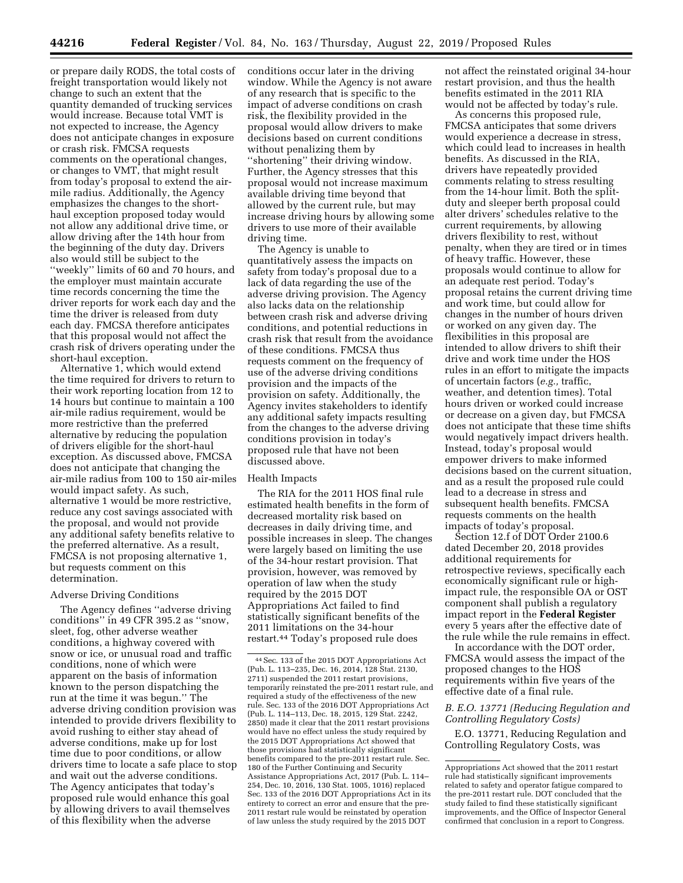or prepare daily RODS, the total costs of freight transportation would likely not change to such an extent that the quantity demanded of trucking services would increase. Because total VMT is not expected to increase, the Agency does not anticipate changes in exposure or crash risk. FMCSA requests comments on the operational changes, or changes to VMT, that might result from today's proposal to extend the airmile radius. Additionally, the Agency emphasizes the changes to the shorthaul exception proposed today would not allow any additional drive time, or allow driving after the 14th hour from the beginning of the duty day. Drivers also would still be subject to the ''weekly'' limits of 60 and 70 hours, and the employer must maintain accurate time records concerning the time the driver reports for work each day and the time the driver is released from duty each day. FMCSA therefore anticipates that this proposal would not affect the crash risk of drivers operating under the short-haul exception.

Alternative 1, which would extend the time required for drivers to return to their work reporting location from 12 to 14 hours but continue to maintain a 100 air-mile radius requirement, would be more restrictive than the preferred alternative by reducing the population of drivers eligible for the short-haul exception. As discussed above, FMCSA does not anticipate that changing the air-mile radius from 100 to 150 air-miles would impact safety. As such, alternative 1 would be more restrictive, reduce any cost savings associated with the proposal, and would not provide any additional safety benefits relative to the preferred alternative. As a result, FMCSA is not proposing alternative 1, but requests comment on this determination.

## Adverse Driving Conditions

The Agency defines ''adverse driving conditions'' in 49 CFR 395.2 as ''snow, sleet, fog, other adverse weather conditions, a highway covered with snow or ice, or unusual road and traffic conditions, none of which were apparent on the basis of information known to the person dispatching the run at the time it was begun.'' The adverse driving condition provision was intended to provide drivers flexibility to avoid rushing to either stay ahead of adverse conditions, make up for lost time due to poor conditions, or allow drivers time to locate a safe place to stop and wait out the adverse conditions. The Agency anticipates that today's proposed rule would enhance this goal by allowing drivers to avail themselves of this flexibility when the adverse

conditions occur later in the driving window. While the Agency is not aware of any research that is specific to the impact of adverse conditions on crash risk, the flexibility provided in the proposal would allow drivers to make decisions based on current conditions without penalizing them by ''shortening'' their driving window. Further, the Agency stresses that this proposal would not increase maximum available driving time beyond that allowed by the current rule, but may increase driving hours by allowing some drivers to use more of their available driving time.

The Agency is unable to quantitatively assess the impacts on safety from today's proposal due to a lack of data regarding the use of the adverse driving provision. The Agency also lacks data on the relationship between crash risk and adverse driving conditions, and potential reductions in crash risk that result from the avoidance of these conditions. FMCSA thus requests comment on the frequency of use of the adverse driving conditions provision and the impacts of the provision on safety. Additionally, the Agency invites stakeholders to identify any additional safety impacts resulting from the changes to the adverse driving conditions provision in today's proposed rule that have not been discussed above.

#### Health Impacts

The RIA for the 2011 HOS final rule estimated health benefits in the form of decreased mortality risk based on decreases in daily driving time, and possible increases in sleep. The changes were largely based on limiting the use of the 34-hour restart provision. That provision, however, was removed by operation of law when the study required by the 2015 DOT Appropriations Act failed to find statistically significant benefits of the 2011 limitations on the 34-hour restart.44 Today's proposed rule does

not affect the reinstated original 34-hour restart provision, and thus the health benefits estimated in the 2011 RIA would not be affected by today's rule.

As concerns this proposed rule, FMCSA anticipates that some drivers would experience a decrease in stress, which could lead to increases in health benefits. As discussed in the RIA, drivers have repeatedly provided comments relating to stress resulting from the 14-hour limit. Both the splitduty and sleeper berth proposal could alter drivers' schedules relative to the current requirements, by allowing drivers flexibility to rest, without penalty, when they are tired or in times of heavy traffic. However, these proposals would continue to allow for an adequate rest period. Today's proposal retains the current driving time and work time, but could allow for changes in the number of hours driven or worked on any given day. The flexibilities in this proposal are intended to allow drivers to shift their drive and work time under the HOS rules in an effort to mitigate the impacts of uncertain factors (*e.g.,* traffic, weather, and detention times). Total hours driven or worked could increase or decrease on a given day, but FMCSA does not anticipate that these time shifts would negatively impact drivers health. Instead, today's proposal would empower drivers to make informed decisions based on the current situation, and as a result the proposed rule could lead to a decrease in stress and subsequent health benefits. FMCSA requests comments on the health impacts of today's proposal.

Section 12.f of DOT Order 2100.6 dated December 20, 2018 provides additional requirements for retrospective reviews, specifically each economically significant rule or highimpact rule, the responsible OA or OST component shall publish a regulatory impact report in the **Federal Register**  every 5 years after the effective date of the rule while the rule remains in effect.

In accordance with the DOT order, FMCSA would assess the impact of the proposed changes to the HOS requirements within five years of the effective date of a final rule.

## *B. E.O. 13771 (Reducing Regulation and Controlling Regulatory Costs)*

E.O. 13771, Reducing Regulation and Controlling Regulatory Costs, was

<sup>44</sup>Sec. 133 of the 2015 DOT Appropriations Act (Pub. L. 113–235, Dec. 16, 2014, 128 Stat. 2130, 2711) suspended the 2011 restart provisions, temporarily reinstated the pre-2011 restart rule, and required a study of the effectiveness of the new rule. Sec. 133 of the 2016 DOT Appropriations Act (Pub. L. 114–113, Dec. 18, 2015, 129 Stat. 2242, 2850) made it clear that the 2011 restart provisions would have no effect unless the study required by the 2015 DOT Appropriations Act showed that those provisions had statistically significant benefits compared to the pre-2011 restart rule. Sec. 180 of the Further Continuing and Security Assistance Appropriations Act, 2017 (Pub. L. 114– 254, Dec. 10, 2016, 130 Stat. 1005, 1016) replaced Sec. 133 of the 2016 DOT Appropriations Act in its entirety to correct an error and ensure that the pre-2011 restart rule would be reinstated by operation of law unless the study required by the 2015 DOT

Appropriations Act showed that the 2011 restart rule had statistically significant improvements related to safety and operator fatigue compared to the pre-2011 restart rule. DOT concluded that the study failed to find these statistically significant improvements, and the Office of Inspector General confirmed that conclusion in a report to Congress.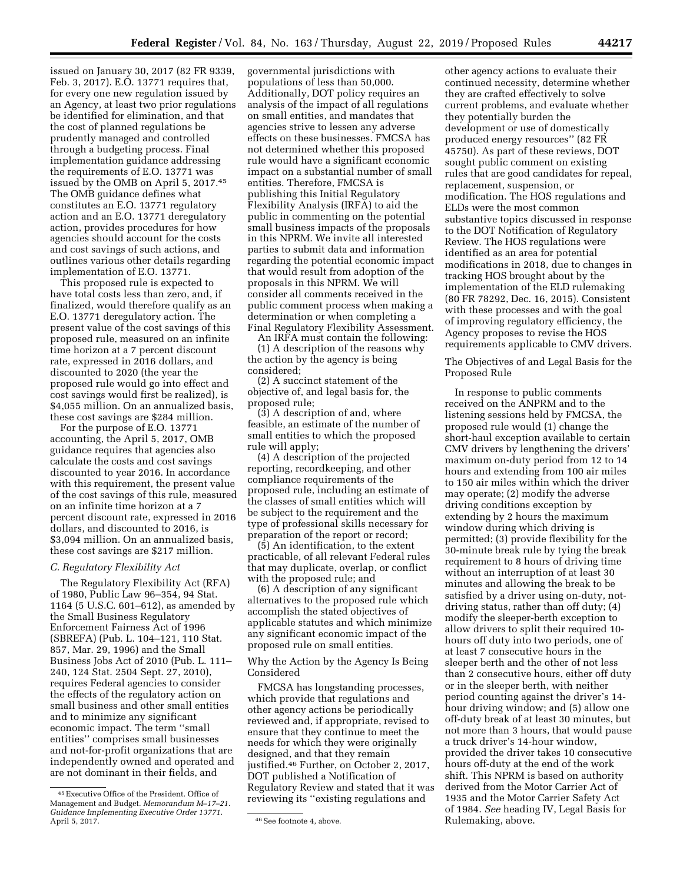issued on January 30, 2017 (82 FR 9339, Feb. 3, 2017). E.O. 13771 requires that, for every one new regulation issued by an Agency, at least two prior regulations be identified for elimination, and that the cost of planned regulations be prudently managed and controlled through a budgeting process. Final implementation guidance addressing the requirements of E.O. 13771 was issued by the OMB on April 5, 2017.45 The OMB guidance defines what constitutes an E.O. 13771 regulatory action and an E.O. 13771 deregulatory action, provides procedures for how agencies should account for the costs and cost savings of such actions, and outlines various other details regarding implementation of E.O. 13771.

This proposed rule is expected to have total costs less than zero, and, if finalized, would therefore qualify as an E.O. 13771 deregulatory action. The present value of the cost savings of this proposed rule, measured on an infinite time horizon at a 7 percent discount rate, expressed in 2016 dollars, and discounted to 2020 (the year the proposed rule would go into effect and cost savings would first be realized), is \$4,055 million. On an annualized basis, these cost savings are \$284 million.

For the purpose of E.O. 13771 accounting, the April 5, 2017, OMB guidance requires that agencies also calculate the costs and cost savings discounted to year 2016. In accordance with this requirement, the present value of the cost savings of this rule, measured on an infinite time horizon at a 7 percent discount rate, expressed in 2016 dollars, and discounted to 2016, is \$3,094 million. On an annualized basis, these cost savings are \$217 million.

# *C. Regulatory Flexibility Act*

The Regulatory Flexibility Act (RFA) of 1980, Public Law 96–354, 94 Stat. 1164 (5 U.S.C. 601–612), as amended by the Small Business Regulatory Enforcement Fairness Act of 1996 (SBREFA) (Pub. L. 104–121, 110 Stat. 857, Mar. 29, 1996) and the Small Business Jobs Act of 2010 (Pub. L. 111– 240, 124 Stat. 2504 Sept. 27, 2010), requires Federal agencies to consider the effects of the regulatory action on small business and other small entities and to minimize any significant economic impact. The term ''small entities'' comprises small businesses and not-for-profit organizations that are independently owned and operated and are not dominant in their fields, and

governmental jurisdictions with populations of less than 50,000. Additionally, DOT policy requires an analysis of the impact of all regulations on small entities, and mandates that agencies strive to lessen any adverse effects on these businesses. FMCSA has not determined whether this proposed rule would have a significant economic impact on a substantial number of small entities. Therefore, FMCSA is publishing this Initial Regulatory Flexibility Analysis (IRFA) to aid the public in commenting on the potential small business impacts of the proposals in this NPRM. We invite all interested parties to submit data and information regarding the potential economic impact that would result from adoption of the proposals in this NPRM. We will consider all comments received in the public comment process when making a determination or when completing a Final Regulatory Flexibility Assessment.

An IRFA must contain the following:

(1) A description of the reasons why the action by the agency is being considered;

(2) A succinct statement of the objective of, and legal basis for, the proposed rule;

(3) A description of and, where feasible, an estimate of the number of small entities to which the proposed rule will apply;

(4) A description of the projected reporting, recordkeeping, and other compliance requirements of the proposed rule, including an estimate of the classes of small entities which will be subject to the requirement and the type of professional skills necessary for preparation of the report or record;

(5) An identification, to the extent practicable, of all relevant Federal rules that may duplicate, overlap, or conflict with the proposed rule; and

(6) A description of any significant alternatives to the proposed rule which accomplish the stated objectives of applicable statutes and which minimize any significant economic impact of the proposed rule on small entities.

Why the Action by the Agency Is Being Considered

FMCSA has longstanding processes, which provide that regulations and other agency actions be periodically reviewed and, if appropriate, revised to ensure that they continue to meet the needs for which they were originally designed, and that they remain justified.46 Further, on October 2, 2017, DOT published a Notification of Regulatory Review and stated that it was reviewing its ''existing regulations and

other agency actions to evaluate their continued necessity, determine whether they are crafted effectively to solve current problems, and evaluate whether they potentially burden the development or use of domestically produced energy resources'' (82 FR 45750). As part of these reviews, DOT sought public comment on existing rules that are good candidates for repeal, replacement, suspension, or modification. The HOS regulations and ELDs were the most common substantive topics discussed in response to the DOT Notification of Regulatory Review. The HOS regulations were identified as an area for potential modifications in 2018, due to changes in tracking HOS brought about by the implementation of the ELD rulemaking (80 FR 78292, Dec. 16, 2015). Consistent with these processes and with the goal of improving regulatory efficiency, the Agency proposes to revise the HOS requirements applicable to CMV drivers.

The Objectives of and Legal Basis for the Proposed Rule

In response to public comments received on the ANPRM and to the listening sessions held by FMCSA, the proposed rule would (1) change the short-haul exception available to certain CMV drivers by lengthening the drivers' maximum on-duty period from 12 to 14 hours and extending from 100 air miles to 150 air miles within which the driver may operate; (2) modify the adverse driving conditions exception by extending by 2 hours the maximum window during which driving is permitted; (3) provide flexibility for the 30-minute break rule by tying the break requirement to 8 hours of driving time without an interruption of at least 30 minutes and allowing the break to be satisfied by a driver using on-duty, notdriving status, rather than off duty; (4) modify the sleeper-berth exception to allow drivers to split their required 10 hours off duty into two periods, one of at least 7 consecutive hours in the sleeper berth and the other of not less than 2 consecutive hours, either off duty or in the sleeper berth, with neither period counting against the driver's 14 hour driving window; and (5) allow one off-duty break of at least 30 minutes, but not more than 3 hours, that would pause a truck driver's 14-hour window, provided the driver takes 10 consecutive hours off-duty at the end of the work shift. This NPRM is based on authority derived from the Motor Carrier Act of 1935 and the Motor Carrier Safety Act of 1984. *See* heading IV, Legal Basis for Rulemaking, above.

<sup>45</sup>Executive Office of the President. Office of Management and Budget. *Memorandum M–17–21. Guidance Implementing Executive Order 13771.* 

<sup>&</sup>lt;sup>46</sup> See footnote 4, above.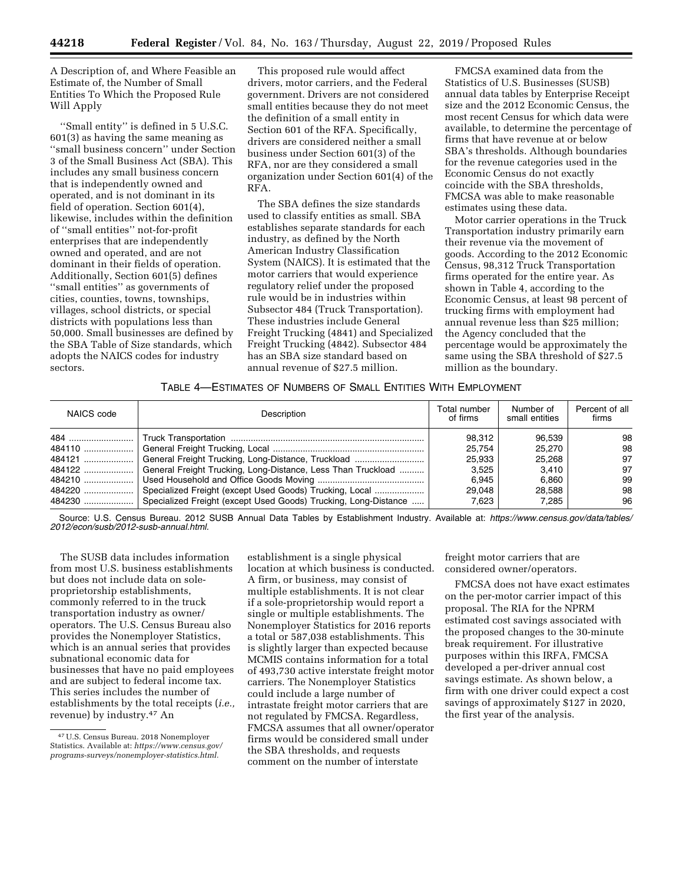A Description of, and Where Feasible an Estimate of, the Number of Small Entities To Which the Proposed Rule Will Apply

''Small entity'' is defined in 5 U.S.C. 601(3) as having the same meaning as ''small business concern'' under Section 3 of the Small Business Act (SBA). This includes any small business concern that is independently owned and operated, and is not dominant in its field of operation. Section 601(4), likewise, includes within the definition of ''small entities'' not-for-profit enterprises that are independently owned and operated, and are not dominant in their fields of operation. Additionally, Section 601(5) defines ''small entities'' as governments of cities, counties, towns, townships, villages, school districts, or special districts with populations less than 50,000. Small businesses are defined by the SBA Table of Size standards, which adopts the NAICS codes for industry sectors.

This proposed rule would affect drivers, motor carriers, and the Federal government. Drivers are not considered small entities because they do not meet the definition of a small entity in Section 601 of the RFA. Specifically, drivers are considered neither a small business under Section 601(3) of the RFA, nor are they considered a small organization under Section 601(4) of the RFA.

The SBA defines the size standards used to classify entities as small. SBA establishes separate standards for each industry, as defined by the North American Industry Classification System (NAICS). It is estimated that the motor carriers that would experience regulatory relief under the proposed rule would be in industries within Subsector 484 (Truck Transportation). These industries include General Freight Trucking (4841) and Specialized Freight Trucking (4842). Subsector 484 has an SBA size standard based on annual revenue of \$27.5 million.

FMCSA examined data from the Statistics of U.S. Businesses (SUSB) annual data tables by Enterprise Receipt size and the 2012 Economic Census, the most recent Census for which data were available, to determine the percentage of firms that have revenue at or below SBA's thresholds. Although boundaries for the revenue categories used in the Economic Census do not exactly coincide with the SBA thresholds, FMCSA was able to make reasonable estimates using these data.

Motor carrier operations in the Truck Transportation industry primarily earn their revenue via the movement of goods. According to the 2012 Economic Census, 98,312 Truck Transportation firms operated for the entire year. As shown in Table 4, according to the Economic Census, at least 98 percent of trucking firms with employment had annual revenue less than \$25 million; the Agency concluded that the percentage would be approximately the same using the SBA threshold of \$27.5 million as the boundary.

# TABLE 4—ESTIMATES OF NUMBERS OF SMALL ENTITIES WITH EMPLOYMENT

| NAICS code | Description                                                          | Total number<br>of firms | Number of<br>small entities | Percent of all<br>firms |
|------------|----------------------------------------------------------------------|--------------------------|-----------------------------|-------------------------|
|            |                                                                      | 98.312                   | 96.539                      | 98                      |
|            |                                                                      | 25.754                   | 25,270                      | 98                      |
|            | 484121   General Freight Trucking, Long-Distance, Truckload          | 25.933                   | 25.268                      | 97                      |
|            | 484122  General Freight Trucking, Long-Distance, Less Than Truckload | 3.525                    | 3.410                       | 97                      |
|            |                                                                      | 6.945                    | 6.860                       | 99                      |
|            | Specialized Freight (except Used Goods) Trucking, Local              | 29.048                   | 28.588                      | 98                      |
|            | Specialized Freight (except Used Goods) Trucking, Long-Distance      | 7.623                    | 7.285                       | 96                      |

Source: U.S. Census Bureau. 2012 SUSB Annual Data Tables by Establishment Industry. Available at: *https://www.census.gov/data/tables/ 2012/econ/susb/2012-susb-annual.html.* 

The SUSB data includes information from most U.S. business establishments but does not include data on soleproprietorship establishments, commonly referred to in the truck transportation industry as owner/ operators. The U.S. Census Bureau also provides the Nonemployer Statistics, which is an annual series that provides subnational economic data for businesses that have no paid employees and are subject to federal income tax. This series includes the number of establishments by the total receipts (*i.e.,*  revenue) by industry.47 An

establishment is a single physical location at which business is conducted. A firm, or business, may consist of multiple establishments. It is not clear if a sole-proprietorship would report a single or multiple establishments. The Nonemployer Statistics for 2016 reports a total or 587,038 establishments. This is slightly larger than expected because MCMIS contains information for a total of 493,730 active interstate freight motor carriers. The Nonemployer Statistics could include a large number of intrastate freight motor carriers that are not regulated by FMCSA. Regardless, FMCSA assumes that all owner/operator firms would be considered small under the SBA thresholds, and requests comment on the number of interstate

freight motor carriers that are considered owner/operators.

FMCSA does not have exact estimates on the per-motor carrier impact of this proposal. The RIA for the NPRM estimated cost savings associated with the proposed changes to the 30-minute break requirement. For illustrative purposes within this IRFA, FMCSA developed a per-driver annual cost savings estimate. As shown below, a firm with one driver could expect a cost savings of approximately \$127 in 2020, the first year of the analysis.

<sup>47</sup>U.S. Census Bureau. 2018 Nonemployer Statistics. Available at: *https://www.census.gov/ programs-surveys/nonemployer-statistics.html.*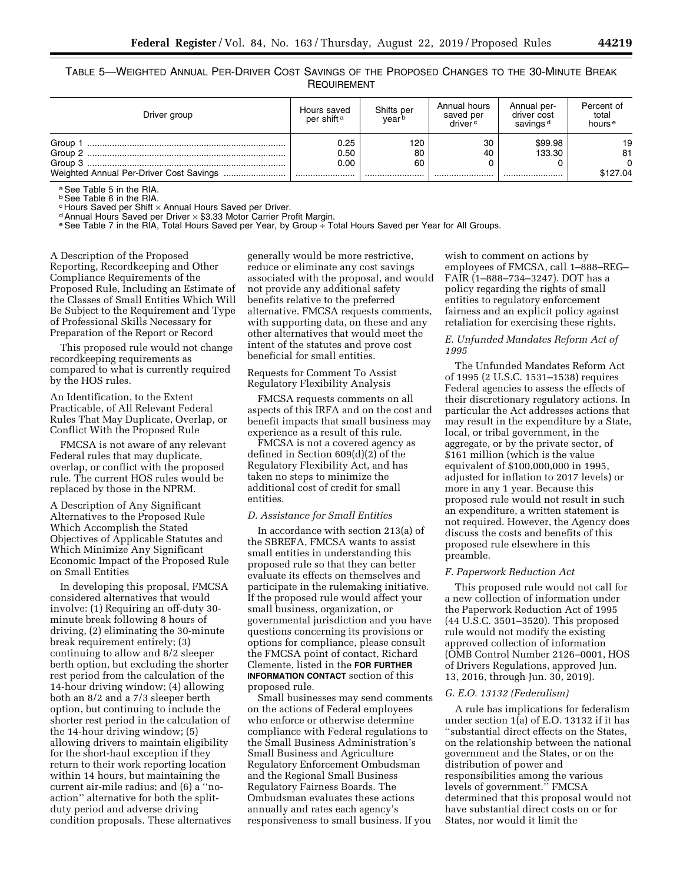TABLE 5—WEIGHTED ANNUAL PER-DRIVER COST SAVINGS OF THE PROPOSED CHANGES TO THE 30-MINUTE BREAK **REQUIREMENT** 

| Driver group                            | Hours saved<br>per shift <sup>a</sup> | Shifts per<br>vearb | Annual hours<br>saved per<br>driver <sup>c</sup> | Annual per-<br>driver cost<br>savings <sup>d</sup> | Percent of<br>total<br>hours <sup>e</sup> |
|-----------------------------------------|---------------------------------------|---------------------|--------------------------------------------------|----------------------------------------------------|-------------------------------------------|
| Group                                   | 0.25                                  | 120                 | 30                                               | \$99.98                                            | 19                                        |
| Group 2                                 | 0.50                                  | 80                  | 40                                               | 133.30                                             | 81                                        |
| Group 3                                 | 0.00                                  | 60                  |                                                  |                                                    |                                           |
| Weighted Annual Per-Driver Cost Savings |                                       |                     |                                                  |                                                    | \$127.04                                  |

a See Table 5 in the RIA.

**b See Table 6 in the RIA.**<br> **c Hours Saved per Shift x Annual Hours Saved per Driver.** 

d Annual Hours Saved per Driver × \$3.33 Motor Carrier Profit Margin.<br>© See Table 7 in the RIA, Total Hours Saved per Year, by Group ÷ Total Hours Saved per Year for All Groups.

A Description of the Proposed Reporting, Recordkeeping and Other Compliance Requirements of the Proposed Rule, Including an Estimate of the Classes of Small Entities Which Will Be Subject to the Requirement and Type of Professional Skills Necessary for Preparation of the Report or Record

This proposed rule would not change recordkeeping requirements as compared to what is currently required by the HOS rules.

An Identification, to the Extent Practicable, of All Relevant Federal Rules That May Duplicate, Overlap, or Conflict With the Proposed Rule

FMCSA is not aware of any relevant Federal rules that may duplicate, overlap, or conflict with the proposed rule. The current HOS rules would be replaced by those in the NPRM.

A Description of Any Significant Alternatives to the Proposed Rule Which Accomplish the Stated Objectives of Applicable Statutes and Which Minimize Any Significant Economic Impact of the Proposed Rule on Small Entities

In developing this proposal, FMCSA considered alternatives that would involve: (1) Requiring an off-duty 30 minute break following 8 hours of driving, (2) eliminating the 30-minute break requirement entirely; (3) continuing to allow and 8/2 sleeper berth option, but excluding the shorter rest period from the calculation of the 14-hour driving window; (4) allowing both an 8/2 and a 7/3 sleeper berth option, but continuing to include the shorter rest period in the calculation of the 14-hour driving window; (5) allowing drivers to maintain eligibility for the short-haul exception if they return to their work reporting location within 14 hours, but maintaining the current air-mile radius; and (6) a ''noaction'' alternative for both the splitduty period and adverse driving condition proposals. These alternatives

generally would be more restrictive, reduce or eliminate any cost savings associated with the proposal, and would not provide any additional safety benefits relative to the preferred alternative. FMCSA requests comments, with supporting data, on these and any other alternatives that would meet the intent of the statutes and prove cost beneficial for small entities.

# Requests for Comment To Assist Regulatory Flexibility Analysis

FMCSA requests comments on all aspects of this IRFA and on the cost and benefit impacts that small business may experience as a result of this rule.

FMCSA is not a covered agency as defined in Section 609(d)(2) of the Regulatory Flexibility Act, and has taken no steps to minimize the additional cost of credit for small entities.

## *D. Assistance for Small Entities*

In accordance with section 213(a) of the SBREFA, FMCSA wants to assist small entities in understanding this proposed rule so that they can better evaluate its effects on themselves and participate in the rulemaking initiative. If the proposed rule would affect your small business, organization, or governmental jurisdiction and you have questions concerning its provisions or options for compliance, please consult the FMCSA point of contact, Richard Clemente, listed in the **FOR FURTHER INFORMATION CONTACT** section of this proposed rule.

Small businesses may send comments on the actions of Federal employees who enforce or otherwise determine compliance with Federal regulations to the Small Business Administration's Small Business and Agriculture Regulatory Enforcement Ombudsman and the Regional Small Business Regulatory Fairness Boards. The Ombudsman evaluates these actions annually and rates each agency's responsiveness to small business. If you

wish to comment on actions by employees of FMCSA, call 1–888–REG– FAIR (1–888–734–3247). DOT has a policy regarding the rights of small entities to regulatory enforcement fairness and an explicit policy against retaliation for exercising these rights.

# *E. Unfunded Mandates Reform Act of 1995*

The Unfunded Mandates Reform Act of 1995 (2 U.S.C. 1531–1538) requires Federal agencies to assess the effects of their discretionary regulatory actions. In particular the Act addresses actions that may result in the expenditure by a State, local, or tribal government, in the aggregate, or by the private sector, of \$161 million (which is the value equivalent of \$100,000,000 in 1995, adjusted for inflation to 2017 levels) or more in any 1 year. Because this proposed rule would not result in such an expenditure, a written statement is not required. However, the Agency does discuss the costs and benefits of this proposed rule elsewhere in this preamble.

## *F. Paperwork Reduction Act*

This proposed rule would not call for a new collection of information under the Paperwork Reduction Act of 1995 (44 U.S.C. 3501–3520). This proposed rule would not modify the existing approved collection of information (OMB Control Number 2126–0001, HOS of Drivers Regulations, approved Jun. 13, 2016, through Jun. 30, 2019).

# *G. E.O. 13132 (Federalism)*

A rule has implications for federalism under section 1(a) of E.O. 13132 if it has ''substantial direct effects on the States, on the relationship between the national government and the States, or on the distribution of power and responsibilities among the various levels of government.'' FMCSA determined that this proposal would not have substantial direct costs on or for States, nor would it limit the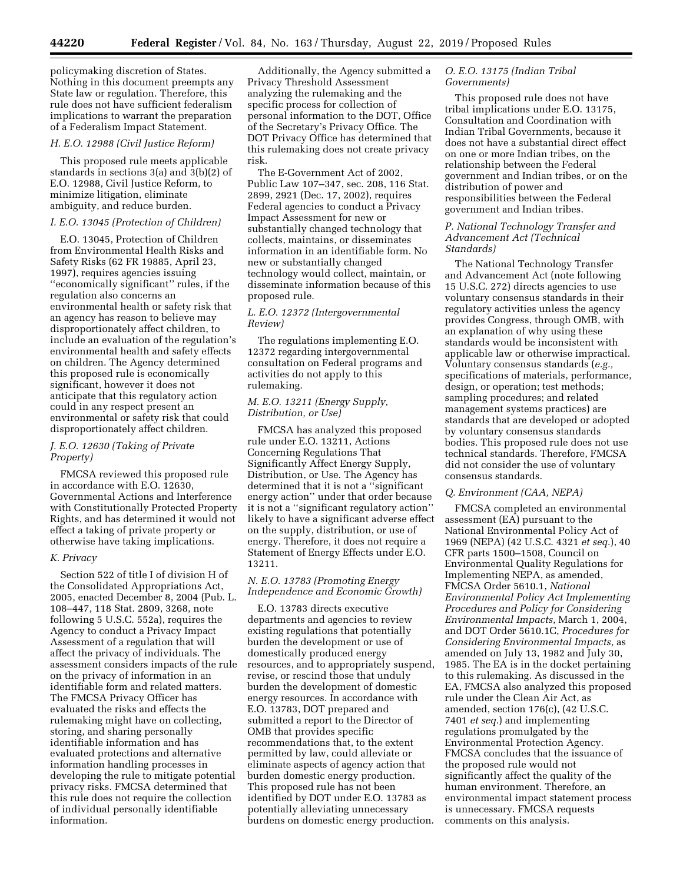policymaking discretion of States. Nothing in this document preempts any State law or regulation. Therefore, this rule does not have sufficient federalism implications to warrant the preparation of a Federalism Impact Statement.

#### *H. E.O. 12988 (Civil Justice Reform)*

This proposed rule meets applicable standards in sections 3(a) and 3(b)(2) of E.O. 12988, Civil Justice Reform, to minimize litigation, eliminate ambiguity, and reduce burden.

### *I. E.O. 13045 (Protection of Children)*

E.O. 13045, Protection of Children from Environmental Health Risks and Safety Risks (62 FR 19885, April 23, 1997), requires agencies issuing ''economically significant'' rules, if the regulation also concerns an environmental health or safety risk that an agency has reason to believe may disproportionately affect children, to include an evaluation of the regulation's environmental health and safety effects on children. The Agency determined this proposed rule is economically significant, however it does not anticipate that this regulatory action could in any respect present an environmental or safety risk that could disproportionately affect children.

# *J. E.O. 12630 (Taking of Private Property)*

FMCSA reviewed this proposed rule in accordance with E.O. 12630, Governmental Actions and Interference with Constitutionally Protected Property Rights, and has determined it would not effect a taking of private property or otherwise have taking implications.

#### *K. Privacy*

Section 522 of title I of division H of the Consolidated Appropriations Act, 2005, enacted December 8, 2004 (Pub. L. 108–447, 118 Stat. 2809, 3268, note following 5 U.S.C. 552a), requires the Agency to conduct a Privacy Impact Assessment of a regulation that will affect the privacy of individuals. The assessment considers impacts of the rule on the privacy of information in an identifiable form and related matters. The FMCSA Privacy Officer has evaluated the risks and effects the rulemaking might have on collecting, storing, and sharing personally identifiable information and has evaluated protections and alternative information handling processes in developing the rule to mitigate potential privacy risks. FMCSA determined that this rule does not require the collection of individual personally identifiable information.

Additionally, the Agency submitted a Privacy Threshold Assessment analyzing the rulemaking and the specific process for collection of personal information to the DOT, Office of the Secretary's Privacy Office. The DOT Privacy Office has determined that this rulemaking does not create privacy risk.

The E-Government Act of 2002, Public Law 107–347, sec. 208, 116 Stat. 2899, 2921 (Dec. 17, 2002), requires Federal agencies to conduct a Privacy Impact Assessment for new or substantially changed technology that collects, maintains, or disseminates information in an identifiable form. No new or substantially changed technology would collect, maintain, or disseminate information because of this proposed rule.

# *L. E.O. 12372 (Intergovernmental Review)*

The regulations implementing E.O. 12372 regarding intergovernmental consultation on Federal programs and activities do not apply to this rulemaking.

# *M. E.O. 13211 (Energy Supply, Distribution, or Use)*

FMCSA has analyzed this proposed rule under E.O. 13211, Actions Concerning Regulations That Significantly Affect Energy Supply, Distribution, or Use. The Agency has determined that it is not a ''significant energy action'' under that order because it is not a ''significant regulatory action'' likely to have a significant adverse effect on the supply, distribution, or use of energy. Therefore, it does not require a Statement of Energy Effects under E.O. 13211.

# *N. E.O. 13783 (Promoting Energy Independence and Economic Growth)*

E.O. 13783 directs executive departments and agencies to review existing regulations that potentially burden the development or use of domestically produced energy resources, and to appropriately suspend, revise, or rescind those that unduly burden the development of domestic energy resources. In accordance with E.O. 13783, DOT prepared and submitted a report to the Director of OMB that provides specific recommendations that, to the extent permitted by law, could alleviate or eliminate aspects of agency action that burden domestic energy production. This proposed rule has not been identified by DOT under E.O. 13783 as potentially alleviating unnecessary burdens on domestic energy production.

# *O. E.O. 13175 (Indian Tribal Governments)*

This proposed rule does not have tribal implications under E.O. 13175, Consultation and Coordination with Indian Tribal Governments, because it does not have a substantial direct effect on one or more Indian tribes, on the relationship between the Federal government and Indian tribes, or on the distribution of power and responsibilities between the Federal government and Indian tribes.

# *P. National Technology Transfer and Advancement Act (Technical Standards)*

The National Technology Transfer and Advancement Act (note following 15 U.S.C. 272) directs agencies to use voluntary consensus standards in their regulatory activities unless the agency provides Congress, through OMB, with an explanation of why using these standards would be inconsistent with applicable law or otherwise impractical. Voluntary consensus standards (*e.g.,*  specifications of materials, performance, design, or operation; test methods; sampling procedures; and related management systems practices) are standards that are developed or adopted by voluntary consensus standards bodies. This proposed rule does not use technical standards. Therefore, FMCSA did not consider the use of voluntary consensus standards.

# *Q. Environment (CAA, NEPA)*

FMCSA completed an environmental assessment (EA) pursuant to the National Environmental Policy Act of 1969 (NEPA) (42 U.S.C. 4321 *et seq.*), 40 CFR parts 1500–1508, Council on Environmental Quality Regulations for Implementing NEPA, as amended, FMCSA Order 5610.1, *National Environmental Policy Act Implementing Procedures and Policy for Considering Environmental Impacts,* March 1, 2004, and DOT Order 5610.1C, *Procedures for Considering Environmental Impacts,* as amended on July 13, 1982 and July 30, 1985. The EA is in the docket pertaining to this rulemaking. As discussed in the EA, FMCSA also analyzed this proposed rule under the Clean Air Act, as amended, section 176(c), (42 U.S.C. 7401 *et seq.*) and implementing regulations promulgated by the Environmental Protection Agency. FMCSA concludes that the issuance of the proposed rule would not significantly affect the quality of the human environment. Therefore, an environmental impact statement process is unnecessary. FMCSA requests comments on this analysis.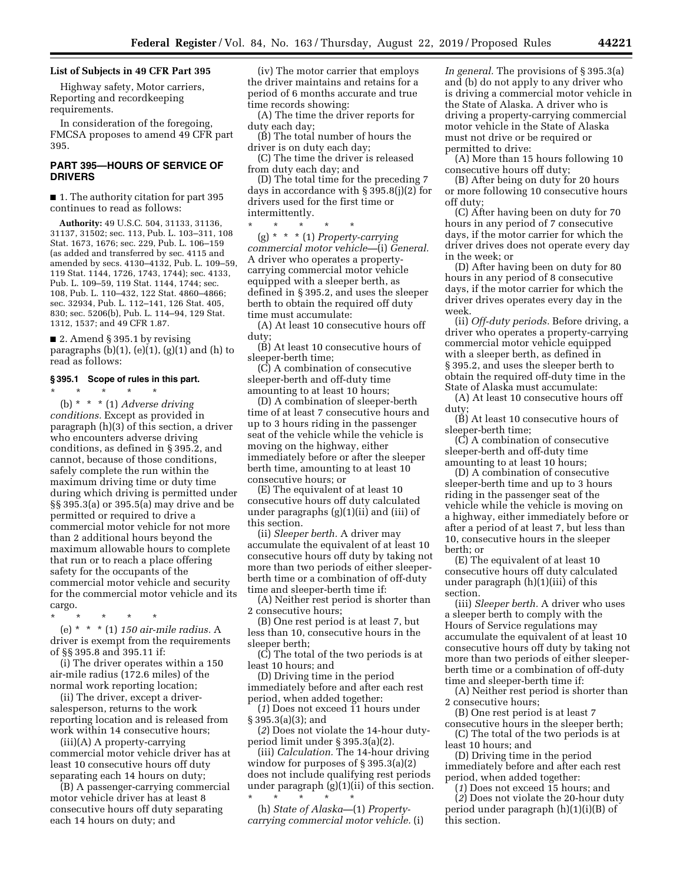## **List of Subjects in 49 CFR Part 395**

Highway safety, Motor carriers, Reporting and recordkeeping requirements.

In consideration of the foregoing, FMCSA proposes to amend 49 CFR part 395.

# **PART 395—HOURS OF SERVICE OF DRIVERS**

■ 1. The authority citation for part 395 continues to read as follows:

**Authority:** 49 U.S.C. 504, 31133, 31136, 31137, 31502; sec. 113, Pub. L. 103–311, 108 Stat. 1673, 1676; sec. 229, Pub. L. 106–159 (as added and transferred by sec. 4115 and amended by secs. 4130–4132, Pub. L. 109–59, 119 Stat. 1144, 1726, 1743, 1744); sec. 4133, Pub. L. 109–59, 119 Stat. 1144, 1744; sec. 108, Pub. L. 110–432, 122 Stat. 4860–4866; sec. 32934, Pub. L. 112–141, 126 Stat. 405, 830; sec. 5206(b), Pub. L. 114–94, 129 Stat. 1312, 1537; and 49 CFR 1.87.

■ 2. Amend § 395.1 by revising paragraphs  $(b)(1)$ ,  $(e)(1)$ ,  $(g)(1)$  and  $(h)$  to read as follows:

### **§ 395.1 Scope of rules in this part.**

\* \* \* \* \* (b) \* \* \* (1) *Adverse driving conditions.* Except as provided in paragraph (h)(3) of this section, a driver who encounters adverse driving conditions, as defined in § 395.2, and cannot, because of those conditions, safely complete the run within the maximum driving time or duty time during which driving is permitted under §§ 395.3(a) or 395.5(a) may drive and be permitted or required to drive a commercial motor vehicle for not more than 2 additional hours beyond the maximum allowable hours to complete that run or to reach a place offering safety for the occupants of the commercial motor vehicle and security for the commercial motor vehicle and its cargo.

\* \* \* \* \* (e) \* \* \* (1) *150 air-mile radius.* A driver is exempt from the requirements of §§ 395.8 and 395.11 if:

(i) The driver operates within a 150 air-mile radius (172.6 miles) of the normal work reporting location;

(ii) The driver, except a driversalesperson, returns to the work reporting location and is released from work within 14 consecutive hours;

(iii)(A) A property-carrying commercial motor vehicle driver has at least 10 consecutive hours off duty separating each 14 hours on duty;

(B) A passenger-carrying commercial motor vehicle driver has at least 8 consecutive hours off duty separating each 14 hours on duty; and

(iv) The motor carrier that employs the driver maintains and retains for a period of 6 months accurate and true time records showing:

(A) The time the driver reports for duty each day;

(B) The total number of hours the driver is on duty each day;

(C) The time the driver is released from duty each day; and

(D) The total time for the preceding 7 days in accordance with § 395.8(j)(2) for drivers used for the first time or intermittently.

\* \* \* \* \* (g) \* \* \* (1) *Property-carrying commercial motor vehicle—*(i) *General.*  A driver who operates a propertycarrying commercial motor vehicle equipped with a sleeper berth, as defined in § 395.2, and uses the sleeper berth to obtain the required off duty time must accumulate:

(A) At least 10 consecutive hours off duty;

(B) At least 10 consecutive hours of sleeper-berth time;

(C) A combination of consecutive sleeper-berth and off-duty time amounting to at least 10 hours;

(D) A combination of sleeper-berth time of at least 7 consecutive hours and up to 3 hours riding in the passenger seat of the vehicle while the vehicle is moving on the highway, either immediately before or after the sleeper berth time, amounting to at least 10 consecutive hours; or

(E) The equivalent of at least 10 consecutive hours off duty calculated under paragraphs (g)(1)(ii) and (iii) of this section.

(ii) *Sleeper berth.* A driver may accumulate the equivalent of at least 10 consecutive hours off duty by taking not more than two periods of either sleeperberth time or a combination of off-duty time and sleeper-berth time if:

(A) Neither rest period is shorter than 2 consecutive hours;

(B) One rest period is at least 7, but less than 10, consecutive hours in the sleeper berth;

(C) The total of the two periods is at least 10 hours; and

(D) Driving time in the period immediately before and after each rest period, when added together:

(*1*) Does not exceed 11 hours under § 395.3(a)(3); and

(*2*) Does not violate the 14-hour dutyperiod limit under § 395.3(a)(2).

(iii) *Calculation.* The 14-hour driving window for purposes of § 395.3(a)(2) does not include qualifying rest periods under paragraph (g)(1)(ii) of this section.

\* \* \* \* \* (h) *State of Alaska—*(1) *Propertycarrying commercial motor vehicle.* (i) *In general.* The provisions of § 395.3(a) and (b) do not apply to any driver who is driving a commercial motor vehicle in the State of Alaska. A driver who is driving a property-carrying commercial motor vehicle in the State of Alaska must not drive or be required or permitted to drive:

(A) More than 15 hours following 10 consecutive hours off duty;

(B) After being on duty for 20 hours or more following 10 consecutive hours off duty;

(C) After having been on duty for 70 hours in any period of 7 consecutive days, if the motor carrier for which the driver drives does not operate every day in the week; or

(D) After having been on duty for 80 hours in any period of 8 consecutive days, if the motor carrier for which the driver drives operates every day in the week.

(ii) *Off-duty periods.* Before driving, a driver who operates a property-carrying commercial motor vehicle equipped with a sleeper berth, as defined in § 395.2, and uses the sleeper berth to obtain the required off-duty time in the State of Alaska must accumulate:

(A) At least 10 consecutive hours off duty;

(B) At least 10 consecutive hours of sleeper-berth time;

(C) A combination of consecutive sleeper-berth and off-duty time amounting to at least 10 hours;

(D) A combination of consecutive sleeper-berth time and up to 3 hours riding in the passenger seat of the vehicle while the vehicle is moving on a highway, either immediately before or after a period of at least 7, but less than 10, consecutive hours in the sleeper berth; or

(E) The equivalent of at least 10 consecutive hours off duty calculated under paragraph (h)(1)(iii) of this section.

(iii) *Sleeper berth.* A driver who uses a sleeper berth to comply with the Hours of Service regulations may accumulate the equivalent of at least 10 consecutive hours off duty by taking not more than two periods of either sleeperberth time or a combination of off-duty time and sleeper-berth time if:

(A) Neither rest period is shorter than 2 consecutive hours;

(B) One rest period is at least 7 consecutive hours in the sleeper berth;

(C) The total of the two periods is at least 10 hours; and

(D) Driving time in the period immediately before and after each rest period, when added together:

(*1*) Does not exceed 15 hours; and (*2*) Does not violate the 20-hour duty period under paragraph (h)(1)(i)(B) of this section.